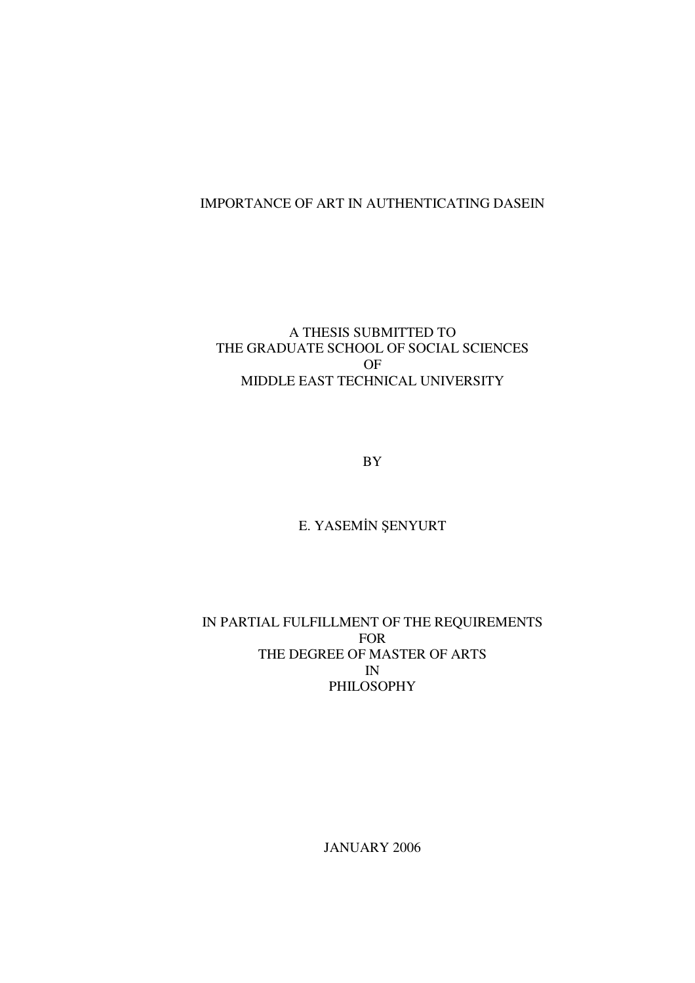# IMPORTANCE OF ART IN AUTHENTICATING DASEIN

## A THESIS SUBMITTED TO THE GRADUATE SCHOOL OF SOCIAL SCIENCES OF MIDDLE EAST TECHNICAL UNIVERSITY

BY

# E. YASEMİN ŞENYURT

## IN PARTIAL FULFILLMENT OF THE REQUIREMENTS FOR THE DEGREE OF MASTER OF ARTS IN PHILOSOPHY

JANUARY 2006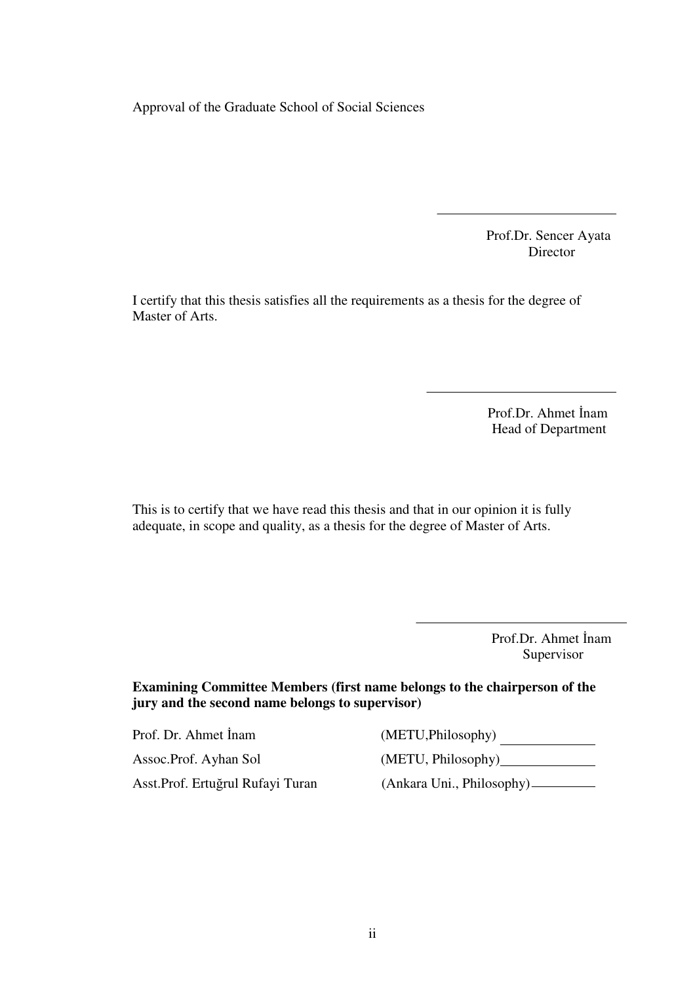Approval of the Graduate School of Social Sciences

 Prof.Dr. Sencer Ayata Director

I certify that this thesis satisfies all the requirements as a thesis for the degree of Master of Arts.

> Prof.Dr. Ahmet İnam Head of Department

This is to certify that we have read this thesis and that in our opinion it is fully adequate, in scope and quality, as a thesis for the degree of Master of Arts.

> Prof.Dr. Ahmet İnam Supervisor

**Examining Committee Members (first name belongs to the chairperson of the jury and the second name belongs to supervisor)** 

Prof. Dr. Ahmet İnam (METU,Philosophy) Asst.Prof. Ertuğrul Rufayi Turan (Ankara Uni., Philosophy)

Assoc.Prof. Ayhan Sol (METU, Philosophy)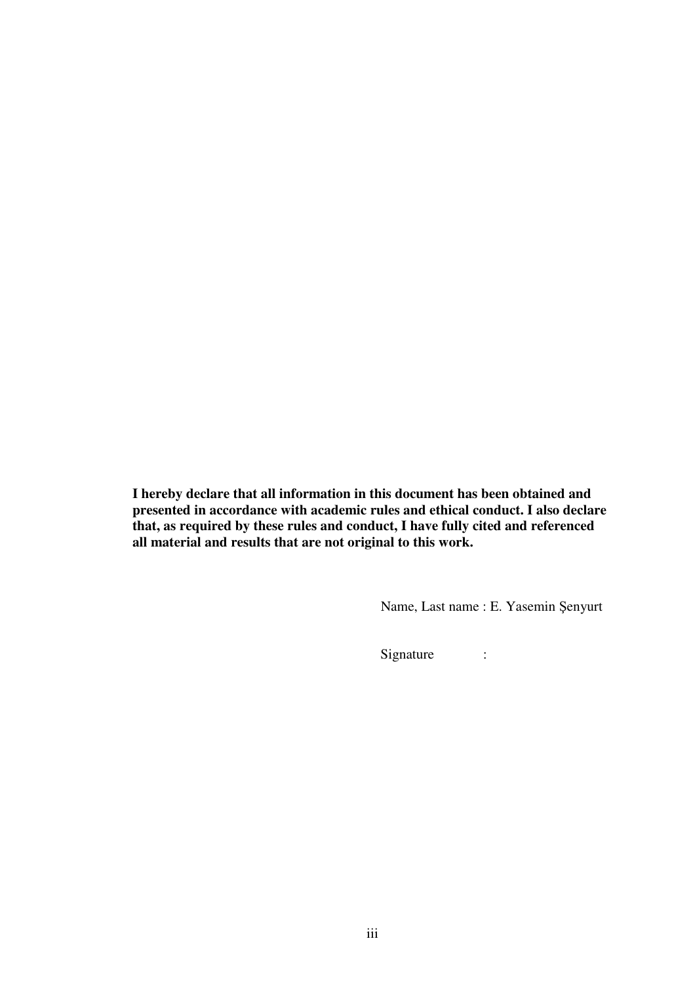**I hereby declare that all information in this document has been obtained and presented in accordance with academic rules and ethical conduct. I also declare that, as required by these rules and conduct, I have fully cited and referenced all material and results that are not original to this work.** 

Name, Last name : E. Yasemin Şenyurt

Signature :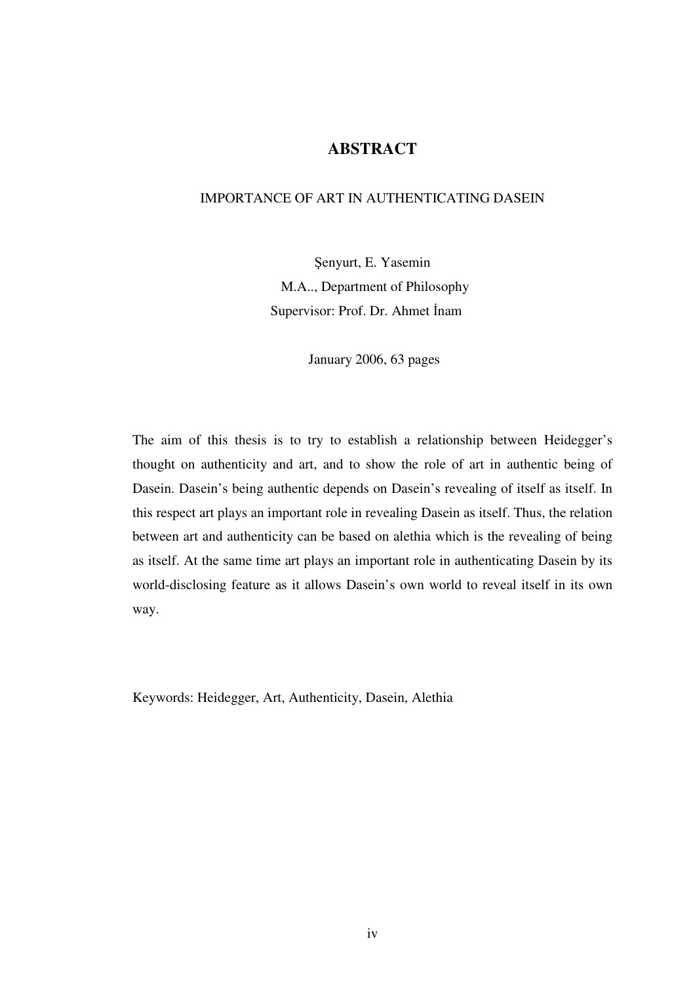# **ABSTRACT**

## IMPORTANCE OF ART IN AUTHENTICATING DASEIN

Şenyurt, E. Yasemin M.A.., Department of Philosophy Supervisor: Prof. Dr. Ahmet İnam

January 2006, 63 pages

The aim of this thesis is to try to establish a relationship between Heidegger's thought on authenticity and art, and to show the role of art in authentic being of Dasein. Dasein's being authentic depends on Dasein's revealing of itself as itself. In this respect art plays an important role in revealing Dasein as itself. Thus, the relation between art and authenticity can be based on alethia which is the revealing of being as itself. At the same time art plays an important role in authenticating Dasein by its world-disclosing feature as it allows Dasein's own world to reveal itself in its own way.

Keywords: Heidegger, Art, Authenticity, Dasein, Alethia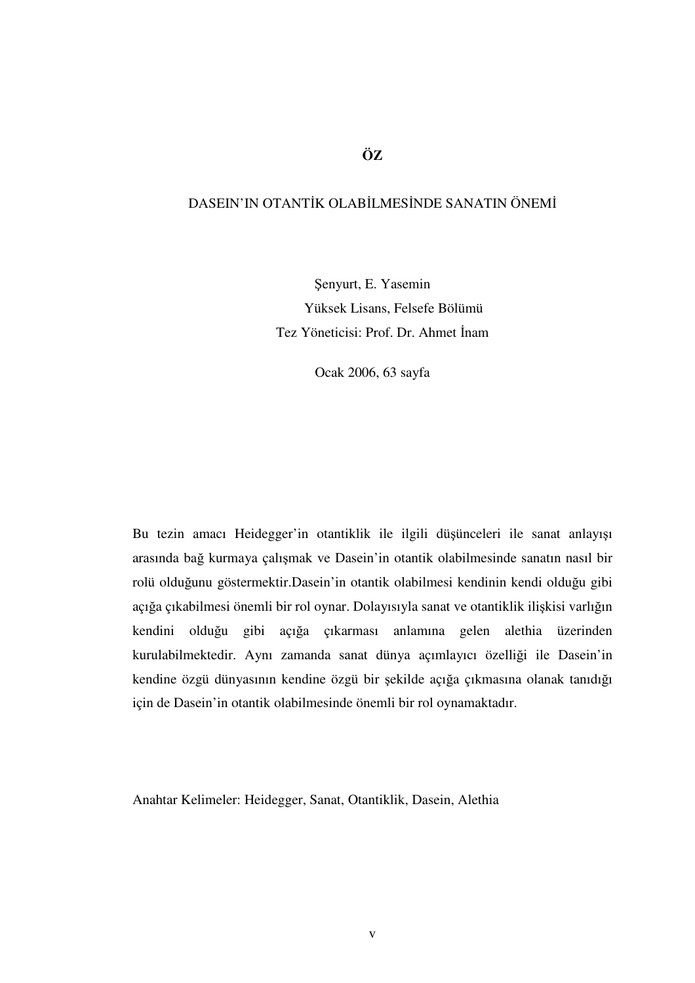# **ÖZ**

## DASEIN'IN OTANTİK OLABİLMESİNDE SANATIN ÖNEMİ

Şenyurt, E. Yasemin Yüksek Lisans, Felsefe Bölümü Tez Yöneticisi: Prof. Dr. Ahmet İnam

Ocak 2006, 63 sayfa

Bu tezin amacı Heidegger'in otantiklik ile ilgili düşünceleri ile sanat anlayışı arasında bağ kurmaya çalışmak ve Dasein'in otantik olabilmesinde sanatın nasıl bir rolü olduğunu göstermektir.Dasein'in otantik olabilmesi kendinin kendi olduğu gibi açığa çıkabilmesi önemli bir rol oynar. Dolayısıyla sanat ve otantiklik ilişkisi varlığın kendini olduğu gibi açığa çıkarması anlamına gelen alethia üzerinden kurulabilmektedir. Aynı zamanda sanat dünya açımlayıcı özelliği ile Dasein'in kendine özgü dünyasının kendine özgü bir şekilde açığa çıkmasına olanak tanıdığı için de Dasein'in otantik olabilmesinde önemli bir rol oynamaktadır.

Anahtar Kelimeler: Heidegger, Sanat, Otantiklik, Dasein, Alethia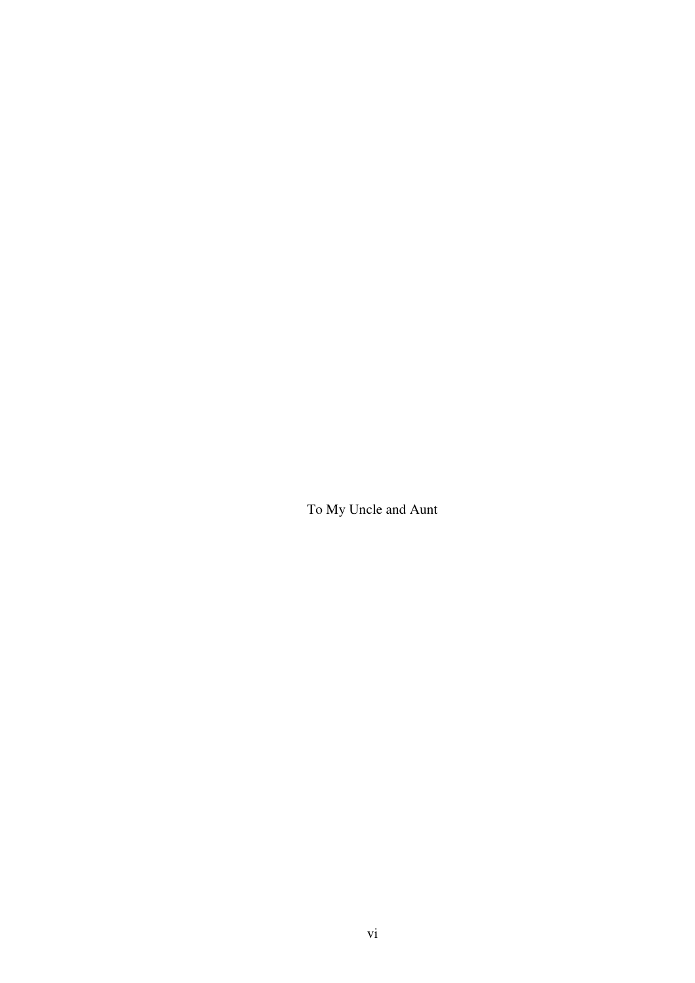To My Uncle and Aunt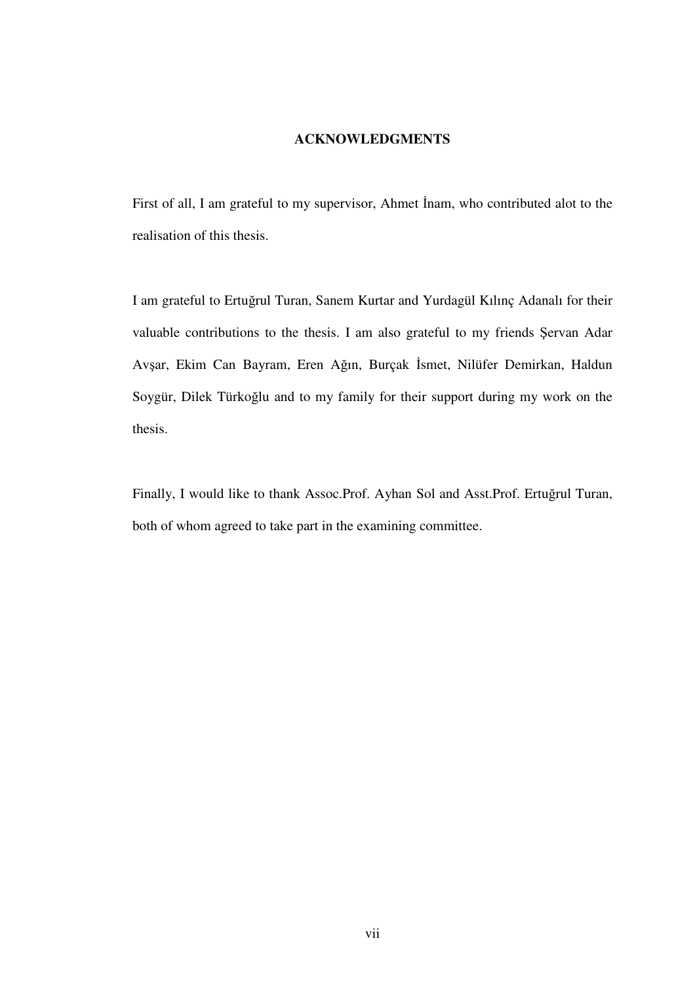## **ACKNOWLEDGMENTS**

First of all, I am grateful to my supervisor, Ahmet İnam, who contributed alot to the realisation of this thesis.

I am grateful to Ertuğrul Turan, Sanem Kurtar and Yurdagül Kılınç Adanalı for their valuable contributions to the thesis. I am also grateful to my friends Şervan Adar Avşar, Ekim Can Bayram, Eren Ağın, Burçak İsmet, Nilüfer Demirkan, Haldun Soygür, Dilek Türkoğlu and to my family for their support during my work on the thesis.

Finally, I would like to thank Assoc.Prof. Ayhan Sol and Asst.Prof. Ertuğrul Turan, both of whom agreed to take part in the examining committee.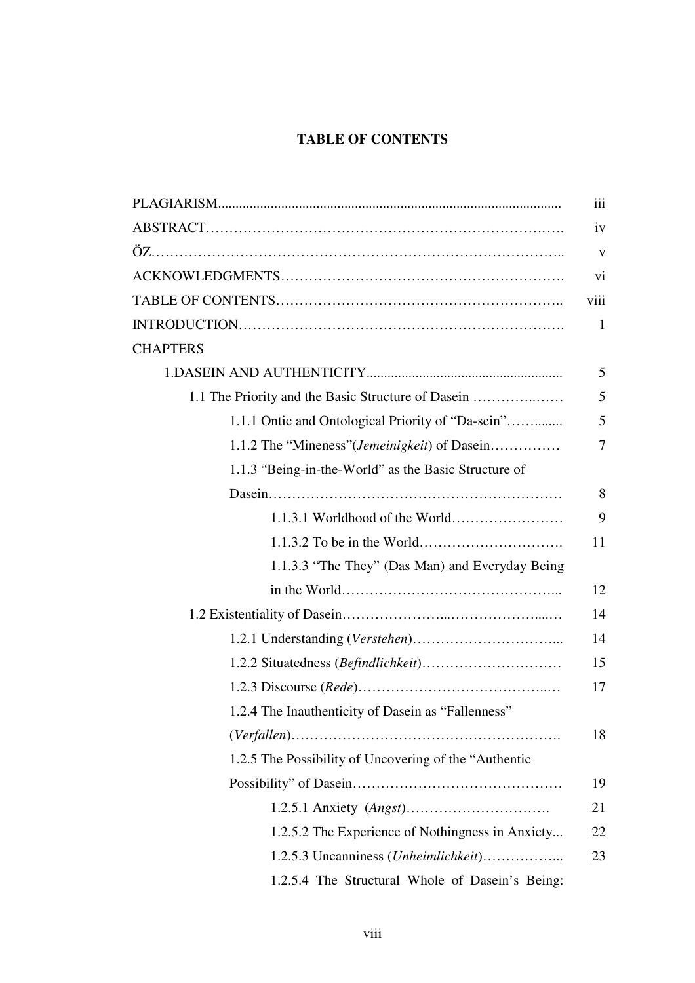# **TABLE OF CONTENTS**

|                                                        | iii            |
|--------------------------------------------------------|----------------|
|                                                        | iv             |
|                                                        | V              |
|                                                        | vi             |
|                                                        | viii           |
|                                                        | 1              |
| <b>CHAPTERS</b>                                        |                |
|                                                        | 5              |
| 1.1 The Priority and the Basic Structure of Dasein     | 5              |
| 1.1.1 Ontic and Ontological Priority of "Da-sein"      | 5              |
| 1.1.2 The "Mineness" ( <i>Jemeinigkeit</i> ) of Dasein | $\overline{7}$ |
| 1.1.3 "Being-in-the-World" as the Basic Structure of   |                |
|                                                        | 8              |
|                                                        | 9              |
|                                                        | 11             |
| 1.1.3.3 "The They" (Das Man) and Everyday Being        |                |
|                                                        | 12             |
|                                                        | 14             |
|                                                        | 14             |
|                                                        | 15             |
|                                                        | 17             |
| 1.2.4 The Inauthenticity of Dasein as "Fallenness"     |                |
|                                                        | 18             |
| 1.2.5 The Possibility of Uncovering of the "Authentic" |                |
|                                                        | 19             |
|                                                        | 21             |
| 1.2.5.2 The Experience of Nothingness in Anxiety       | 22             |
| 1.2.5.3 Uncanniness (Unheimlichkeit)                   | 23             |
| 1.2.5.4 The Structural Whole of Dasein's Being:        |                |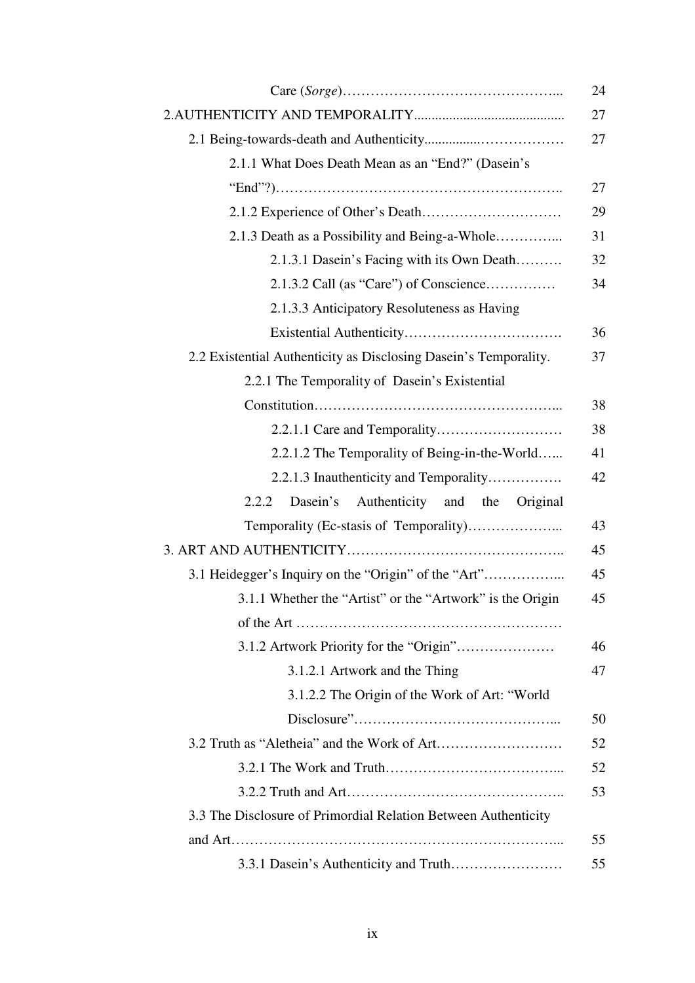|                                                                  | 24 |
|------------------------------------------------------------------|----|
|                                                                  | 27 |
|                                                                  | 27 |
| 2.1.1 What Does Death Mean as an "End?" (Dasein's                |    |
|                                                                  | 27 |
|                                                                  | 29 |
| 2.1.3 Death as a Possibility and Being-a-Whole                   | 31 |
| 2.1.3.1 Dasein's Facing with its Own Death                       | 32 |
| $2.1.3.2$ Call (as "Care") of Conscience                         | 34 |
| 2.1.3.3 Anticipatory Resoluteness as Having                      |    |
|                                                                  | 36 |
| 2.2 Existential Authenticity as Disclosing Dasein's Temporality. | 37 |
| 2.2.1 The Temporality of Dasein's Existential                    |    |
|                                                                  | 38 |
|                                                                  | 38 |
| 2.2.1.2 The Temporality of Being-in-the-World                    | 41 |
| 2.2.1.3 Inauthenticity and Temporality                           | 42 |
| Dasein's<br>Authenticity<br>and<br>2.2.2<br>the<br>Original      |    |
|                                                                  | 43 |
|                                                                  | 45 |
| 3.1 Heidegger's Inquiry on the "Origin" of the "Art"             | 45 |
| 3.1.1 Whether the "Artist" or the "Artwork" is the Origin        | 45 |
|                                                                  |    |
|                                                                  | 46 |
| 3.1.2.1 Artwork and the Thing                                    | 47 |
| 3.1.2.2 The Origin of the Work of Art: "World                    |    |
|                                                                  | 50 |
|                                                                  | 52 |
|                                                                  | 52 |
|                                                                  | 53 |
| 3.3 The Disclosure of Primordial Relation Between Authenticity   |    |
|                                                                  | 55 |
|                                                                  | 55 |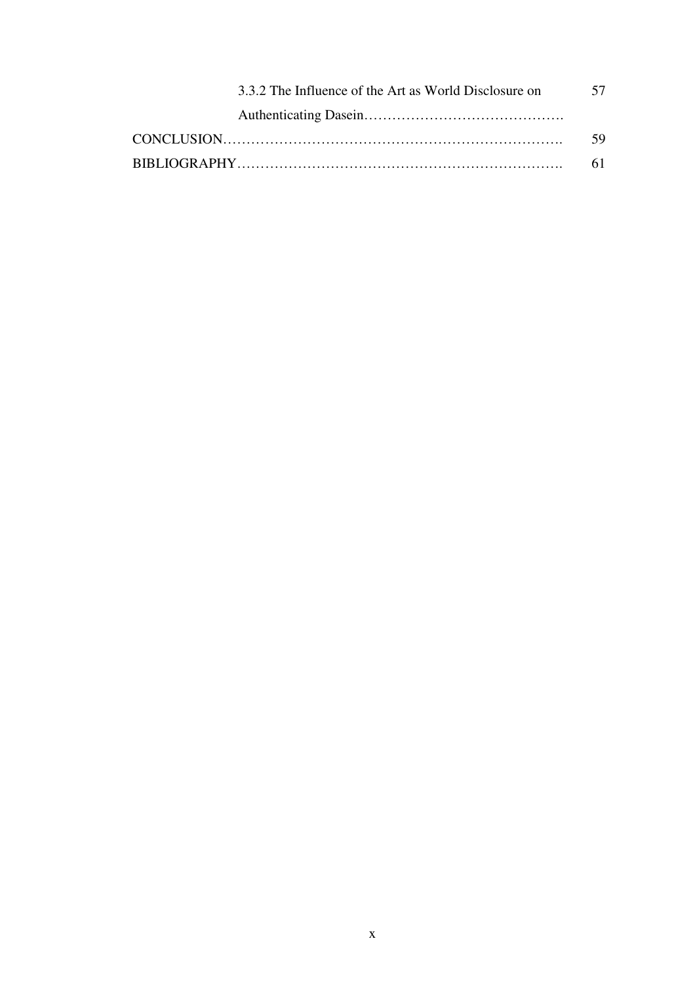| 3.3.2 The Influence of the Art as World Disclosure on | 57 |
|-------------------------------------------------------|----|
|                                                       |    |
|                                                       | 59 |
|                                                       |    |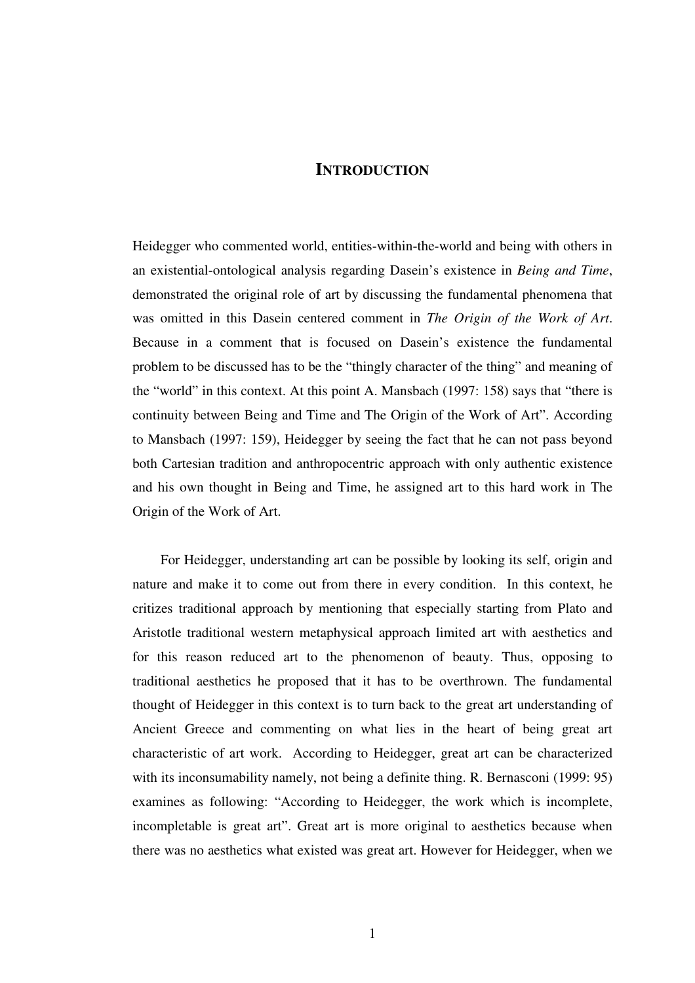## **INTRODUCTION**

Heidegger who commented world, entities-within-the-world and being with others in an existential-ontological analysis regarding Dasein's existence in *Being and Time*, demonstrated the original role of art by discussing the fundamental phenomena that was omitted in this Dasein centered comment in *The Origin of the Work of Art*. Because in a comment that is focused on Dasein's existence the fundamental problem to be discussed has to be the "thingly character of the thing" and meaning of the "world" in this context. At this point A. Mansbach (1997: 158) says that "there is continuity between Being and Time and The Origin of the Work of Art". According to Mansbach (1997: 159), Heidegger by seeing the fact that he can not pass beyond both Cartesian tradition and anthropocentric approach with only authentic existence and his own thought in Being and Time, he assigned art to this hard work in The Origin of the Work of Art.

 For Heidegger, understanding art can be possible by looking its self, origin and nature and make it to come out from there in every condition. In this context, he critizes traditional approach by mentioning that especially starting from Plato and Aristotle traditional western metaphysical approach limited art with aesthetics and for this reason reduced art to the phenomenon of beauty. Thus, opposing to traditional aesthetics he proposed that it has to be overthrown. The fundamental thought of Heidegger in this context is to turn back to the great art understanding of Ancient Greece and commenting on what lies in the heart of being great art characteristic of art work. According to Heidegger, great art can be characterized with its inconsumability namely, not being a definite thing. R. Bernasconi (1999: 95) examines as following: "According to Heidegger, the work which is incomplete, incompletable is great art". Great art is more original to aesthetics because when there was no aesthetics what existed was great art. However for Heidegger, when we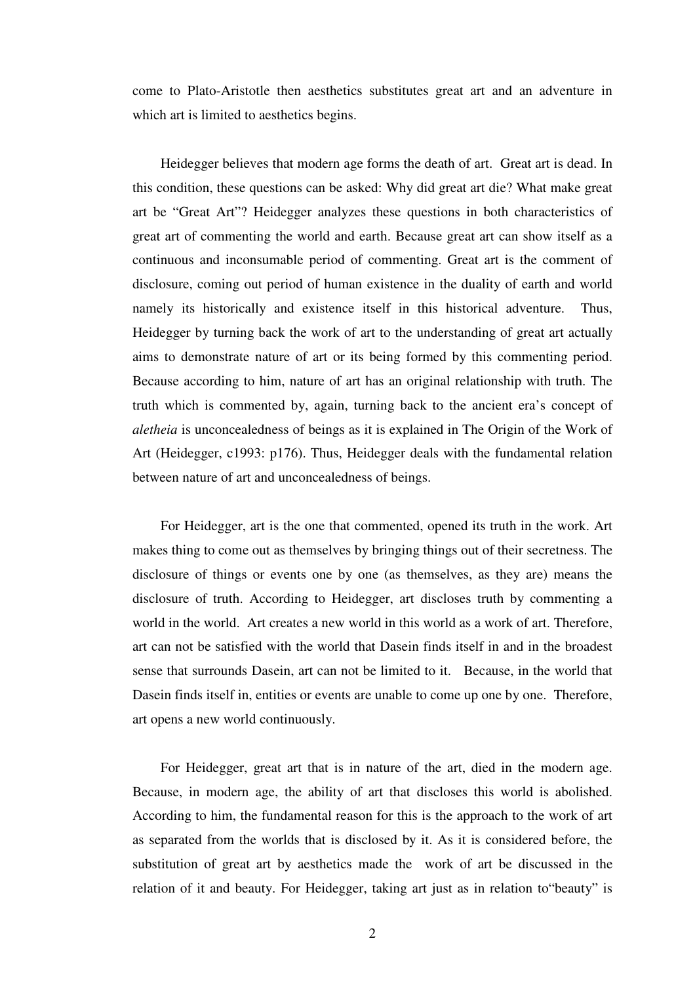come to Plato-Aristotle then aesthetics substitutes great art and an adventure in which art is limited to aesthetics begins.

 Heidegger believes that modern age forms the death of art. Great art is dead. In this condition, these questions can be asked: Why did great art die? What make great art be "Great Art"? Heidegger analyzes these questions in both characteristics of great art of commenting the world and earth. Because great art can show itself as a continuous and inconsumable period of commenting. Great art is the comment of disclosure, coming out period of human existence in the duality of earth and world namely its historically and existence itself in this historical adventure. Thus, Heidegger by turning back the work of art to the understanding of great art actually aims to demonstrate nature of art or its being formed by this commenting period. Because according to him, nature of art has an original relationship with truth. The truth which is commented by, again, turning back to the ancient era's concept of *aletheia* is unconcealedness of beings as it is explained in The Origin of the Work of Art (Heidegger, c1993: p176). Thus, Heidegger deals with the fundamental relation between nature of art and unconcealedness of beings.

 For Heidegger, art is the one that commented, opened its truth in the work. Art makes thing to come out as themselves by bringing things out of their secretness. The disclosure of things or events one by one (as themselves, as they are) means the disclosure of truth. According to Heidegger, art discloses truth by commenting a world in the world. Art creates a new world in this world as a work of art. Therefore, art can not be satisfied with the world that Dasein finds itself in and in the broadest sense that surrounds Dasein, art can not be limited to it. Because, in the world that Dasein finds itself in, entities or events are unable to come up one by one. Therefore, art opens a new world continuously.

 For Heidegger, great art that is in nature of the art, died in the modern age. Because, in modern age, the ability of art that discloses this world is abolished. According to him, the fundamental reason for this is the approach to the work of art as separated from the worlds that is disclosed by it. As it is considered before, the substitution of great art by aesthetics made the work of art be discussed in the relation of it and beauty. For Heidegger, taking art just as in relation to"beauty" is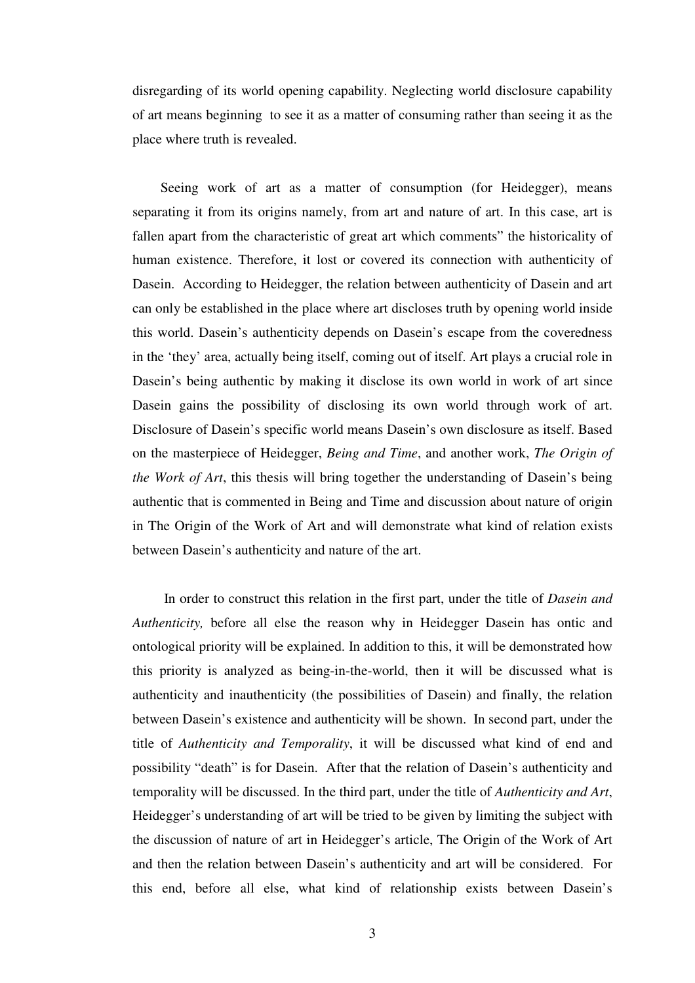disregarding of its world opening capability. Neglecting world disclosure capability of art means beginning to see it as a matter of consuming rather than seeing it as the place where truth is revealed.

Seeing work of art as a matter of consumption (for Heidegger), means separating it from its origins namely, from art and nature of art. In this case, art is fallen apart from the characteristic of great art which comments" the historicality of human existence. Therefore, it lost or covered its connection with authenticity of Dasein. According to Heidegger, the relation between authenticity of Dasein and art can only be established in the place where art discloses truth by opening world inside this world. Dasein's authenticity depends on Dasein's escape from the coveredness in the 'they' area, actually being itself, coming out of itself. Art plays a crucial role in Dasein's being authentic by making it disclose its own world in work of art since Dasein gains the possibility of disclosing its own world through work of art. Disclosure of Dasein's specific world means Dasein's own disclosure as itself. Based on the masterpiece of Heidegger, *Being and Time*, and another work, *The Origin of the Work of Art*, this thesis will bring together the understanding of Dasein's being authentic that is commented in Being and Time and discussion about nature of origin in The Origin of the Work of Art and will demonstrate what kind of relation exists between Dasein's authenticity and nature of the art.

 In order to construct this relation in the first part, under the title of *Dasein and Authenticity,* before all else the reason why in Heidegger Dasein has ontic and ontological priority will be explained. In addition to this, it will be demonstrated how this priority is analyzed as being-in-the-world, then it will be discussed what is authenticity and inauthenticity (the possibilities of Dasein) and finally, the relation between Dasein's existence and authenticity will be shown. In second part, under the title of *Authenticity and Temporality*, it will be discussed what kind of end and possibility "death" is for Dasein. After that the relation of Dasein's authenticity and temporality will be discussed. In the third part, under the title of *Authenticity and Art*, Heidegger's understanding of art will be tried to be given by limiting the subject with the discussion of nature of art in Heidegger's article, The Origin of the Work of Art and then the relation between Dasein's authenticity and art will be considered. For this end, before all else, what kind of relationship exists between Dasein's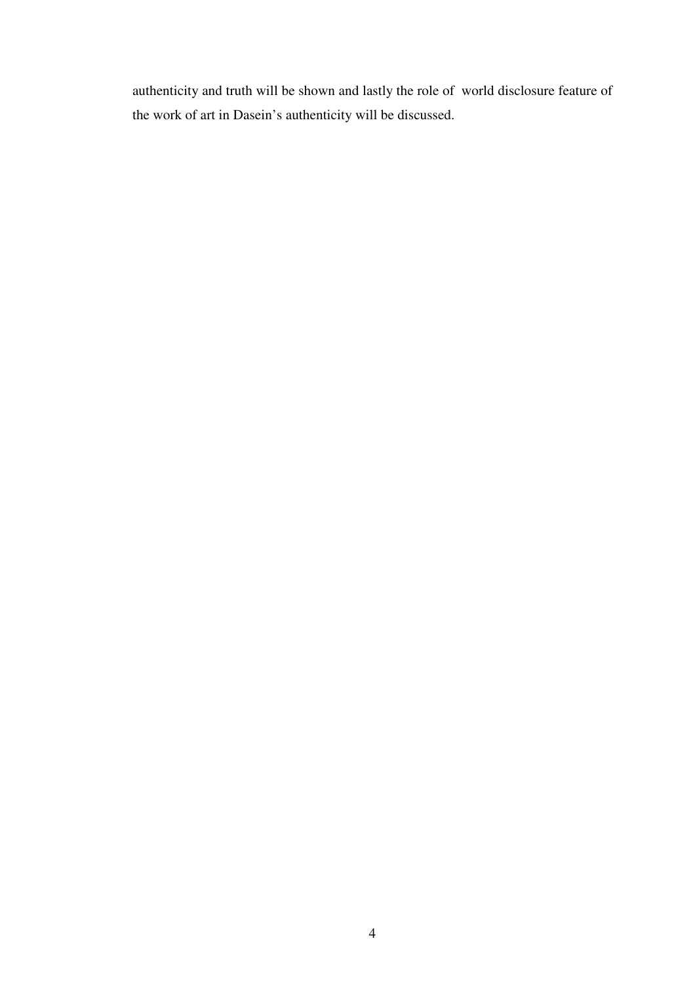authenticity and truth will be shown and lastly the role of world disclosure feature of the work of art in Dasein's authenticity will be discussed.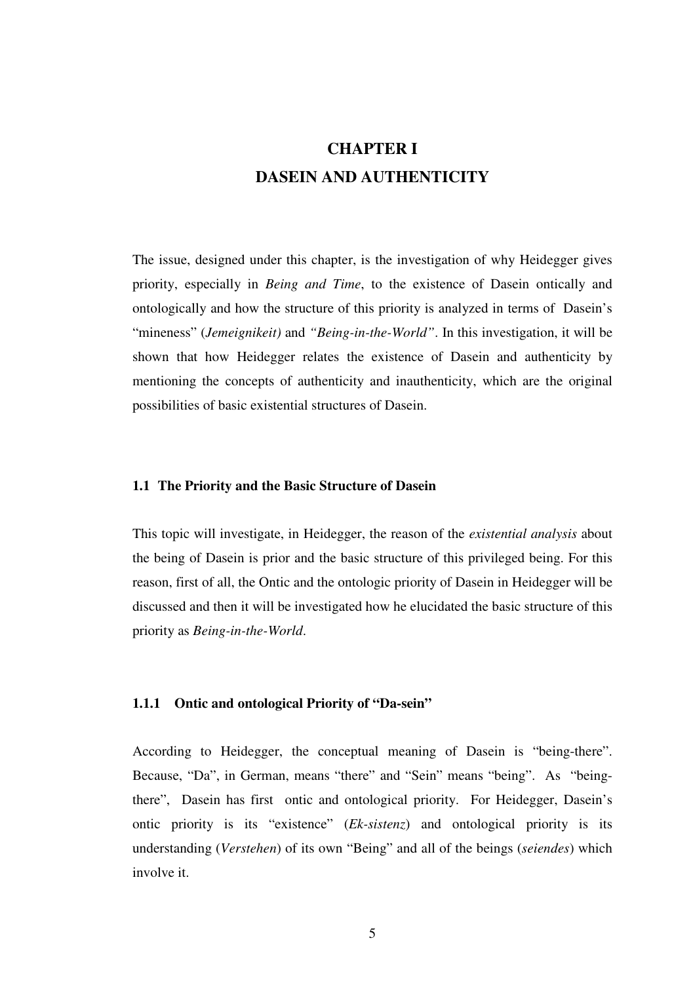# **CHAPTER I DASEIN AND AUTHENTICITY**

The issue, designed under this chapter, is the investigation of why Heidegger gives priority, especially in *Being and Time*, to the existence of Dasein ontically and ontologically and how the structure of this priority is analyzed in terms of Dasein's "mineness" (*Jemeignikeit)* and *"Being-in-the-World"*. In this investigation, it will be shown that how Heidegger relates the existence of Dasein and authenticity by mentioning the concepts of authenticity and inauthenticity, which are the original possibilities of basic existential structures of Dasein.

### **1.1 The Priority and the Basic Structure of Dasein**

This topic will investigate, in Heidegger, the reason of the *existential analysis* about the being of Dasein is prior and the basic structure of this privileged being. For this reason, first of all, the Ontic and the ontologic priority of Dasein in Heidegger will be discussed and then it will be investigated how he elucidated the basic structure of this priority as *Being-in-the-World*.

## **1.1.1 Ontic and ontological Priority of "Da-sein"**

According to Heidegger, the conceptual meaning of Dasein is "being-there". Because, "Da", in German, means "there" and "Sein" means "being". As "beingthere", Dasein has first ontic and ontological priority. For Heidegger, Dasein's ontic priority is its "existence" (*Ek-sistenz*) and ontological priority is its understanding (*Verstehen*) of its own "Being" and all of the beings (*seiendes*) which involve it.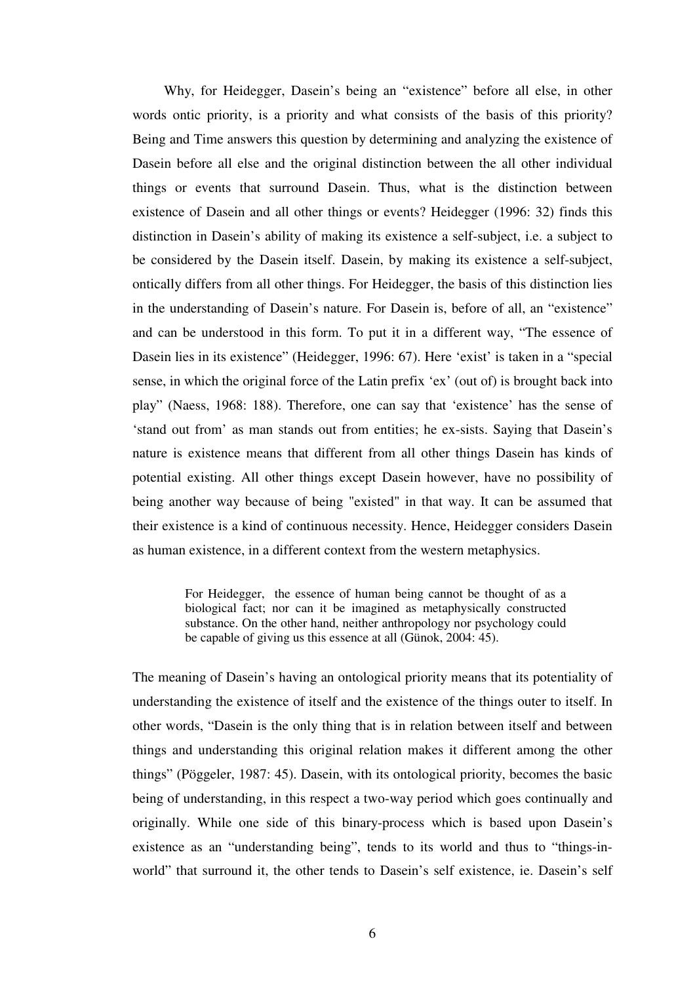Why, for Heidegger, Dasein's being an "existence" before all else, in other words ontic priority, is a priority and what consists of the basis of this priority? Being and Time answers this question by determining and analyzing the existence of Dasein before all else and the original distinction between the all other individual things or events that surround Dasein. Thus, what is the distinction between existence of Dasein and all other things or events? Heidegger (1996: 32) finds this distinction in Dasein's ability of making its existence a self-subject, i.e. a subject to be considered by the Dasein itself. Dasein, by making its existence a self-subject, ontically differs from all other things. For Heidegger, the basis of this distinction lies in the understanding of Dasein's nature. For Dasein is, before of all, an "existence" and can be understood in this form. To put it in a different way, "The essence of Dasein lies in its existence" (Heidegger, 1996: 67). Here 'exist' is taken in a "special sense, in which the original force of the Latin prefix 'ex' (out of) is brought back into play" (Naess, 1968: 188). Therefore, one can say that 'existence' has the sense of 'stand out from' as man stands out from entities; he ex-sists. Saying that Dasein's nature is existence means that different from all other things Dasein has kinds of potential existing. All other things except Dasein however, have no possibility of being another way because of being "existed" in that way. It can be assumed that their existence is a kind of continuous necessity. Hence, Heidegger considers Dasein as human existence, in a different context from the western metaphysics.

> For Heidegger, the essence of human being cannot be thought of as a biological fact; nor can it be imagined as metaphysically constructed substance. On the other hand, neither anthropology nor psychology could be capable of giving us this essence at all (Günok, 2004: 45).

The meaning of Dasein's having an ontological priority means that its potentiality of understanding the existence of itself and the existence of the things outer to itself. In other words, "Dasein is the only thing that is in relation between itself and between things and understanding this original relation makes it different among the other things" (Pöggeler, 1987: 45). Dasein, with its ontological priority, becomes the basic being of understanding, in this respect a two-way period which goes continually and originally. While one side of this binary-process which is based upon Dasein's existence as an "understanding being", tends to its world and thus to "things-inworld" that surround it, the other tends to Dasein's self existence, ie. Dasein's self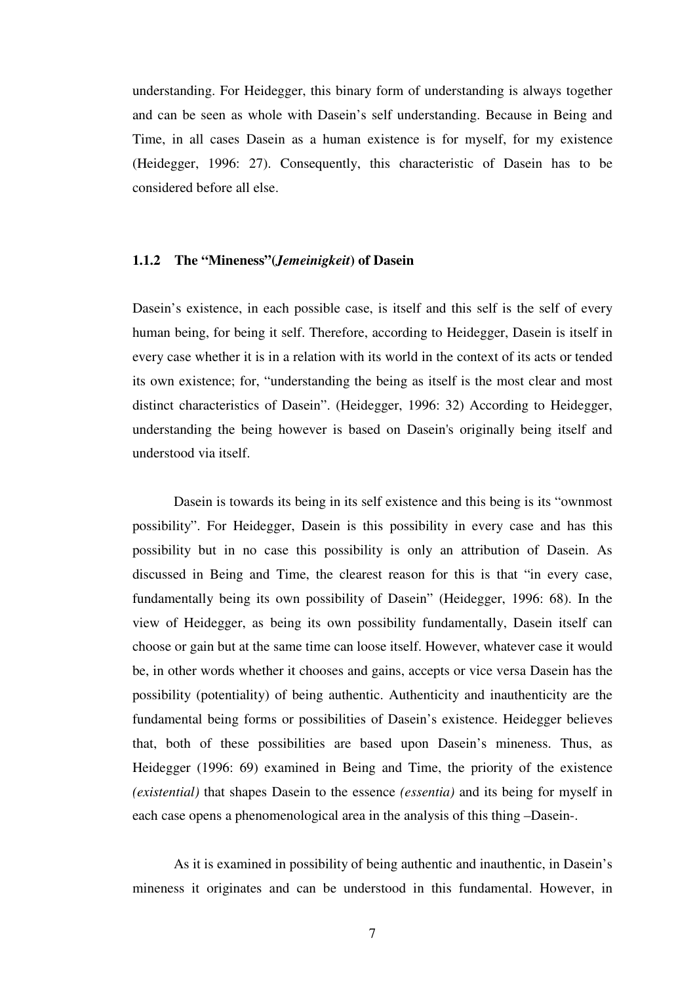understanding. For Heidegger, this binary form of understanding is always together and can be seen as whole with Dasein's self understanding. Because in Being and Time, in all cases Dasein as a human existence is for myself, for my existence (Heidegger, 1996: 27). Consequently, this characteristic of Dasein has to be considered before all else.

#### **1.1.2 The "Mineness"(***Jemeinigkeit***) of Dasein**

Dasein's existence, in each possible case, is itself and this self is the self of every human being, for being it self. Therefore, according to Heidegger, Dasein is itself in every case whether it is in a relation with its world in the context of its acts or tended its own existence; for, "understanding the being as itself is the most clear and most distinct characteristics of Dasein". (Heidegger, 1996: 32) According to Heidegger, understanding the being however is based on Dasein's originally being itself and understood via itself.

Dasein is towards its being in its self existence and this being is its "ownmost possibility". For Heidegger, Dasein is this possibility in every case and has this possibility but in no case this possibility is only an attribution of Dasein. As discussed in Being and Time, the clearest reason for this is that "in every case, fundamentally being its own possibility of Dasein" (Heidegger, 1996: 68). In the view of Heidegger, as being its own possibility fundamentally, Dasein itself can choose or gain but at the same time can loose itself. However, whatever case it would be, in other words whether it chooses and gains, accepts or vice versa Dasein has the possibility (potentiality) of being authentic. Authenticity and inauthenticity are the fundamental being forms or possibilities of Dasein's existence. Heidegger believes that, both of these possibilities are based upon Dasein's mineness. Thus, as Heidegger (1996: 69) examined in Being and Time, the priority of the existence *(existential)* that shapes Dasein to the essence *(essentia)* and its being for myself in each case opens a phenomenological area in the analysis of this thing –Dasein-.

As it is examined in possibility of being authentic and inauthentic, in Dasein's mineness it originates and can be understood in this fundamental. However, in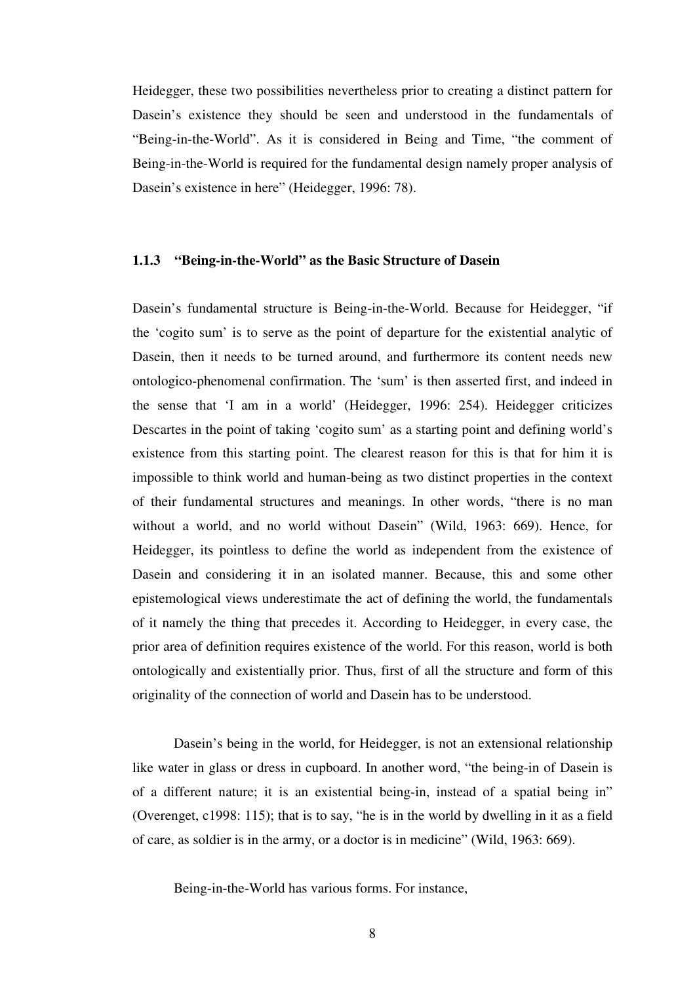Heidegger, these two possibilities nevertheless prior to creating a distinct pattern for Dasein's existence they should be seen and understood in the fundamentals of "Being-in-the-World". As it is considered in Being and Time, "the comment of Being-in-the-World is required for the fundamental design namely proper analysis of Dasein's existence in here" (Heidegger, 1996: 78).

#### **1.1.3 "Being-in-the-World" as the Basic Structure of Dasein**

Dasein's fundamental structure is Being-in-the-World. Because for Heidegger, "if the 'cogito sum' is to serve as the point of departure for the existential analytic of Dasein, then it needs to be turned around, and furthermore its content needs new ontologico-phenomenal confirmation. The 'sum' is then asserted first, and indeed in the sense that 'I am in a world' (Heidegger, 1996: 254). Heidegger criticizes Descartes in the point of taking 'cogito sum' as a starting point and defining world's existence from this starting point. The clearest reason for this is that for him it is impossible to think world and human-being as two distinct properties in the context of their fundamental structures and meanings. In other words, "there is no man without a world, and no world without Dasein" (Wild, 1963: 669). Hence, for Heidegger, its pointless to define the world as independent from the existence of Dasein and considering it in an isolated manner. Because, this and some other epistemological views underestimate the act of defining the world, the fundamentals of it namely the thing that precedes it. According to Heidegger, in every case, the prior area of definition requires existence of the world. For this reason, world is both ontologically and existentially prior. Thus, first of all the structure and form of this originality of the connection of world and Dasein has to be understood.

 Dasein's being in the world, for Heidegger, is not an extensional relationship like water in glass or dress in cupboard. In another word, "the being-in of Dasein is of a different nature; it is an existential being-in, instead of a spatial being in" (Overenget, c1998: 115); that is to say, "he is in the world by dwelling in it as a field of care, as soldier is in the army, or a doctor is in medicine" (Wild, 1963: 669).

Being-in-the-World has various forms. For instance,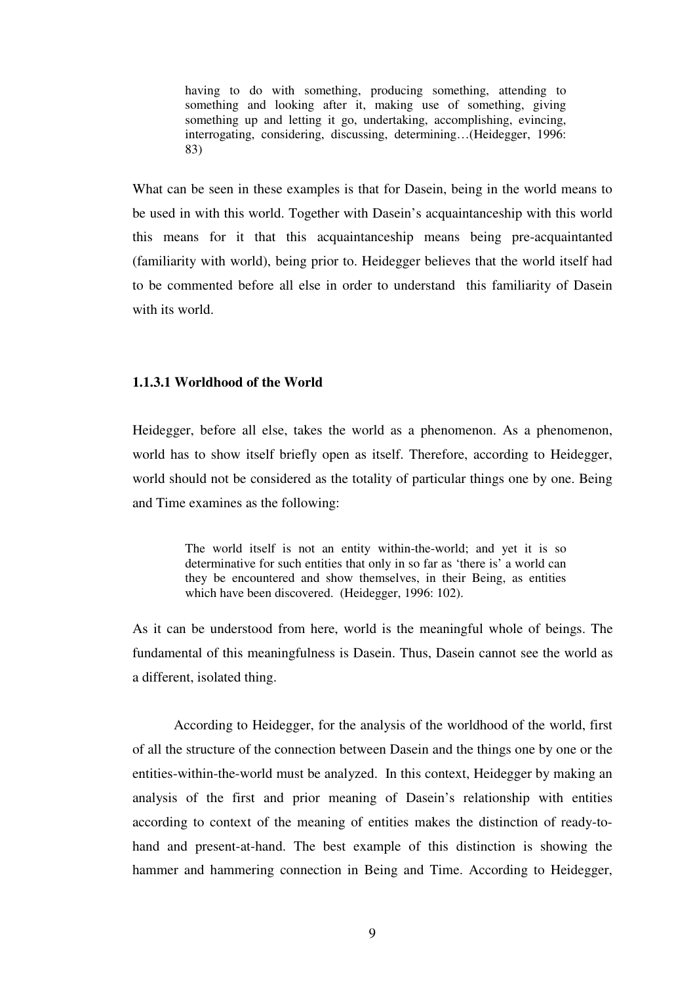having to do with something, producing something, attending to something and looking after it, making use of something, giving something up and letting it go, undertaking, accomplishing, evincing, interrogating, considering, discussing, determining…(Heidegger, 1996: 83)

What can be seen in these examples is that for Dasein, being in the world means to be used in with this world. Together with Dasein's acquaintanceship with this world this means for it that this acquaintanceship means being pre-acquaintanted (familiarity with world), being prior to. Heidegger believes that the world itself had to be commented before all else in order to understand this familiarity of Dasein with its world.

## **1.1.3.1 Worldhood of the World**

Heidegger, before all else, takes the world as a phenomenon. As a phenomenon, world has to show itself briefly open as itself. Therefore, according to Heidegger, world should not be considered as the totality of particular things one by one. Being and Time examines as the following:

> The world itself is not an entity within-the-world; and yet it is so determinative for such entities that only in so far as 'there is' a world can they be encountered and show themselves, in their Being, as entities which have been discovered. (Heidegger, 1996: 102).

As it can be understood from here, world is the meaningful whole of beings. The fundamental of this meaningfulness is Dasein. Thus, Dasein cannot see the world as a different, isolated thing.

 According to Heidegger, for the analysis of the worldhood of the world, first of all the structure of the connection between Dasein and the things one by one or the entities-within-the-world must be analyzed. In this context, Heidegger by making an analysis of the first and prior meaning of Dasein's relationship with entities according to context of the meaning of entities makes the distinction of ready-tohand and present-at-hand. The best example of this distinction is showing the hammer and hammering connection in Being and Time. According to Heidegger,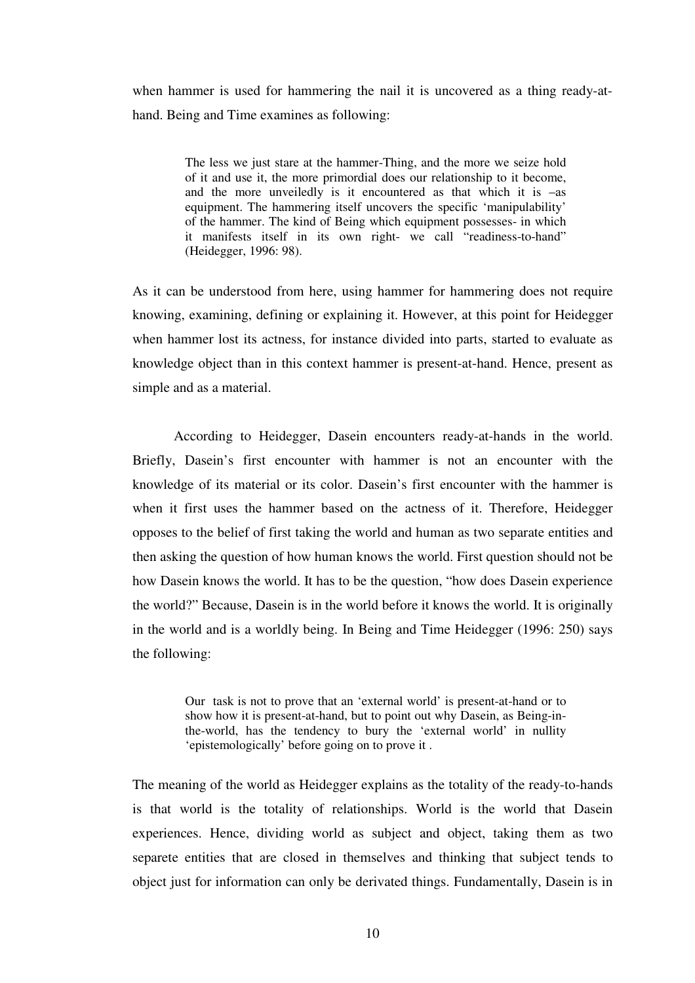when hammer is used for hammering the nail it is uncovered as a thing ready-athand. Being and Time examines as following:

> The less we just stare at the hammer-Thing, and the more we seize hold of it and use it, the more primordial does our relationship to it become, and the more unveiledly is it encountered as that which it is –as equipment. The hammering itself uncovers the specific 'manipulability' of the hammer. The kind of Being which equipment possesses- in which it manifests itself in its own right- we call "readiness-to-hand" (Heidegger, 1996: 98).

As it can be understood from here, using hammer for hammering does not require knowing, examining, defining or explaining it. However, at this point for Heidegger when hammer lost its actness, for instance divided into parts, started to evaluate as knowledge object than in this context hammer is present-at-hand. Hence, present as simple and as a material.

According to Heidegger, Dasein encounters ready-at-hands in the world. Briefly, Dasein's first encounter with hammer is not an encounter with the knowledge of its material or its color. Dasein's first encounter with the hammer is when it first uses the hammer based on the actness of it. Therefore, Heidegger opposes to the belief of first taking the world and human as two separate entities and then asking the question of how human knows the world. First question should not be how Dasein knows the world. It has to be the question, "how does Dasein experience the world?" Because, Dasein is in the world before it knows the world. It is originally in the world and is a worldly being. In Being and Time Heidegger (1996: 250) says the following:

> Our task is not to prove that an 'external world' is present-at-hand or to show how it is present-at-hand, but to point out why Dasein, as Being-inthe-world, has the tendency to bury the 'external world' in nullity 'epistemologically' before going on to prove it .

The meaning of the world as Heidegger explains as the totality of the ready-to-hands is that world is the totality of relationships. World is the world that Dasein experiences. Hence, dividing world as subject and object, taking them as two separete entities that are closed in themselves and thinking that subject tends to object just for information can only be derivated things. Fundamentally, Dasein is in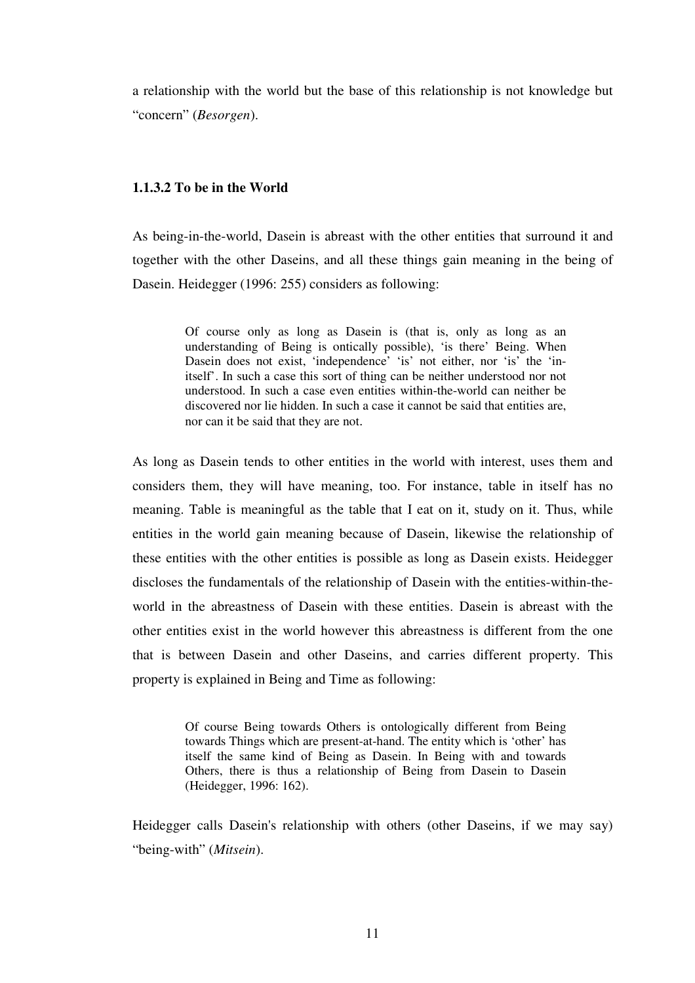a relationship with the world but the base of this relationship is not knowledge but "concern" (*Besorgen*).

## **1.1.3.2 To be in the World**

As being-in-the-world, Dasein is abreast with the other entities that surround it and together with the other Daseins, and all these things gain meaning in the being of Dasein. Heidegger (1996: 255) considers as following:

> Of course only as long as Dasein is (that is, only as long as an understanding of Being is ontically possible), 'is there' Being. When Dasein does not exist, 'independence' 'is' not either, nor 'is' the 'initself'. In such a case this sort of thing can be neither understood nor not understood. In such a case even entities within-the-world can neither be discovered nor lie hidden. In such a case it cannot be said that entities are, nor can it be said that they are not.

As long as Dasein tends to other entities in the world with interest, uses them and considers them, they will have meaning, too. For instance, table in itself has no meaning. Table is meaningful as the table that I eat on it, study on it. Thus, while entities in the world gain meaning because of Dasein, likewise the relationship of these entities with the other entities is possible as long as Dasein exists. Heidegger discloses the fundamentals of the relationship of Dasein with the entities-within-theworld in the abreastness of Dasein with these entities. Dasein is abreast with the other entities exist in the world however this abreastness is different from the one that is between Dasein and other Daseins, and carries different property. This property is explained in Being and Time as following:

> Of course Being towards Others is ontologically different from Being towards Things which are present-at-hand. The entity which is 'other' has itself the same kind of Being as Dasein. In Being with and towards Others, there is thus a relationship of Being from Dasein to Dasein (Heidegger, 1996: 162).

Heidegger calls Dasein's relationship with others (other Daseins, if we may say) "being-with" (*Mitsein*).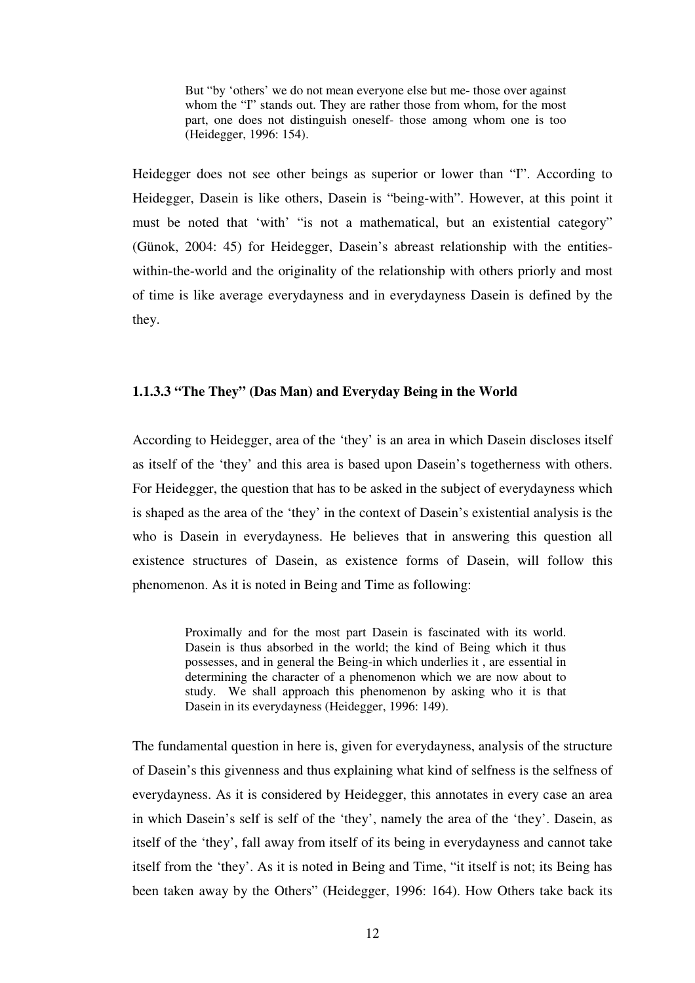But "by 'others' we do not mean everyone else but me- those over against whom the "I" stands out. They are rather those from whom, for the most part, one does not distinguish oneself- those among whom one is too (Heidegger, 1996: 154).

Heidegger does not see other beings as superior or lower than "I". According to Heidegger, Dasein is like others, Dasein is "being-with". However, at this point it must be noted that 'with' "is not a mathematical, but an existential category" (Günok, 2004: 45) for Heidegger, Dasein's abreast relationship with the entitieswithin-the-world and the originality of the relationship with others priorly and most of time is like average everydayness and in everydayness Dasein is defined by the they.

# **1.1.3.3 "The They" (Das Man) and Everyday Being in the World**

According to Heidegger, area of the 'they' is an area in which Dasein discloses itself as itself of the 'they' and this area is based upon Dasein's togetherness with others. For Heidegger, the question that has to be asked in the subject of everydayness which is shaped as the area of the 'they' in the context of Dasein's existential analysis is the who is Dasein in everydayness. He believes that in answering this question all existence structures of Dasein, as existence forms of Dasein, will follow this phenomenon. As it is noted in Being and Time as following:

> Proximally and for the most part Dasein is fascinated with its world. Dasein is thus absorbed in the world; the kind of Being which it thus possesses, and in general the Being-in which underlies it , are essential in determining the character of a phenomenon which we are now about to study. We shall approach this phenomenon by asking who it is that Dasein in its everydayness (Heidegger, 1996: 149).

The fundamental question in here is, given for everydayness, analysis of the structure of Dasein's this givenness and thus explaining what kind of selfness is the selfness of everydayness. As it is considered by Heidegger, this annotates in every case an area in which Dasein's self is self of the 'they', namely the area of the 'they'. Dasein, as itself of the 'they', fall away from itself of its being in everydayness and cannot take itself from the 'they'. As it is noted in Being and Time, "it itself is not; its Being has been taken away by the Others" (Heidegger, 1996: 164). How Others take back its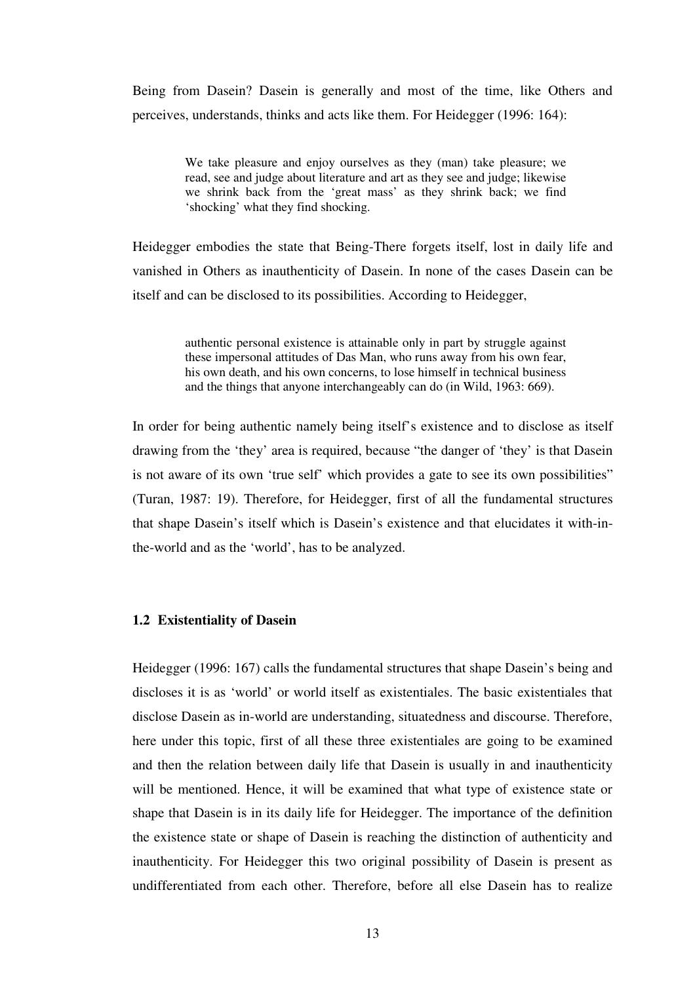Being from Dasein? Dasein is generally and most of the time, like Others and perceives, understands, thinks and acts like them. For Heidegger (1996: 164):

> We take pleasure and enjoy ourselves as they (man) take pleasure; we read, see and judge about literature and art as they see and judge; likewise we shrink back from the 'great mass' as they shrink back; we find 'shocking' what they find shocking.

Heidegger embodies the state that Being-There forgets itself, lost in daily life and vanished in Others as inauthenticity of Dasein. In none of the cases Dasein can be itself and can be disclosed to its possibilities. According to Heidegger,

> authentic personal existence is attainable only in part by struggle against these impersonal attitudes of Das Man, who runs away from his own fear, his own death, and his own concerns, to lose himself in technical business and the things that anyone interchangeably can do (in Wild, 1963: 669).

In order for being authentic namely being itself's existence and to disclose as itself drawing from the 'they' area is required, because "the danger of 'they' is that Dasein is not aware of its own 'true self' which provides a gate to see its own possibilities" (Turan, 1987: 19). Therefore, for Heidegger, first of all the fundamental structures that shape Dasein's itself which is Dasein's existence and that elucidates it with-inthe-world and as the 'world', has to be analyzed.

### **1.2 Existentiality of Dasein**

Heidegger (1996: 167) calls the fundamental structures that shape Dasein's being and discloses it is as 'world' or world itself as existentiales. The basic existentiales that disclose Dasein as in-world are understanding, situatedness and discourse. Therefore, here under this topic, first of all these three existentiales are going to be examined and then the relation between daily life that Dasein is usually in and inauthenticity will be mentioned. Hence, it will be examined that what type of existence state or shape that Dasein is in its daily life for Heidegger. The importance of the definition the existence state or shape of Dasein is reaching the distinction of authenticity and inauthenticity. For Heidegger this two original possibility of Dasein is present as undifferentiated from each other. Therefore, before all else Dasein has to realize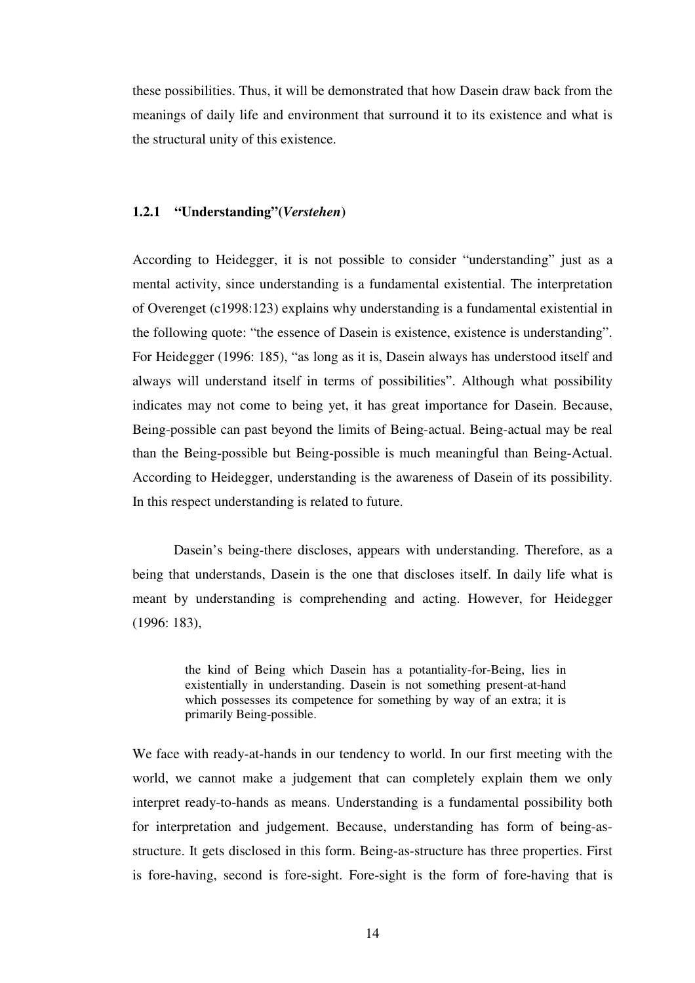these possibilities. Thus, it will be demonstrated that how Dasein draw back from the meanings of daily life and environment that surround it to its existence and what is the structural unity of this existence.

#### **1.2.1 "Understanding"(***Verstehen***)**

According to Heidegger, it is not possible to consider "understanding" just as a mental activity, since understanding is a fundamental existential. The interpretation of Overenget (c1998:123) explains why understanding is a fundamental existential in the following quote: "the essence of Dasein is existence, existence is understanding". For Heidegger (1996: 185), "as long as it is, Dasein always has understood itself and always will understand itself in terms of possibilities". Although what possibility indicates may not come to being yet, it has great importance for Dasein. Because, Being-possible can past beyond the limits of Being-actual. Being-actual may be real than the Being-possible but Being-possible is much meaningful than Being-Actual. According to Heidegger, understanding is the awareness of Dasein of its possibility. In this respect understanding is related to future.

Dasein's being-there discloses, appears with understanding. Therefore, as a being that understands, Dasein is the one that discloses itself. In daily life what is meant by understanding is comprehending and acting. However, for Heidegger (1996: 183),

> the kind of Being which Dasein has a potantiality-for-Being, lies in existentially in understanding. Dasein is not something present-at-hand which possesses its competence for something by way of an extra; it is primarily Being-possible.

We face with ready-at-hands in our tendency to world. In our first meeting with the world, we cannot make a judgement that can completely explain them we only interpret ready-to-hands as means. Understanding is a fundamental possibility both for interpretation and judgement. Because, understanding has form of being-asstructure. It gets disclosed in this form. Being-as-structure has three properties. First is fore-having, second is fore-sight. Fore-sight is the form of fore-having that is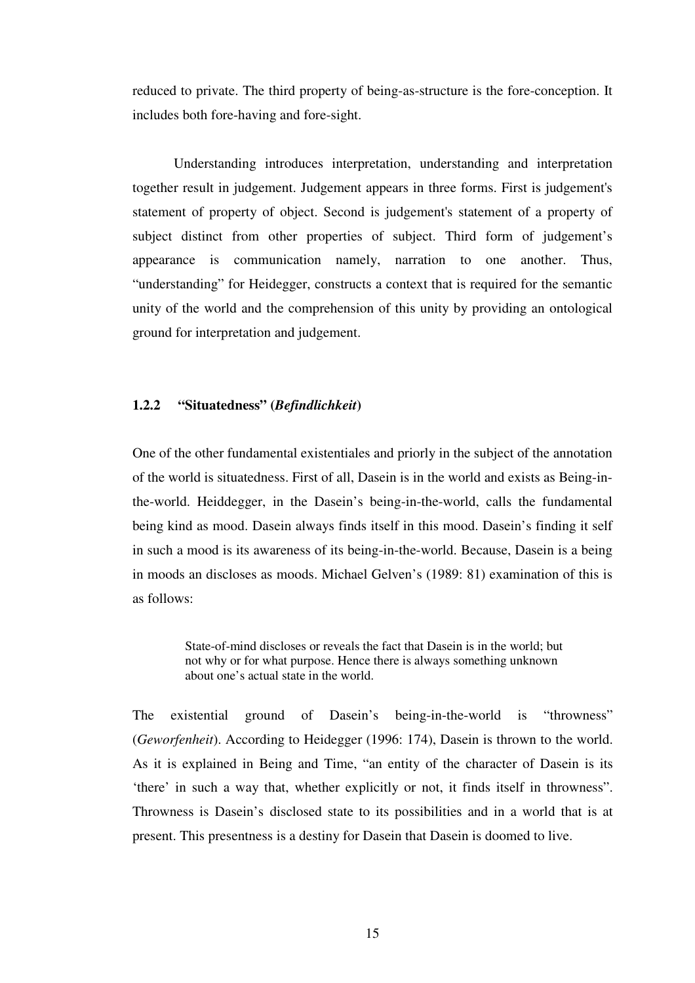reduced to private. The third property of being-as-structure is the fore-conception. It includes both fore-having and fore-sight.

Understanding introduces interpretation, understanding and interpretation together result in judgement. Judgement appears in three forms. First is judgement's statement of property of object. Second is judgement's statement of a property of subject distinct from other properties of subject. Third form of judgement's appearance is communication namely, narration to one another. Thus, "understanding" for Heidegger, constructs a context that is required for the semantic unity of the world and the comprehension of this unity by providing an ontological ground for interpretation and judgement.

## **1.2.2 "Situatedness" (***Befindlichkeit***)**

One of the other fundamental existentiales and priorly in the subject of the annotation of the world is situatedness. First of all, Dasein is in the world and exists as Being-inthe-world. Heiddegger, in the Dasein's being-in-the-world, calls the fundamental being kind as mood. Dasein always finds itself in this mood. Dasein's finding it self in such a mood is its awareness of its being-in-the-world. Because, Dasein is a being in moods an discloses as moods. Michael Gelven's (1989: 81) examination of this is as follows:

> State-of-mind discloses or reveals the fact that Dasein is in the world; but not why or for what purpose. Hence there is always something unknown about one's actual state in the world.

The existential ground of Dasein's being-in-the-world is "throwness" (*Geworfenheit*). According to Heidegger (1996: 174), Dasein is thrown to the world. As it is explained in Being and Time, "an entity of the character of Dasein is its 'there' in such a way that, whether explicitly or not, it finds itself in throwness". Throwness is Dasein's disclosed state to its possibilities and in a world that is at present. This presentness is a destiny for Dasein that Dasein is doomed to live.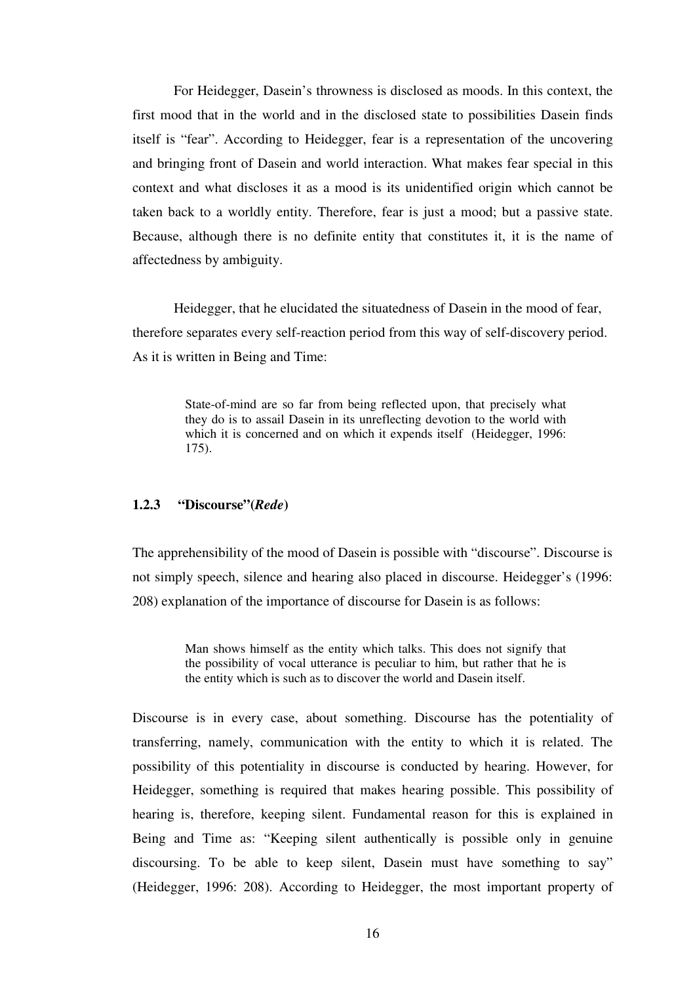For Heidegger, Dasein's throwness is disclosed as moods. In this context, the first mood that in the world and in the disclosed state to possibilities Dasein finds itself is "fear". According to Heidegger, fear is a representation of the uncovering and bringing front of Dasein and world interaction. What makes fear special in this context and what discloses it as a mood is its unidentified origin which cannot be taken back to a worldly entity. Therefore, fear is just a mood; but a passive state. Because, although there is no definite entity that constitutes it, it is the name of affectedness by ambiguity.

 Heidegger, that he elucidated the situatedness of Dasein in the mood of fear, therefore separates every self-reaction period from this way of self-discovery period. As it is written in Being and Time:

> State-of-mind are so far from being reflected upon, that precisely what they do is to assail Dasein in its unreflecting devotion to the world with which it is concerned and on which it expends itself (Heidegger, 1996: 175).

#### **1.2.3 "Discourse"(***Rede***)**

The apprehensibility of the mood of Dasein is possible with "discourse". Discourse is not simply speech, silence and hearing also placed in discourse. Heidegger's (1996: 208) explanation of the importance of discourse for Dasein is as follows:

> Man shows himself as the entity which talks. This does not signify that the possibility of vocal utterance is peculiar to him, but rather that he is the entity which is such as to discover the world and Dasein itself.

Discourse is in every case, about something. Discourse has the potentiality of transferring, namely, communication with the entity to which it is related. The possibility of this potentiality in discourse is conducted by hearing. However, for Heidegger, something is required that makes hearing possible. This possibility of hearing is, therefore, keeping silent. Fundamental reason for this is explained in Being and Time as: "Keeping silent authentically is possible only in genuine discoursing. To be able to keep silent, Dasein must have something to say" (Heidegger, 1996: 208). According to Heidegger, the most important property of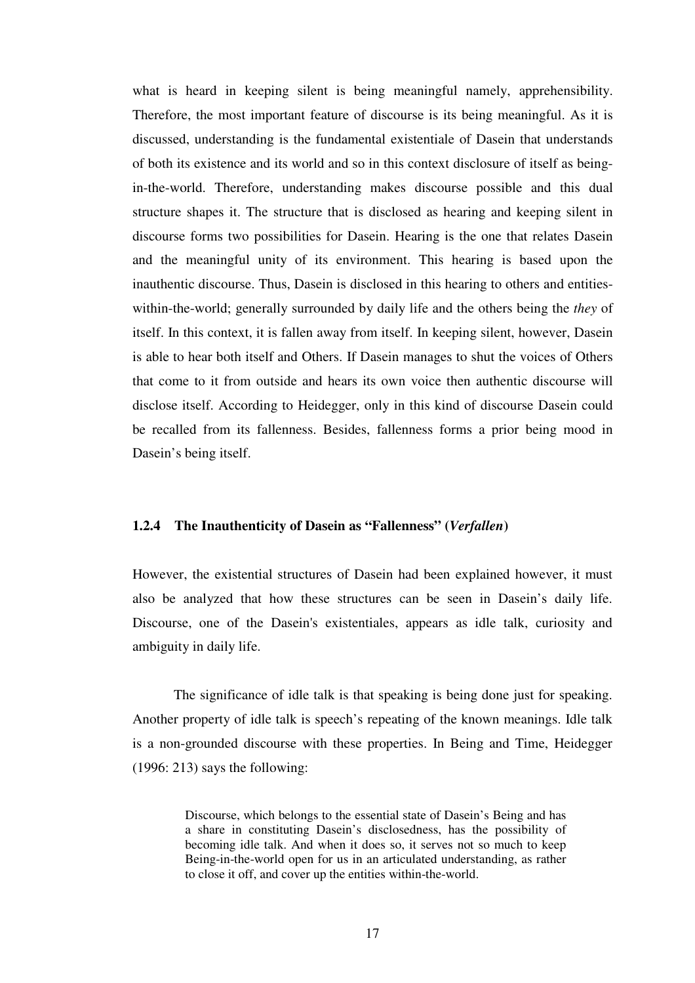what is heard in keeping silent is being meaningful namely, apprehensibility. Therefore, the most important feature of discourse is its being meaningful. As it is discussed, understanding is the fundamental existentiale of Dasein that understands of both its existence and its world and so in this context disclosure of itself as beingin-the-world. Therefore, understanding makes discourse possible and this dual structure shapes it. The structure that is disclosed as hearing and keeping silent in discourse forms two possibilities for Dasein. Hearing is the one that relates Dasein and the meaningful unity of its environment. This hearing is based upon the inauthentic discourse. Thus, Dasein is disclosed in this hearing to others and entitieswithin-the-world; generally surrounded by daily life and the others being the *they* of itself. In this context, it is fallen away from itself. In keeping silent, however, Dasein is able to hear both itself and Others. If Dasein manages to shut the voices of Others that come to it from outside and hears its own voice then authentic discourse will disclose itself. According to Heidegger, only in this kind of discourse Dasein could be recalled from its fallenness. Besides, fallenness forms a prior being mood in Dasein's being itself.

#### **1.2.4 The Inauthenticity of Dasein as "Fallenness" (***Verfallen***)**

However, the existential structures of Dasein had been explained however, it must also be analyzed that how these structures can be seen in Dasein's daily life. Discourse, one of the Dasein's existentiales, appears as idle talk, curiosity and ambiguity in daily life.

 The significance of idle talk is that speaking is being done just for speaking. Another property of idle talk is speech's repeating of the known meanings. Idle talk is a non-grounded discourse with these properties. In Being and Time, Heidegger (1996: 213) says the following:

> Discourse, which belongs to the essential state of Dasein's Being and has a share in constituting Dasein's disclosedness, has the possibility of becoming idle talk. And when it does so, it serves not so much to keep Being-in-the-world open for us in an articulated understanding, as rather to close it off, and cover up the entities within-the-world.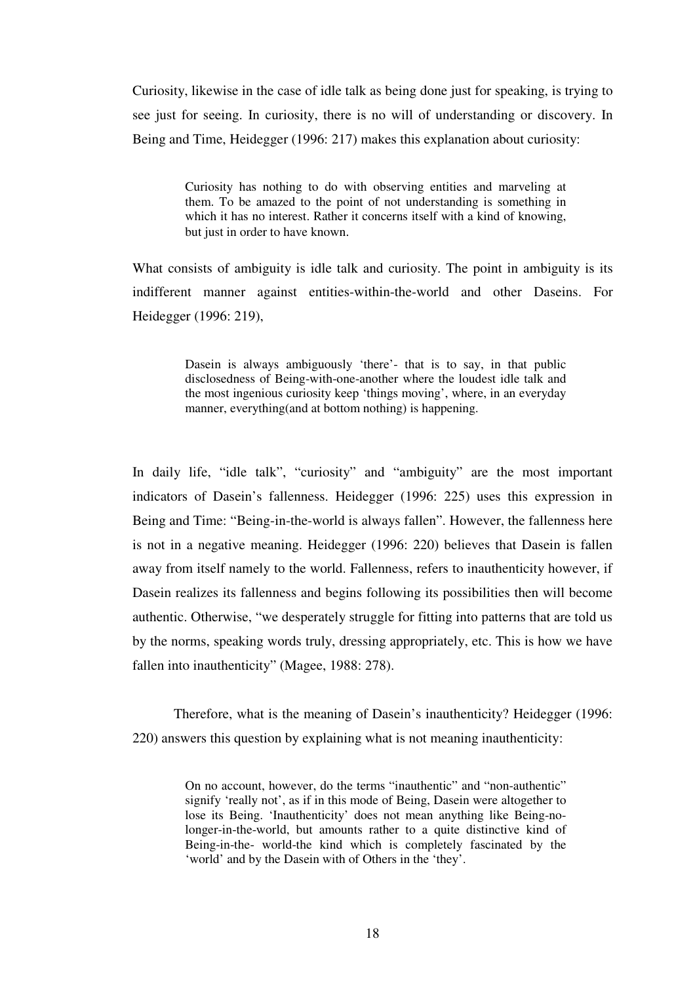Curiosity, likewise in the case of idle talk as being done just for speaking, is trying to see just for seeing. In curiosity, there is no will of understanding or discovery. In Being and Time, Heidegger (1996: 217) makes this explanation about curiosity:

> Curiosity has nothing to do with observing entities and marveling at them. To be amazed to the point of not understanding is something in which it has no interest. Rather it concerns itself with a kind of knowing, but just in order to have known.

What consists of ambiguity is idle talk and curiosity. The point in ambiguity is its indifferent manner against entities-within-the-world and other Daseins. For Heidegger (1996: 219),

> Dasein is always ambiguously 'there'- that is to say, in that public disclosedness of Being-with-one-another where the loudest idle talk and the most ingenious curiosity keep 'things moving', where, in an everyday manner, everything(and at bottom nothing) is happening.

In daily life, "idle talk", "curiosity" and "ambiguity" are the most important indicators of Dasein's fallenness. Heidegger (1996: 225) uses this expression in Being and Time: "Being-in-the-world is always fallen". However, the fallenness here is not in a negative meaning. Heidegger (1996: 220) believes that Dasein is fallen away from itself namely to the world. Fallenness, refers to inauthenticity however, if Dasein realizes its fallenness and begins following its possibilities then will become authentic. Otherwise, "we desperately struggle for fitting into patterns that are told us by the norms, speaking words truly, dressing appropriately, etc. This is how we have fallen into inauthenticity" (Magee, 1988: 278).

Therefore, what is the meaning of Dasein's inauthenticity? Heidegger (1996: 220) answers this question by explaining what is not meaning inauthenticity:

> On no account, however, do the terms "inauthentic" and "non-authentic" signify 'really not', as if in this mode of Being, Dasein were altogether to lose its Being. 'Inauthenticity' does not mean anything like Being-nolonger-in-the-world, but amounts rather to a quite distinctive kind of Being-in-the- world-the kind which is completely fascinated by the 'world' and by the Dasein with of Others in the 'they'.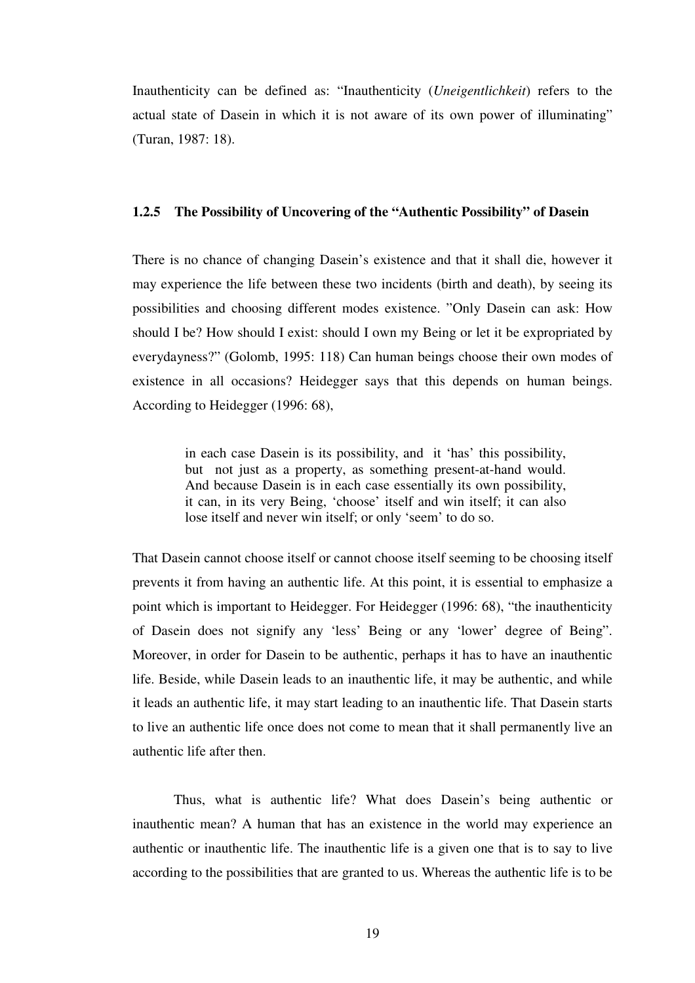Inauthenticity can be defined as: "Inauthenticity (*Uneigentlichkeit*) refers to the actual state of Dasein in which it is not aware of its own power of illuminating" (Turan, 1987: 18).

## **1.2.5 The Possibility of Uncovering of the "Authentic Possibility" of Dasein**

There is no chance of changing Dasein's existence and that it shall die, however it may experience the life between these two incidents (birth and death), by seeing its possibilities and choosing different modes existence. "Only Dasein can ask: How should I be? How should I exist: should I own my Being or let it be expropriated by everydayness?" (Golomb, 1995: 118) Can human beings choose their own modes of existence in all occasions? Heidegger says that this depends on human beings. According to Heidegger (1996: 68),

> in each case Dasein is its possibility, and it 'has' this possibility, but not just as a property, as something present-at-hand would. And because Dasein is in each case essentially its own possibility, it can, in its very Being, 'choose' itself and win itself; it can also lose itself and never win itself; or only 'seem' to do so.

That Dasein cannot choose itself or cannot choose itself seeming to be choosing itself prevents it from having an authentic life. At this point, it is essential to emphasize a point which is important to Heidegger. For Heidegger (1996: 68), "the inauthenticity of Dasein does not signify any 'less' Being or any 'lower' degree of Being". Moreover, in order for Dasein to be authentic, perhaps it has to have an inauthentic life. Beside, while Dasein leads to an inauthentic life, it may be authentic, and while it leads an authentic life, it may start leading to an inauthentic life. That Dasein starts to live an authentic life once does not come to mean that it shall permanently live an authentic life after then.

Thus, what is authentic life? What does Dasein's being authentic or inauthentic mean? A human that has an existence in the world may experience an authentic or inauthentic life. The inauthentic life is a given one that is to say to live according to the possibilities that are granted to us. Whereas the authentic life is to be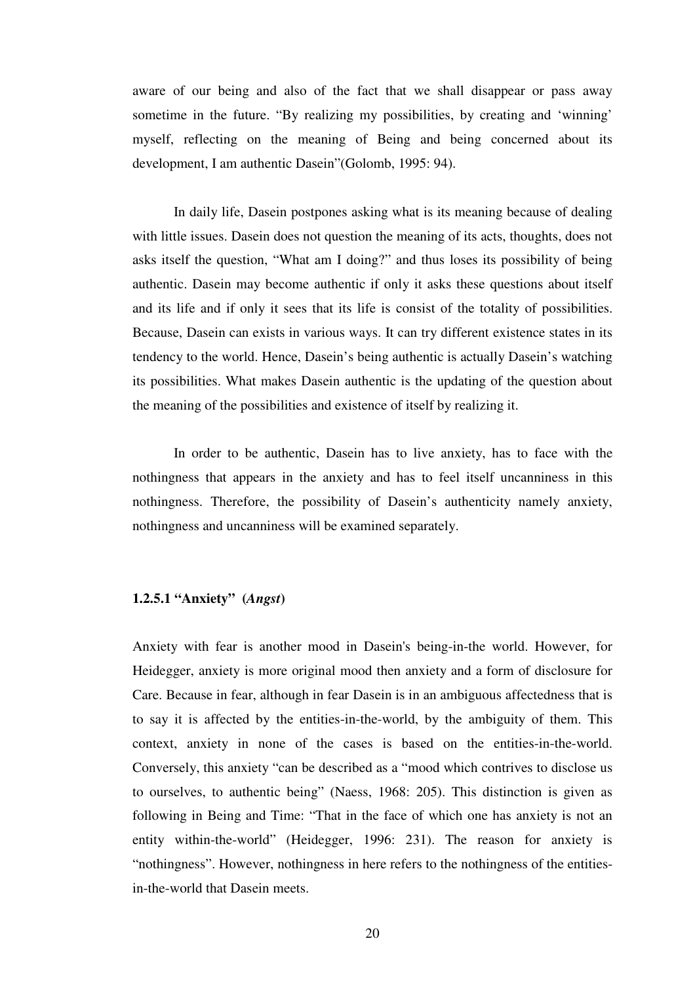aware of our being and also of the fact that we shall disappear or pass away sometime in the future. "By realizing my possibilities, by creating and 'winning' myself, reflecting on the meaning of Being and being concerned about its development, I am authentic Dasein"(Golomb, 1995: 94).

In daily life, Dasein postpones asking what is its meaning because of dealing with little issues. Dasein does not question the meaning of its acts, thoughts, does not asks itself the question, "What am I doing?" and thus loses its possibility of being authentic. Dasein may become authentic if only it asks these questions about itself and its life and if only it sees that its life is consist of the totality of possibilities. Because, Dasein can exists in various ways. It can try different existence states in its tendency to the world. Hence, Dasein's being authentic is actually Dasein's watching its possibilities. What makes Dasein authentic is the updating of the question about the meaning of the possibilities and existence of itself by realizing it.

In order to be authentic, Dasein has to live anxiety, has to face with the nothingness that appears in the anxiety and has to feel itself uncanniness in this nothingness. Therefore, the possibility of Dasein's authenticity namely anxiety, nothingness and uncanniness will be examined separately.

## **1.2.5.1 "Anxiety" (***Angst***)**

Anxiety with fear is another mood in Dasein's being-in-the world. However, for Heidegger, anxiety is more original mood then anxiety and a form of disclosure for Care. Because in fear, although in fear Dasein is in an ambiguous affectedness that is to say it is affected by the entities-in-the-world, by the ambiguity of them. This context, anxiety in none of the cases is based on the entities-in-the-world. Conversely, this anxiety "can be described as a "mood which contrives to disclose us to ourselves, to authentic being" (Naess, 1968: 205). This distinction is given as following in Being and Time: "That in the face of which one has anxiety is not an entity within-the-world" (Heidegger, 1996: 231). The reason for anxiety is "nothingness". However, nothingness in here refers to the nothingness of the entitiesin-the-world that Dasein meets.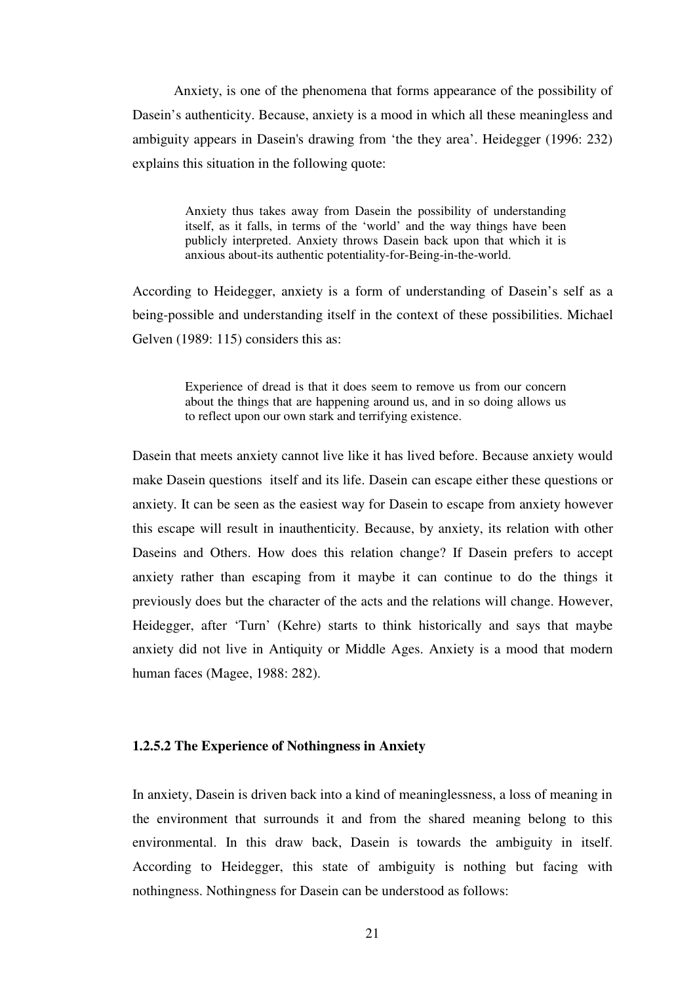Anxiety, is one of the phenomena that forms appearance of the possibility of Dasein's authenticity. Because, anxiety is a mood in which all these meaningless and ambiguity appears in Dasein's drawing from 'the they area'. Heidegger (1996: 232) explains this situation in the following quote:

> Anxiety thus takes away from Dasein the possibility of understanding itself, as it falls, in terms of the 'world' and the way things have been publicly interpreted. Anxiety throws Dasein back upon that which it is anxious about-its authentic potentiality-for-Being-in-the-world.

According to Heidegger, anxiety is a form of understanding of Dasein's self as a being-possible and understanding itself in the context of these possibilities. Michael Gelven (1989: 115) considers this as:

> Experience of dread is that it does seem to remove us from our concern about the things that are happening around us, and in so doing allows us to reflect upon our own stark and terrifying existence.

Dasein that meets anxiety cannot live like it has lived before. Because anxiety would make Dasein questions itself and its life. Dasein can escape either these questions or anxiety. It can be seen as the easiest way for Dasein to escape from anxiety however this escape will result in inauthenticity. Because, by anxiety, its relation with other Daseins and Others. How does this relation change? If Dasein prefers to accept anxiety rather than escaping from it maybe it can continue to do the things it previously does but the character of the acts and the relations will change. However, Heidegger, after 'Turn' (Kehre) starts to think historically and says that maybe anxiety did not live in Antiquity or Middle Ages. Anxiety is a mood that modern human faces (Magee, 1988: 282).

## **1.2.5.2 The Experience of Nothingness in Anxiety**

In anxiety, Dasein is driven back into a kind of meaninglessness, a loss of meaning in the environment that surrounds it and from the shared meaning belong to this environmental. In this draw back, Dasein is towards the ambiguity in itself. According to Heidegger, this state of ambiguity is nothing but facing with nothingness. Nothingness for Dasein can be understood as follows: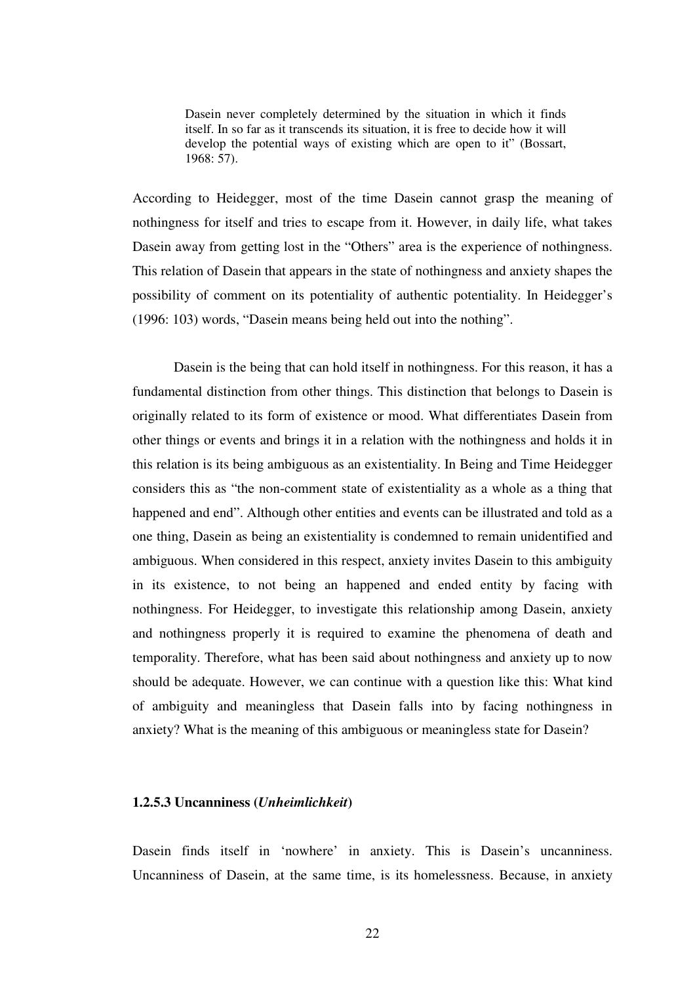Dasein never completely determined by the situation in which it finds itself. In so far as it transcends its situation, it is free to decide how it will develop the potential ways of existing which are open to it" (Bossart, 1968: 57).

According to Heidegger, most of the time Dasein cannot grasp the meaning of nothingness for itself and tries to escape from it. However, in daily life, what takes Dasein away from getting lost in the "Others" area is the experience of nothingness. This relation of Dasein that appears in the state of nothingness and anxiety shapes the possibility of comment on its potentiality of authentic potentiality. In Heidegger's (1996: 103) words, "Dasein means being held out into the nothing".

Dasein is the being that can hold itself in nothingness. For this reason, it has a fundamental distinction from other things. This distinction that belongs to Dasein is originally related to its form of existence or mood. What differentiates Dasein from other things or events and brings it in a relation with the nothingness and holds it in this relation is its being ambiguous as an existentiality. In Being and Time Heidegger considers this as "the non-comment state of existentiality as a whole as a thing that happened and end". Although other entities and events can be illustrated and told as a one thing, Dasein as being an existentiality is condemned to remain unidentified and ambiguous. When considered in this respect, anxiety invites Dasein to this ambiguity in its existence, to not being an happened and ended entity by facing with nothingness. For Heidegger, to investigate this relationship among Dasein, anxiety and nothingness properly it is required to examine the phenomena of death and temporality. Therefore, what has been said about nothingness and anxiety up to now should be adequate. However, we can continue with a question like this: What kind of ambiguity and meaningless that Dasein falls into by facing nothingness in anxiety? What is the meaning of this ambiguous or meaningless state for Dasein?

#### **1.2.5.3 Uncanniness (***Unheimlichkeit***)**

Dasein finds itself in 'nowhere' in anxiety. This is Dasein's uncanniness. Uncanniness of Dasein, at the same time, is its homelessness. Because, in anxiety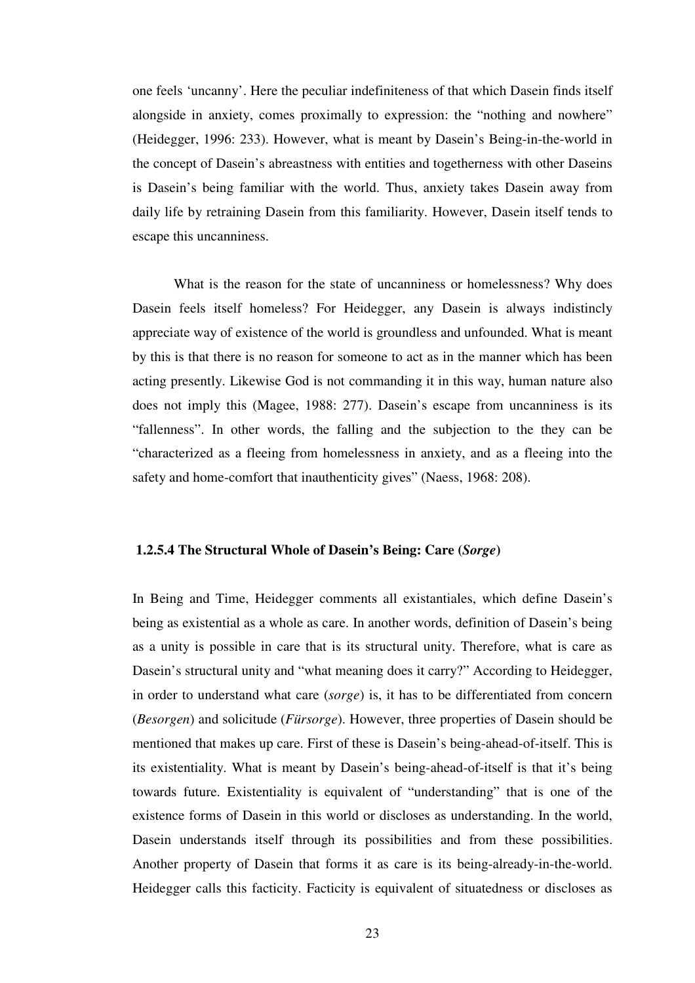one feels 'uncanny'. Here the peculiar indefiniteness of that which Dasein finds itself alongside in anxiety, comes proximally to expression: the "nothing and nowhere" (Heidegger, 1996: 233). However, what is meant by Dasein's Being-in-the-world in the concept of Dasein's abreastness with entities and togetherness with other Daseins is Dasein's being familiar with the world. Thus, anxiety takes Dasein away from daily life by retraining Dasein from this familiarity. However, Dasein itself tends to escape this uncanniness.

 What is the reason for the state of uncanniness or homelessness? Why does Dasein feels itself homeless? For Heidegger, any Dasein is always indistincly appreciate way of existence of the world is groundless and unfounded. What is meant by this is that there is no reason for someone to act as in the manner which has been acting presently. Likewise God is not commanding it in this way, human nature also does not imply this (Magee, 1988: 277). Dasein's escape from uncanniness is its "fallenness". In other words, the falling and the subjection to the they can be "characterized as a fleeing from homelessness in anxiety, and as a fleeing into the safety and home-comfort that inauthenticity gives" (Naess, 1968: 208).

### **1.2.5.4 The Structural Whole of Dasein's Being: Care (***Sorge***)**

In Being and Time, Heidegger comments all existantiales, which define Dasein's being as existential as a whole as care. In another words, definition of Dasein's being as a unity is possible in care that is its structural unity. Therefore, what is care as Dasein's structural unity and "what meaning does it carry?" According to Heidegger, in order to understand what care (*sorge*) is, it has to be differentiated from concern (*Besorgen*) and solicitude (*Fürsorge*). However, three properties of Dasein should be mentioned that makes up care. First of these is Dasein's being-ahead-of-itself. This is its existentiality. What is meant by Dasein's being-ahead-of-itself is that it's being towards future. Existentiality is equivalent of "understanding" that is one of the existence forms of Dasein in this world or discloses as understanding. In the world, Dasein understands itself through its possibilities and from these possibilities. Another property of Dasein that forms it as care is its being-already-in-the-world. Heidegger calls this facticity. Facticity is equivalent of situatedness or discloses as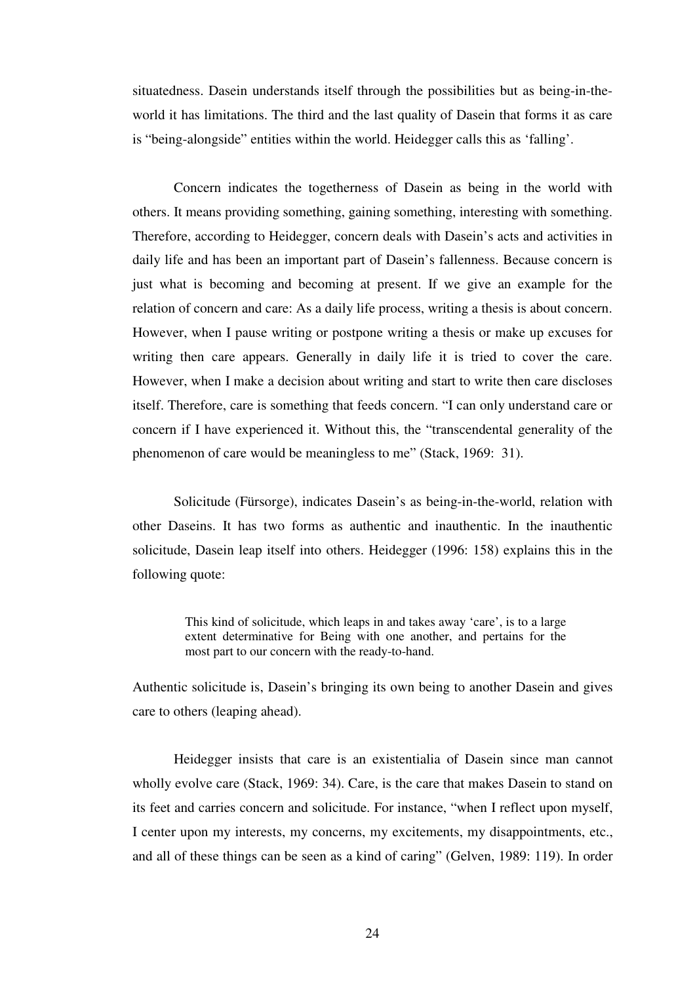situatedness. Dasein understands itself through the possibilities but as being-in-theworld it has limitations. The third and the last quality of Dasein that forms it as care is "being-alongside" entities within the world. Heidegger calls this as 'falling'.

 Concern indicates the togetherness of Dasein as being in the world with others. It means providing something, gaining something, interesting with something. Therefore, according to Heidegger, concern deals with Dasein's acts and activities in daily life and has been an important part of Dasein's fallenness. Because concern is just what is becoming and becoming at present. If we give an example for the relation of concern and care: As a daily life process, writing a thesis is about concern. However, when I pause writing or postpone writing a thesis or make up excuses for writing then care appears. Generally in daily life it is tried to cover the care. However, when I make a decision about writing and start to write then care discloses itself. Therefore, care is something that feeds concern. "I can only understand care or concern if I have experienced it. Without this, the "transcendental generality of the phenomenon of care would be meaningless to me" (Stack, 1969: 31).

 Solicitude (Fürsorge), indicates Dasein's as being-in-the-world, relation with other Daseins. It has two forms as authentic and inauthentic. In the inauthentic solicitude, Dasein leap itself into others. Heidegger (1996: 158) explains this in the following quote:

> This kind of solicitude, which leaps in and takes away 'care', is to a large extent determinative for Being with one another, and pertains for the most part to our concern with the ready-to-hand.

Authentic solicitude is, Dasein's bringing its own being to another Dasein and gives care to others (leaping ahead).

Heidegger insists that care is an existentialia of Dasein since man cannot wholly evolve care (Stack, 1969: 34). Care, is the care that makes Dasein to stand on its feet and carries concern and solicitude. For instance, "when I reflect upon myself, I center upon my interests, my concerns, my excitements, my disappointments, etc., and all of these things can be seen as a kind of caring" (Gelven, 1989: 119). In order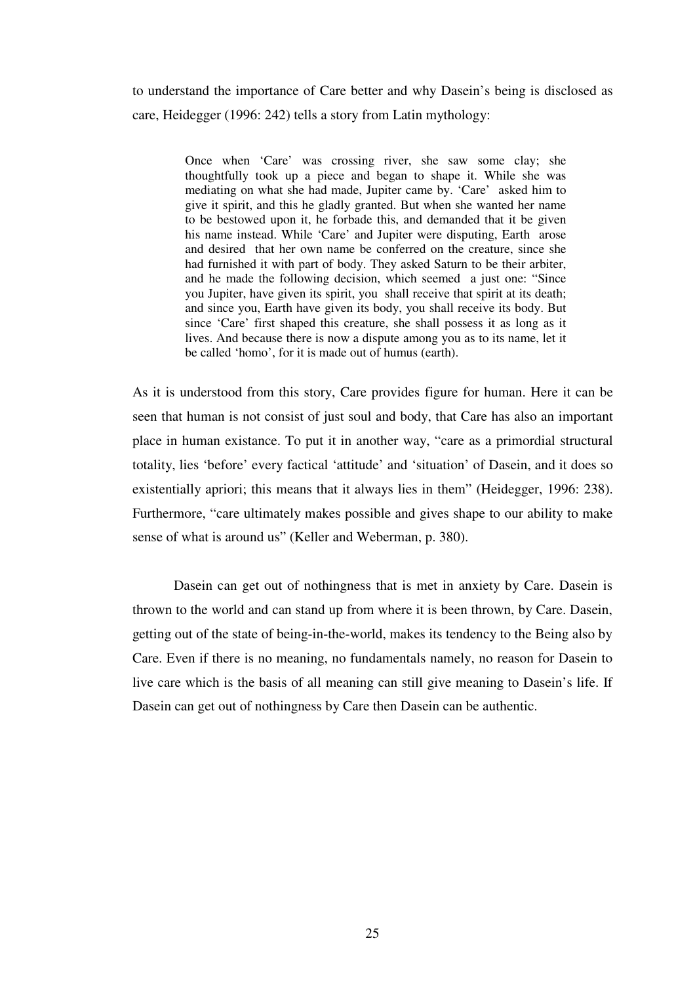to understand the importance of Care better and why Dasein's being is disclosed as care, Heidegger (1996: 242) tells a story from Latin mythology:

> Once when 'Care' was crossing river, she saw some clay; she thoughtfully took up a piece and began to shape it. While she was mediating on what she had made, Jupiter came by. 'Care' asked him to give it spirit, and this he gladly granted. But when she wanted her name to be bestowed upon it, he forbade this, and demanded that it be given his name instead. While 'Care' and Jupiter were disputing, Earth arose and desired that her own name be conferred on the creature, since she had furnished it with part of body. They asked Saturn to be their arbiter, and he made the following decision, which seemed a just one: "Since you Jupiter, have given its spirit, you shall receive that spirit at its death; and since you, Earth have given its body, you shall receive its body. But since 'Care' first shaped this creature, she shall possess it as long as it lives. And because there is now a dispute among you as to its name, let it be called 'homo', for it is made out of humus (earth).

As it is understood from this story, Care provides figure for human. Here it can be seen that human is not consist of just soul and body, that Care has also an important place in human existance. To put it in another way, "care as a primordial structural totality, lies 'before' every factical 'attitude' and 'situation' of Dasein, and it does so existentially apriori; this means that it always lies in them" (Heidegger, 1996: 238). Furthermore, "care ultimately makes possible and gives shape to our ability to make sense of what is around us" (Keller and Weberman, p. 380).

Dasein can get out of nothingness that is met in anxiety by Care. Dasein is thrown to the world and can stand up from where it is been thrown, by Care. Dasein, getting out of the state of being-in-the-world, makes its tendency to the Being also by Care. Even if there is no meaning, no fundamentals namely, no reason for Dasein to live care which is the basis of all meaning can still give meaning to Dasein's life. If Dasein can get out of nothingness by Care then Dasein can be authentic.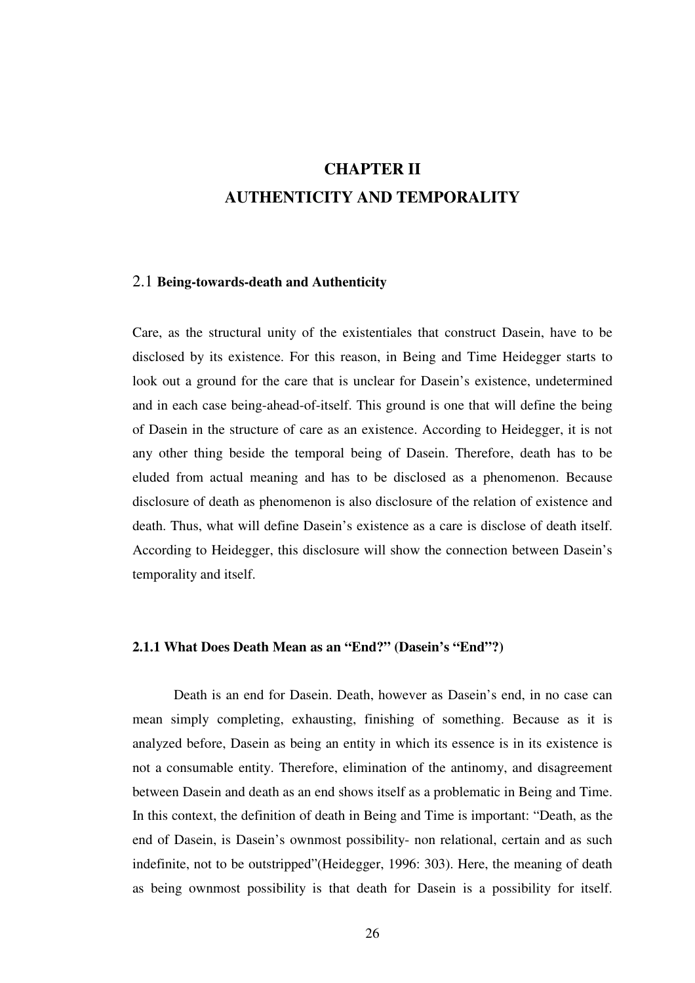# **CHAPTER II AUTHENTICITY AND TEMPORALITY**

#### 2.1 **Being-towards-death and Authenticity**

Care, as the structural unity of the existentiales that construct Dasein, have to be disclosed by its existence. For this reason, in Being and Time Heidegger starts to look out a ground for the care that is unclear for Dasein's existence, undetermined and in each case being-ahead-of-itself. This ground is one that will define the being of Dasein in the structure of care as an existence. According to Heidegger, it is not any other thing beside the temporal being of Dasein. Therefore, death has to be eluded from actual meaning and has to be disclosed as a phenomenon. Because disclosure of death as phenomenon is also disclosure of the relation of existence and death. Thus, what will define Dasein's existence as a care is disclose of death itself. According to Heidegger, this disclosure will show the connection between Dasein's temporality and itself.

## **2.1.1 What Does Death Mean as an "End?" (Dasein's "End"?)**

Death is an end for Dasein. Death, however as Dasein's end, in no case can mean simply completing, exhausting, finishing of something. Because as it is analyzed before, Dasein as being an entity in which its essence is in its existence is not a consumable entity. Therefore, elimination of the antinomy, and disagreement between Dasein and death as an end shows itself as a problematic in Being and Time. In this context, the definition of death in Being and Time is important: "Death, as the end of Dasein, is Dasein's ownmost possibility- non relational, certain and as such indefinite, not to be outstripped"(Heidegger, 1996: 303). Here, the meaning of death as being ownmost possibility is that death for Dasein is a possibility for itself.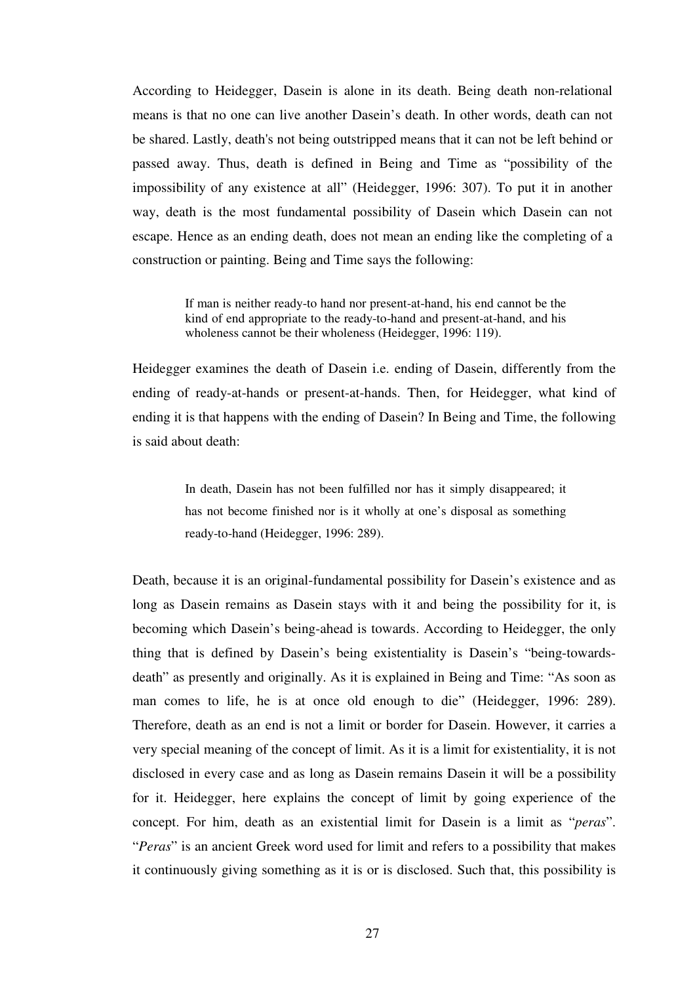According to Heidegger, Dasein is alone in its death. Being death non-relational means is that no one can live another Dasein's death. In other words, death can not be shared. Lastly, death's not being outstripped means that it can not be left behind or passed away. Thus, death is defined in Being and Time as "possibility of the impossibility of any existence at all" (Heidegger, 1996: 307). To put it in another way, death is the most fundamental possibility of Dasein which Dasein can not escape. Hence as an ending death, does not mean an ending like the completing of a construction or painting. Being and Time says the following:

> If man is neither ready-to hand nor present-at-hand, his end cannot be the kind of end appropriate to the ready-to-hand and present-at-hand, and his wholeness cannot be their wholeness (Heidegger, 1996: 119).

Heidegger examines the death of Dasein i.e. ending of Dasein, differently from the ending of ready-at-hands or present-at-hands. Then, for Heidegger, what kind of ending it is that happens with the ending of Dasein? In Being and Time, the following is said about death:

> In death, Dasein has not been fulfilled nor has it simply disappeared; it has not become finished nor is it wholly at one's disposal as something ready-to-hand (Heidegger, 1996: 289).

Death, because it is an original-fundamental possibility for Dasein's existence and as long as Dasein remains as Dasein stays with it and being the possibility for it, is becoming which Dasein's being-ahead is towards. According to Heidegger, the only thing that is defined by Dasein's being existentiality is Dasein's "being-towardsdeath" as presently and originally. As it is explained in Being and Time: "As soon as man comes to life, he is at once old enough to die" (Heidegger, 1996: 289). Therefore, death as an end is not a limit or border for Dasein. However, it carries a very special meaning of the concept of limit. As it is a limit for existentiality, it is not disclosed in every case and as long as Dasein remains Dasein it will be a possibility for it. Heidegger, here explains the concept of limit by going experience of the concept. For him, death as an existential limit for Dasein is a limit as "*peras*". "*Peras*" is an ancient Greek word used for limit and refers to a possibility that makes it continuously giving something as it is or is disclosed. Such that, this possibility is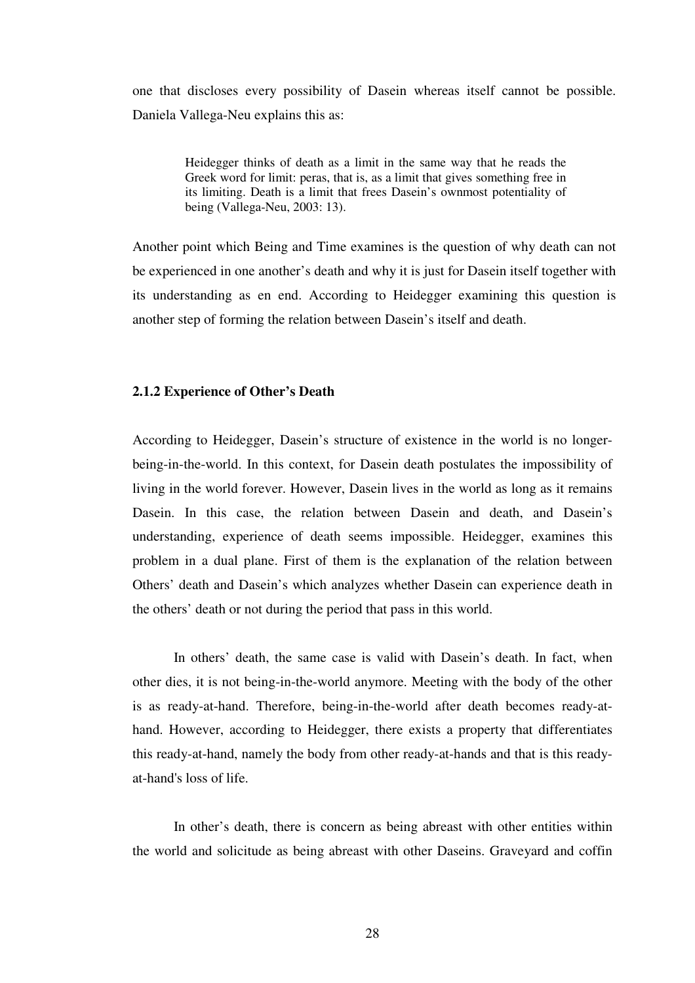one that discloses every possibility of Dasein whereas itself cannot be possible. Daniela Vallega-Neu explains this as:

> Heidegger thinks of death as a limit in the same way that he reads the Greek word for limit: peras, that is, as a limit that gives something free in its limiting. Death is a limit that frees Dasein's ownmost potentiality of being (Vallega-Neu, 2003: 13).

Another point which Being and Time examines is the question of why death can not be experienced in one another's death and why it is just for Dasein itself together with its understanding as en end. According to Heidegger examining this question is another step of forming the relation between Dasein's itself and death.

## **2.1.2 Experience of Other's Death**

According to Heidegger, Dasein's structure of existence in the world is no longerbeing-in-the-world. In this context, for Dasein death postulates the impossibility of living in the world forever. However, Dasein lives in the world as long as it remains Dasein. In this case, the relation between Dasein and death, and Dasein's understanding, experience of death seems impossible. Heidegger, examines this problem in a dual plane. First of them is the explanation of the relation between Others' death and Dasein's which analyzes whether Dasein can experience death in the others' death or not during the period that pass in this world.

 In others' death, the same case is valid with Dasein's death. In fact, when other dies, it is not being-in-the-world anymore. Meeting with the body of the other is as ready-at-hand. Therefore, being-in-the-world after death becomes ready-athand. However, according to Heidegger, there exists a property that differentiates this ready-at-hand, namely the body from other ready-at-hands and that is this readyat-hand's loss of life.

 In other's death, there is concern as being abreast with other entities within the world and solicitude as being abreast with other Daseins. Graveyard and coffin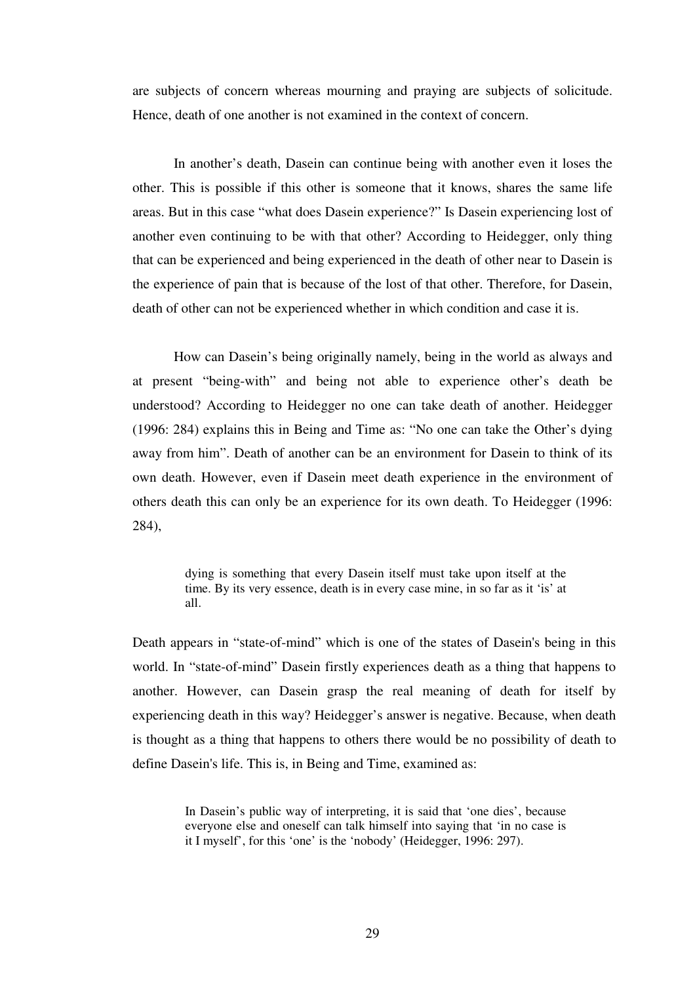are subjects of concern whereas mourning and praying are subjects of solicitude. Hence, death of one another is not examined in the context of concern.

In another's death, Dasein can continue being with another even it loses the other. This is possible if this other is someone that it knows, shares the same life areas. But in this case "what does Dasein experience?" Is Dasein experiencing lost of another even continuing to be with that other? According to Heidegger, only thing that can be experienced and being experienced in the death of other near to Dasein is the experience of pain that is because of the lost of that other. Therefore, for Dasein, death of other can not be experienced whether in which condition and case it is.

 How can Dasein's being originally namely, being in the world as always and at present "being-with" and being not able to experience other's death be understood? According to Heidegger no one can take death of another. Heidegger (1996: 284) explains this in Being and Time as: "No one can take the Other's dying away from him". Death of another can be an environment for Dasein to think of its own death. However, even if Dasein meet death experience in the environment of others death this can only be an experience for its own death. To Heidegger (1996: 284),

> dying is something that every Dasein itself must take upon itself at the time. By its very essence, death is in every case mine, in so far as it 'is' at all.

Death appears in "state-of-mind" which is one of the states of Dasein's being in this world. In "state-of-mind" Dasein firstly experiences death as a thing that happens to another. However, can Dasein grasp the real meaning of death for itself by experiencing death in this way? Heidegger's answer is negative. Because, when death is thought as a thing that happens to others there would be no possibility of death to define Dasein's life. This is, in Being and Time, examined as:

> In Dasein's public way of interpreting, it is said that 'one dies', because everyone else and oneself can talk himself into saying that 'in no case is it I myself', for this 'one' is the 'nobody' (Heidegger, 1996: 297).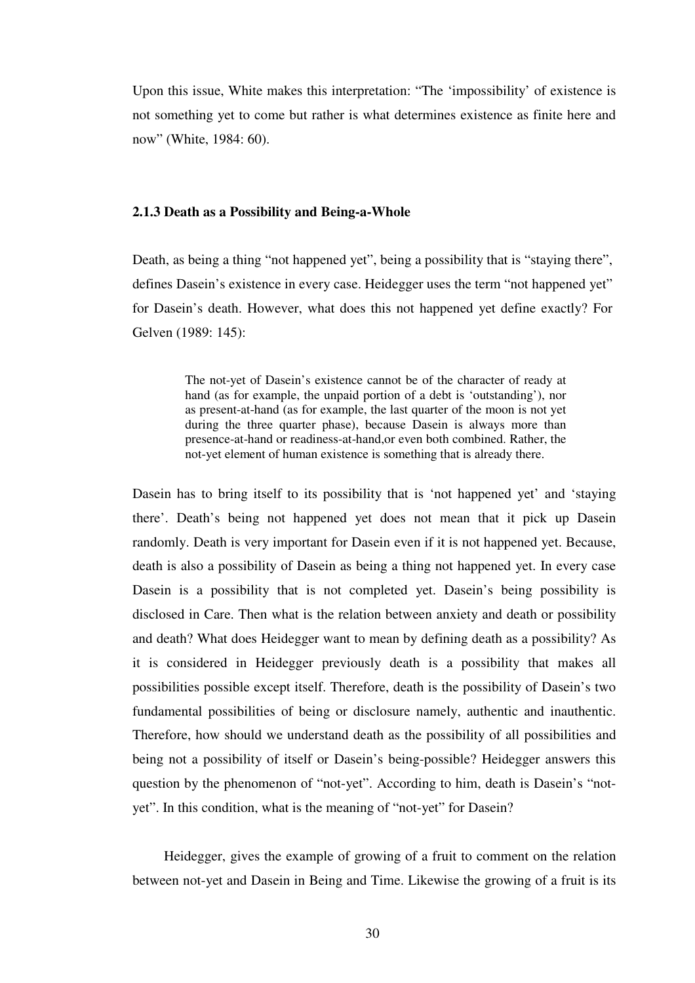Upon this issue, White makes this interpretation: "The 'impossibility' of existence is not something yet to come but rather is what determines existence as finite here and now" (White, 1984: 60).

## **2.1.3 Death as a Possibility and Being-a-Whole**

Death, as being a thing "not happened yet", being a possibility that is "staying there", defines Dasein's existence in every case. Heidegger uses the term "not happened yet" for Dasein's death. However, what does this not happened yet define exactly? For Gelven (1989: 145):

> The not-yet of Dasein's existence cannot be of the character of ready at hand (as for example, the unpaid portion of a debt is 'outstanding'), nor as present-at-hand (as for example, the last quarter of the moon is not yet during the three quarter phase), because Dasein is always more than presence-at-hand or readiness-at-hand,or even both combined. Rather, the not-yet element of human existence is something that is already there.

Dasein has to bring itself to its possibility that is 'not happened yet' and 'staying there'. Death's being not happened yet does not mean that it pick up Dasein randomly. Death is very important for Dasein even if it is not happened yet. Because, death is also a possibility of Dasein as being a thing not happened yet. In every case Dasein is a possibility that is not completed yet. Dasein's being possibility is disclosed in Care. Then what is the relation between anxiety and death or possibility and death? What does Heidegger want to mean by defining death as a possibility? As it is considered in Heidegger previously death is a possibility that makes all possibilities possible except itself. Therefore, death is the possibility of Dasein's two fundamental possibilities of being or disclosure namely, authentic and inauthentic. Therefore, how should we understand death as the possibility of all possibilities and being not a possibility of itself or Dasein's being-possible? Heidegger answers this question by the phenomenon of "not-yet". According to him, death is Dasein's "notyet". In this condition, what is the meaning of "not-yet" for Dasein?

Heidegger, gives the example of growing of a fruit to comment on the relation between not-yet and Dasein in Being and Time. Likewise the growing of a fruit is its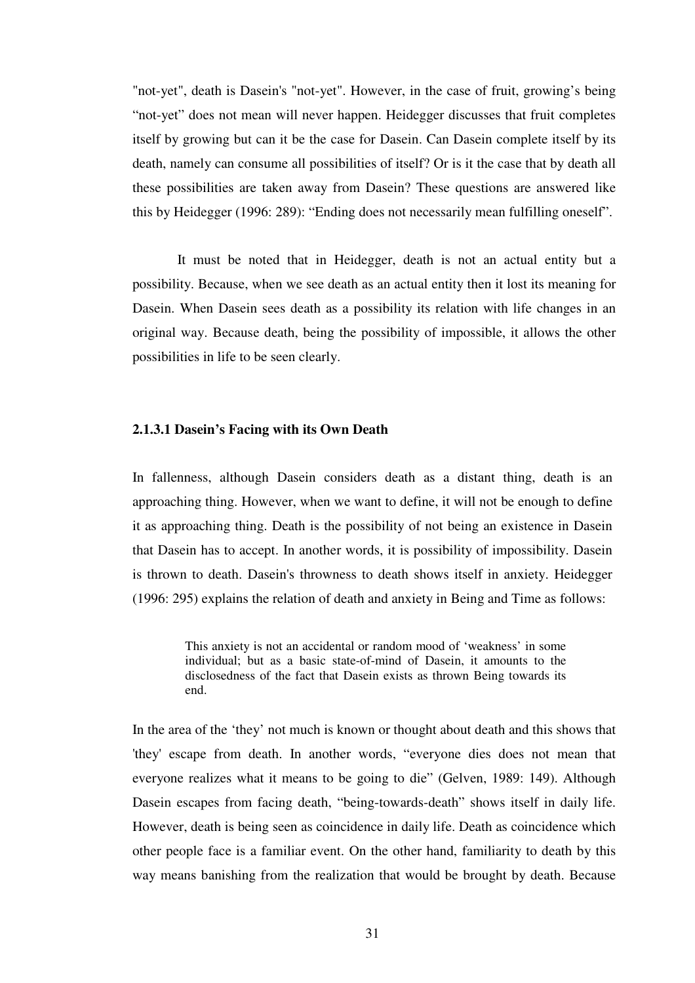"not-yet", death is Dasein's "not-yet". However, in the case of fruit, growing's being "not-yet" does not mean will never happen. Heidegger discusses that fruit completes itself by growing but can it be the case for Dasein. Can Dasein complete itself by its death, namely can consume all possibilities of itself? Or is it the case that by death all these possibilities are taken away from Dasein? These questions are answered like this by Heidegger (1996: 289): "Ending does not necessarily mean fulfilling oneself".

 It must be noted that in Heidegger, death is not an actual entity but a possibility. Because, when we see death as an actual entity then it lost its meaning for Dasein. When Dasein sees death as a possibility its relation with life changes in an original way. Because death, being the possibility of impossible, it allows the other possibilities in life to be seen clearly.

#### **2.1.3.1 Dasein's Facing with its Own Death**

In fallenness, although Dasein considers death as a distant thing, death is an approaching thing. However, when we want to define, it will not be enough to define it as approaching thing. Death is the possibility of not being an existence in Dasein that Dasein has to accept. In another words, it is possibility of impossibility. Dasein is thrown to death. Dasein's throwness to death shows itself in anxiety. Heidegger (1996: 295) explains the relation of death and anxiety in Being and Time as follows:

> This anxiety is not an accidental or random mood of 'weakness' in some individual; but as a basic state-of-mind of Dasein, it amounts to the disclosedness of the fact that Dasein exists as thrown Being towards its end.

In the area of the 'they' not much is known or thought about death and this shows that 'they' escape from death. In another words, "everyone dies does not mean that everyone realizes what it means to be going to die" (Gelven, 1989: 149). Although Dasein escapes from facing death, "being-towards-death" shows itself in daily life. However, death is being seen as coincidence in daily life. Death as coincidence which other people face is a familiar event. On the other hand, familiarity to death by this way means banishing from the realization that would be brought by death. Because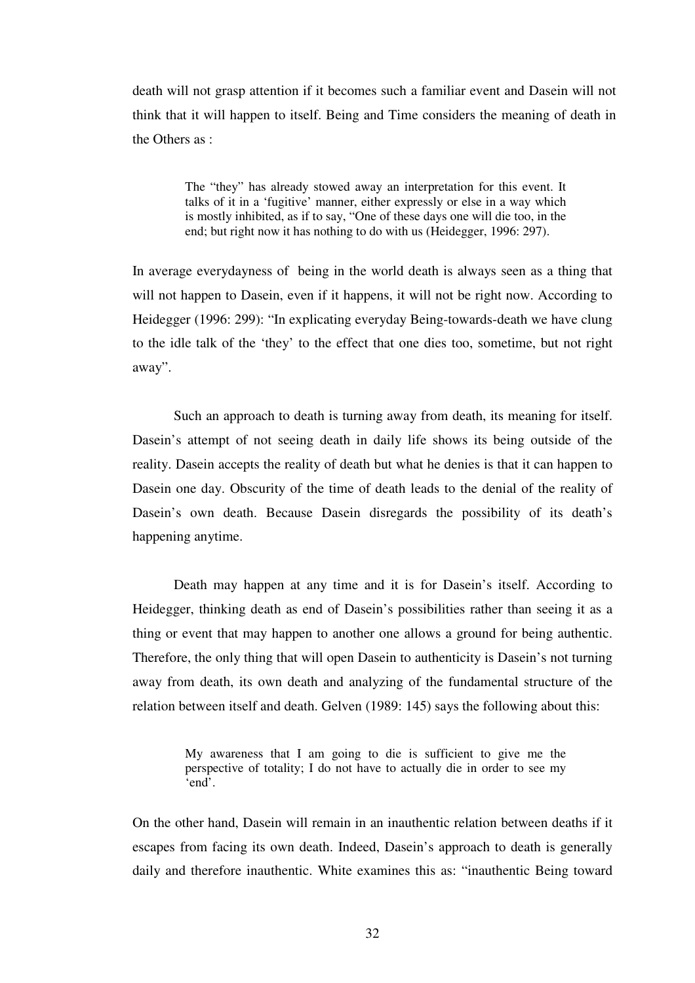death will not grasp attention if it becomes such a familiar event and Dasein will not think that it will happen to itself. Being and Time considers the meaning of death in the Others as :

> The "they" has already stowed away an interpretation for this event. It talks of it in a 'fugitive' manner, either expressly or else in a way which is mostly inhibited, as if to say, "One of these days one will die too, in the end; but right now it has nothing to do with us (Heidegger, 1996: 297).

In average everydayness of being in the world death is always seen as a thing that will not happen to Dasein, even if it happens, it will not be right now. According to Heidegger (1996: 299): "In explicating everyday Being-towards-death we have clung to the idle talk of the 'they' to the effect that one dies too, sometime, but not right away".

Such an approach to death is turning away from death, its meaning for itself. Dasein's attempt of not seeing death in daily life shows its being outside of the reality. Dasein accepts the reality of death but what he denies is that it can happen to Dasein one day. Obscurity of the time of death leads to the denial of the reality of Dasein's own death. Because Dasein disregards the possibility of its death's happening anytime.

 Death may happen at any time and it is for Dasein's itself. According to Heidegger, thinking death as end of Dasein's possibilities rather than seeing it as a thing or event that may happen to another one allows a ground for being authentic. Therefore, the only thing that will open Dasein to authenticity is Dasein's not turning away from death, its own death and analyzing of the fundamental structure of the relation between itself and death. Gelven (1989: 145) says the following about this:

On the other hand, Dasein will remain in an inauthentic relation between deaths if it escapes from facing its own death. Indeed, Dasein's approach to death is generally daily and therefore inauthentic. White examines this as: "inauthentic Being toward

My awareness that I am going to die is sufficient to give me the perspective of totality; I do not have to actually die in order to see my 'end'.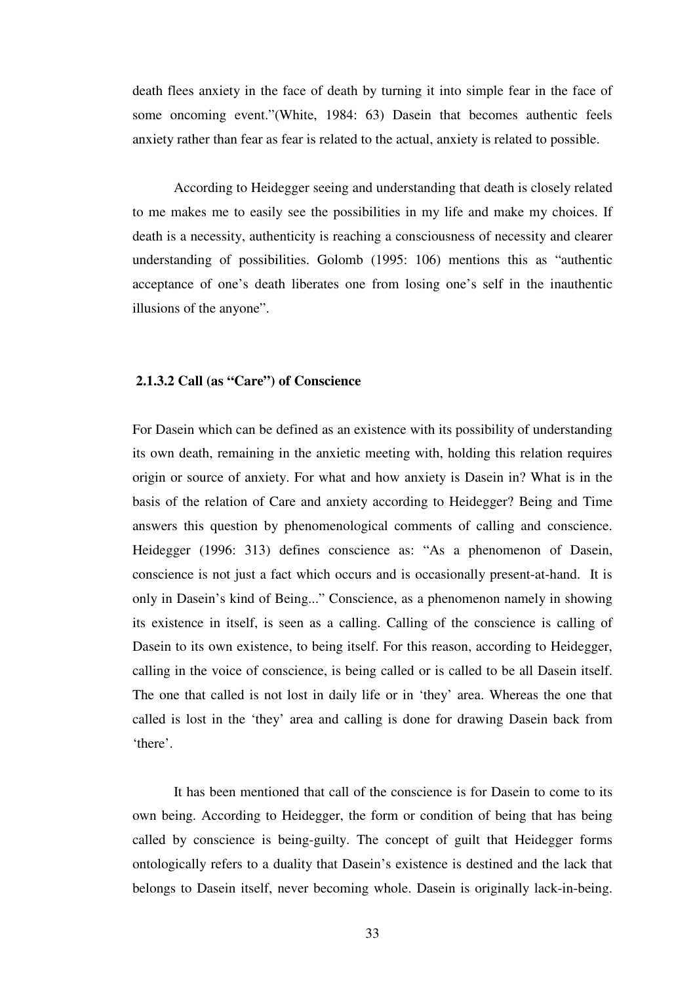death flees anxiety in the face of death by turning it into simple fear in the face of some oncoming event."(White, 1984: 63) Dasein that becomes authentic feels anxiety rather than fear as fear is related to the actual, anxiety is related to possible.

According to Heidegger seeing and understanding that death is closely related to me makes me to easily see the possibilities in my life and make my choices. If death is a necessity, authenticity is reaching a consciousness of necessity and clearer understanding of possibilities. Golomb (1995: 106) mentions this as "authentic acceptance of one's death liberates one from losing one's self in the inauthentic illusions of the anyone".

## **2.1.3.2 Call (as "Care") of Conscience**

For Dasein which can be defined as an existence with its possibility of understanding its own death, remaining in the anxietic meeting with, holding this relation requires origin or source of anxiety. For what and how anxiety is Dasein in? What is in the basis of the relation of Care and anxiety according to Heidegger? Being and Time answers this question by phenomenological comments of calling and conscience. Heidegger (1996: 313) defines conscience as: "As a phenomenon of Dasein, conscience is not just a fact which occurs and is occasionally present-at-hand. It is only in Dasein's kind of Being..." Conscience, as a phenomenon namely in showing its existence in itself, is seen as a calling. Calling of the conscience is calling of Dasein to its own existence, to being itself. For this reason, according to Heidegger, calling in the voice of conscience, is being called or is called to be all Dasein itself. The one that called is not lost in daily life or in 'they' area. Whereas the one that called is lost in the 'they' area and calling is done for drawing Dasein back from 'there'.

It has been mentioned that call of the conscience is for Dasein to come to its own being. According to Heidegger, the form or condition of being that has being called by conscience is being-guilty. The concept of guilt that Heidegger forms ontologically refers to a duality that Dasein's existence is destined and the lack that belongs to Dasein itself, never becoming whole. Dasein is originally lack-in-being.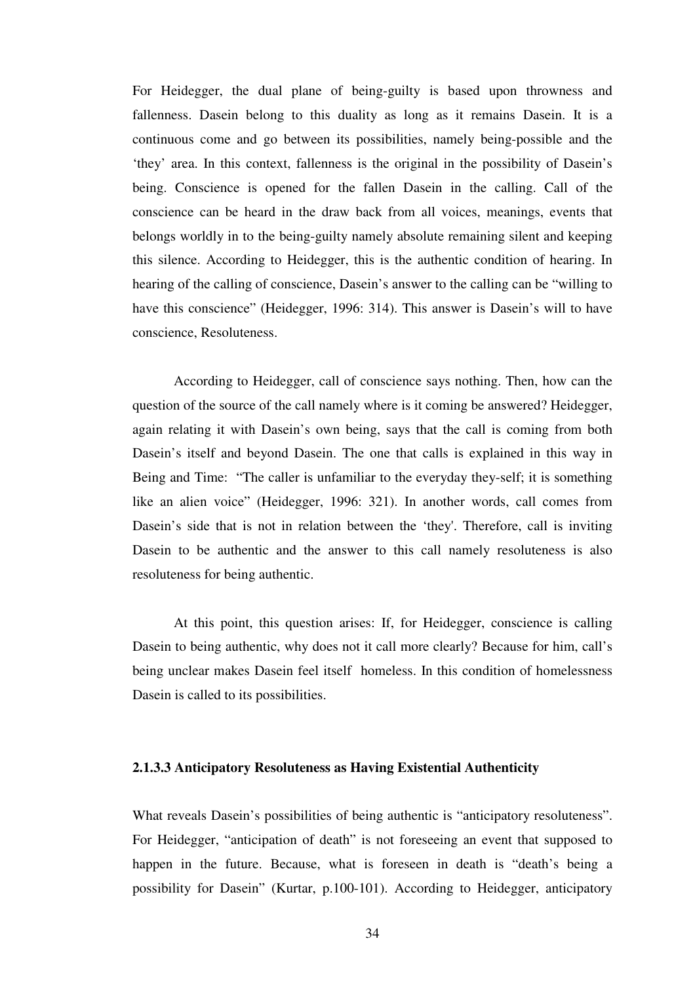For Heidegger, the dual plane of being-guilty is based upon throwness and fallenness. Dasein belong to this duality as long as it remains Dasein. It is a continuous come and go between its possibilities, namely being-possible and the 'they' area. In this context, fallenness is the original in the possibility of Dasein's being. Conscience is opened for the fallen Dasein in the calling. Call of the conscience can be heard in the draw back from all voices, meanings, events that belongs worldly in to the being-guilty namely absolute remaining silent and keeping this silence. According to Heidegger, this is the authentic condition of hearing. In hearing of the calling of conscience, Dasein's answer to the calling can be "willing to have this conscience" (Heidegger, 1996: 314). This answer is Dasein's will to have conscience, Resoluteness.

 According to Heidegger, call of conscience says nothing. Then, how can the question of the source of the call namely where is it coming be answered? Heidegger, again relating it with Dasein's own being, says that the call is coming from both Dasein's itself and beyond Dasein. The one that calls is explained in this way in Being and Time: "The caller is unfamiliar to the everyday they-self; it is something like an alien voice" (Heidegger, 1996: 321). In another words, call comes from Dasein's side that is not in relation between the 'they'. Therefore, call is inviting Dasein to be authentic and the answer to this call namely resoluteness is also resoluteness for being authentic.

At this point, this question arises: If, for Heidegger, conscience is calling Dasein to being authentic, why does not it call more clearly? Because for him, call's being unclear makes Dasein feel itself homeless. In this condition of homelessness Dasein is called to its possibilities.

## **2.1.3.3 Anticipatory Resoluteness as Having Existential Authenticity**

What reveals Dasein's possibilities of being authentic is "anticipatory resoluteness". For Heidegger, "anticipation of death" is not foreseeing an event that supposed to happen in the future. Because, what is foreseen in death is "death's being a possibility for Dasein" (Kurtar, p.100-101). According to Heidegger, anticipatory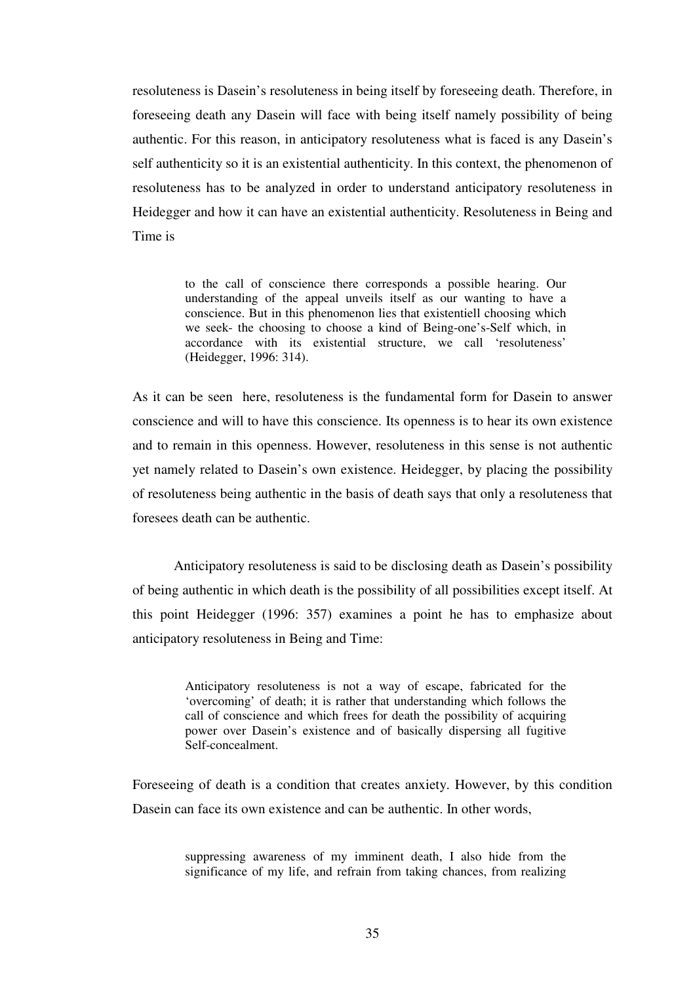resoluteness is Dasein's resoluteness in being itself by foreseeing death. Therefore, in foreseeing death any Dasein will face with being itself namely possibility of being authentic. For this reason, in anticipatory resoluteness what is faced is any Dasein's self authenticity so it is an existential authenticity. In this context, the phenomenon of resoluteness has to be analyzed in order to understand anticipatory resoluteness in Heidegger and how it can have an existential authenticity. Resoluteness in Being and Time is

> to the call of conscience there corresponds a possible hearing. Our understanding of the appeal unveils itself as our wanting to have a conscience. But in this phenomenon lies that existentiell choosing which we seek- the choosing to choose a kind of Being-one's-Self which, in accordance with its existential structure, we call 'resoluteness' (Heidegger, 1996: 314).

As it can be seen here, resoluteness is the fundamental form for Dasein to answer conscience and will to have this conscience. Its openness is to hear its own existence and to remain in this openness. However, resoluteness in this sense is not authentic yet namely related to Dasein's own existence. Heidegger, by placing the possibility of resoluteness being authentic in the basis of death says that only a resoluteness that foresees death can be authentic.

 Anticipatory resoluteness is said to be disclosing death as Dasein's possibility of being authentic in which death is the possibility of all possibilities except itself. At this point Heidegger (1996: 357) examines a point he has to emphasize about anticipatory resoluteness in Being and Time:

> Anticipatory resoluteness is not a way of escape, fabricated for the 'overcoming' of death; it is rather that understanding which follows the call of conscience and which frees for death the possibility of acquiring power over Dasein's existence and of basically dispersing all fugitive Self-concealment.

Foreseeing of death is a condition that creates anxiety. However, by this condition Dasein can face its own existence and can be authentic. In other words,

> suppressing awareness of my imminent death, I also hide from the significance of my life, and refrain from taking chances, from realizing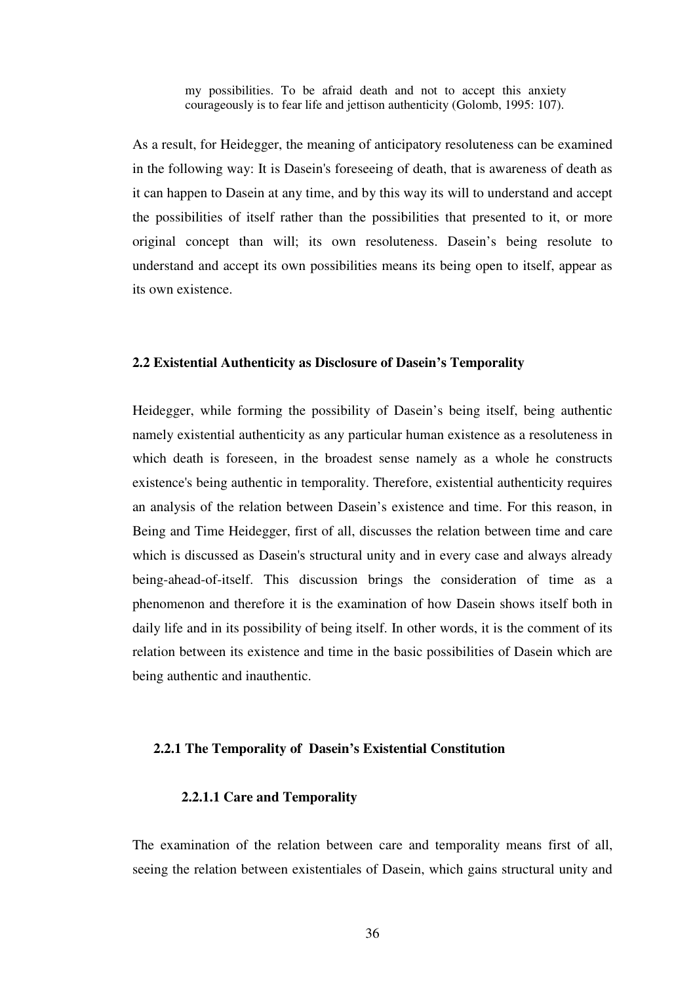my possibilities. To be afraid death and not to accept this anxiety courageously is to fear life and jettison authenticity (Golomb, 1995: 107).

As a result, for Heidegger, the meaning of anticipatory resoluteness can be examined in the following way: It is Dasein's foreseeing of death, that is awareness of death as it can happen to Dasein at any time, and by this way its will to understand and accept the possibilities of itself rather than the possibilities that presented to it, or more original concept than will; its own resoluteness. Dasein's being resolute to understand and accept its own possibilities means its being open to itself, appear as its own existence.

#### **2.2 Existential Authenticity as Disclosure of Dasein's Temporality**

Heidegger, while forming the possibility of Dasein's being itself, being authentic namely existential authenticity as any particular human existence as a resoluteness in which death is foreseen, in the broadest sense namely as a whole he constructs existence's being authentic in temporality. Therefore, existential authenticity requires an analysis of the relation between Dasein's existence and time. For this reason, in Being and Time Heidegger, first of all, discusses the relation between time and care which is discussed as Dasein's structural unity and in every case and always already being-ahead-of-itself. This discussion brings the consideration of time as a phenomenon and therefore it is the examination of how Dasein shows itself both in daily life and in its possibility of being itself. In other words, it is the comment of its relation between its existence and time in the basic possibilities of Dasein which are being authentic and inauthentic.

## **2.2.1 The Temporality of Dasein's Existential Constitution**

#### **2.2.1.1 Care and Temporality**

The examination of the relation between care and temporality means first of all, seeing the relation between existentiales of Dasein, which gains structural unity and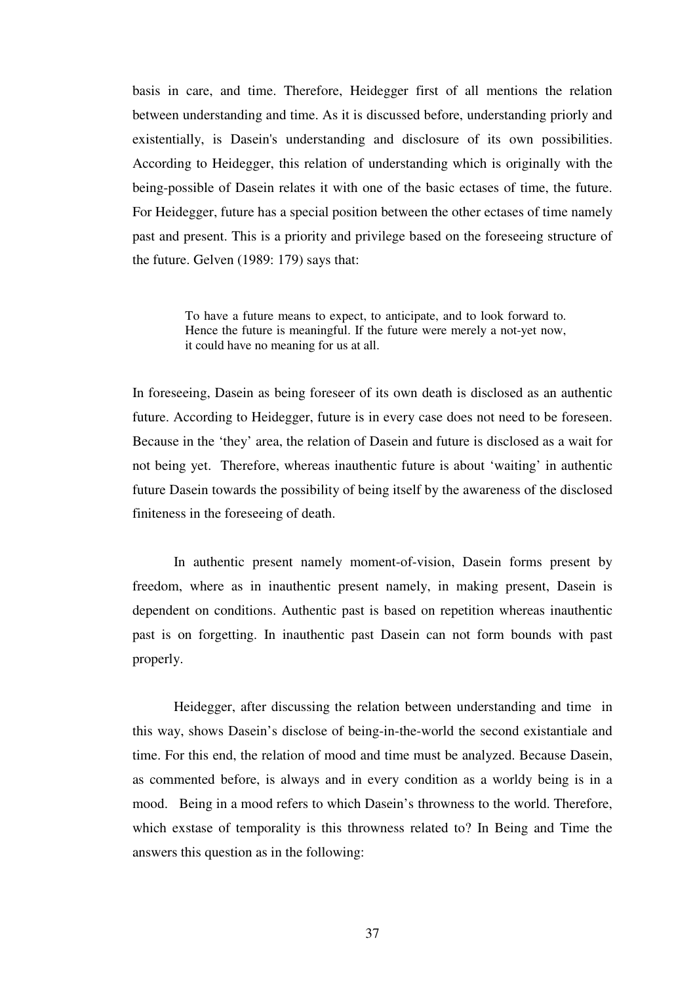basis in care, and time. Therefore, Heidegger first of all mentions the relation between understanding and time. As it is discussed before, understanding priorly and existentially, is Dasein's understanding and disclosure of its own possibilities. According to Heidegger, this relation of understanding which is originally with the being-possible of Dasein relates it with one of the basic ectases of time, the future. For Heidegger, future has a special position between the other ectases of time namely past and present. This is a priority and privilege based on the foreseeing structure of the future. Gelven (1989: 179) says that:

> To have a future means to expect, to anticipate, and to look forward to. Hence the future is meaningful. If the future were merely a not-yet now, it could have no meaning for us at all.

In foreseeing, Dasein as being foreseer of its own death is disclosed as an authentic future. According to Heidegger, future is in every case does not need to be foreseen. Because in the 'they' area, the relation of Dasein and future is disclosed as a wait for not being yet. Therefore, whereas inauthentic future is about 'waiting' in authentic future Dasein towards the possibility of being itself by the awareness of the disclosed finiteness in the foreseeing of death.

In authentic present namely moment-of-vision, Dasein forms present by freedom, where as in inauthentic present namely, in making present, Dasein is dependent on conditions. Authentic past is based on repetition whereas inauthentic past is on forgetting. In inauthentic past Dasein can not form bounds with past properly.

Heidegger, after discussing the relation between understanding and time in this way, shows Dasein's disclose of being-in-the-world the second existantiale and time. For this end, the relation of mood and time must be analyzed. Because Dasein, as commented before, is always and in every condition as a worldy being is in a mood. Being in a mood refers to which Dasein's throwness to the world. Therefore, which exstase of temporality is this throwness related to? In Being and Time the answers this question as in the following: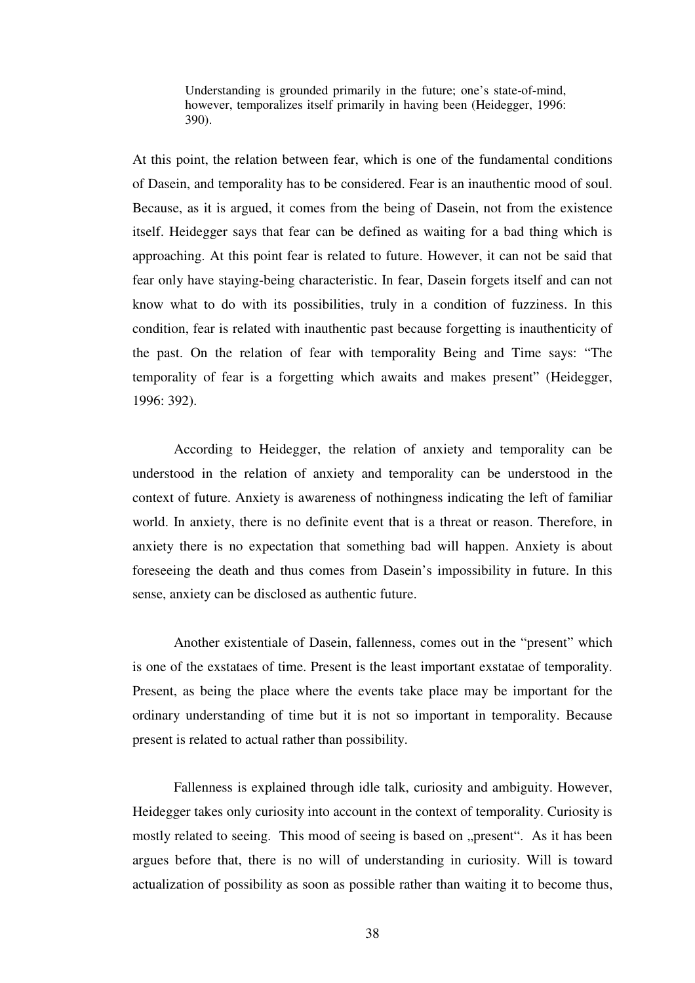Understanding is grounded primarily in the future; one's state-of-mind, however, temporalizes itself primarily in having been (Heidegger, 1996: 390).

At this point, the relation between fear, which is one of the fundamental conditions of Dasein, and temporality has to be considered. Fear is an inauthentic mood of soul. Because, as it is argued, it comes from the being of Dasein, not from the existence itself. Heidegger says that fear can be defined as waiting for a bad thing which is approaching. At this point fear is related to future. However, it can not be said that fear only have staying-being characteristic. In fear, Dasein forgets itself and can not know what to do with its possibilities, truly in a condition of fuzziness. In this condition, fear is related with inauthentic past because forgetting is inauthenticity of the past. On the relation of fear with temporality Being and Time says: "The temporality of fear is a forgetting which awaits and makes present" (Heidegger, 1996: 392).

According to Heidegger, the relation of anxiety and temporality can be understood in the relation of anxiety and temporality can be understood in the context of future. Anxiety is awareness of nothingness indicating the left of familiar world. In anxiety, there is no definite event that is a threat or reason. Therefore, in anxiety there is no expectation that something bad will happen. Anxiety is about foreseeing the death and thus comes from Dasein's impossibility in future. In this sense, anxiety can be disclosed as authentic future.

Another existentiale of Dasein, fallenness, comes out in the "present" which is one of the exstataes of time. Present is the least important exstatae of temporality. Present, as being the place where the events take place may be important for the ordinary understanding of time but it is not so important in temporality. Because present is related to actual rather than possibility.

Fallenness is explained through idle talk, curiosity and ambiguity. However, Heidegger takes only curiosity into account in the context of temporality. Curiosity is mostly related to seeing. This mood of seeing is based on "present". As it has been argues before that, there is no will of understanding in curiosity. Will is toward actualization of possibility as soon as possible rather than waiting it to become thus,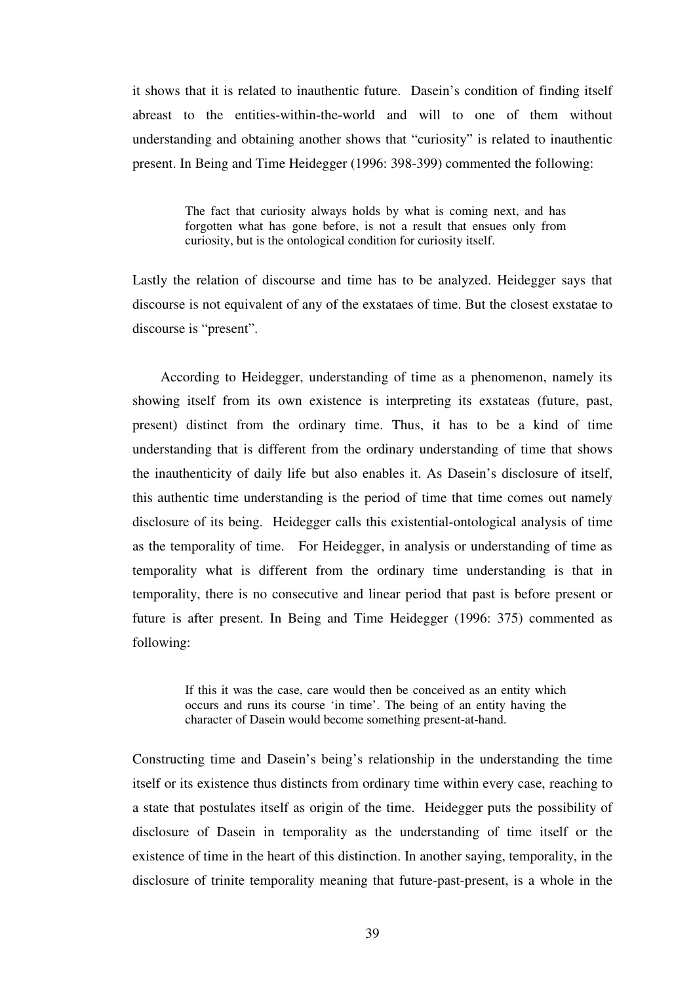it shows that it is related to inauthentic future. Dasein's condition of finding itself abreast to the entities-within-the-world and will to one of them without understanding and obtaining another shows that "curiosity" is related to inauthentic present. In Being and Time Heidegger (1996: 398-399) commented the following:

> The fact that curiosity always holds by what is coming next, and has forgotten what has gone before, is not a result that ensues only from curiosity, but is the ontological condition for curiosity itself.

Lastly the relation of discourse and time has to be analyzed. Heidegger says that discourse is not equivalent of any of the exstataes of time. But the closest exstatae to discourse is "present".

 According to Heidegger, understanding of time as a phenomenon, namely its showing itself from its own existence is interpreting its exstateas (future, past, present) distinct from the ordinary time. Thus, it has to be a kind of time understanding that is different from the ordinary understanding of time that shows the inauthenticity of daily life but also enables it. As Dasein's disclosure of itself, this authentic time understanding is the period of time that time comes out namely disclosure of its being. Heidegger calls this existential-ontological analysis of time as the temporality of time. For Heidegger, in analysis or understanding of time as temporality what is different from the ordinary time understanding is that in temporality, there is no consecutive and linear period that past is before present or future is after present. In Being and Time Heidegger (1996: 375) commented as following:

> If this it was the case, care would then be conceived as an entity which occurs and runs its course 'in time'. The being of an entity having the character of Dasein would become something present-at-hand.

Constructing time and Dasein's being's relationship in the understanding the time itself or its existence thus distincts from ordinary time within every case, reaching to a state that postulates itself as origin of the time. Heidegger puts the possibility of disclosure of Dasein in temporality as the understanding of time itself or the existence of time in the heart of this distinction. In another saying, temporality, in the disclosure of trinite temporality meaning that future-past-present, is a whole in the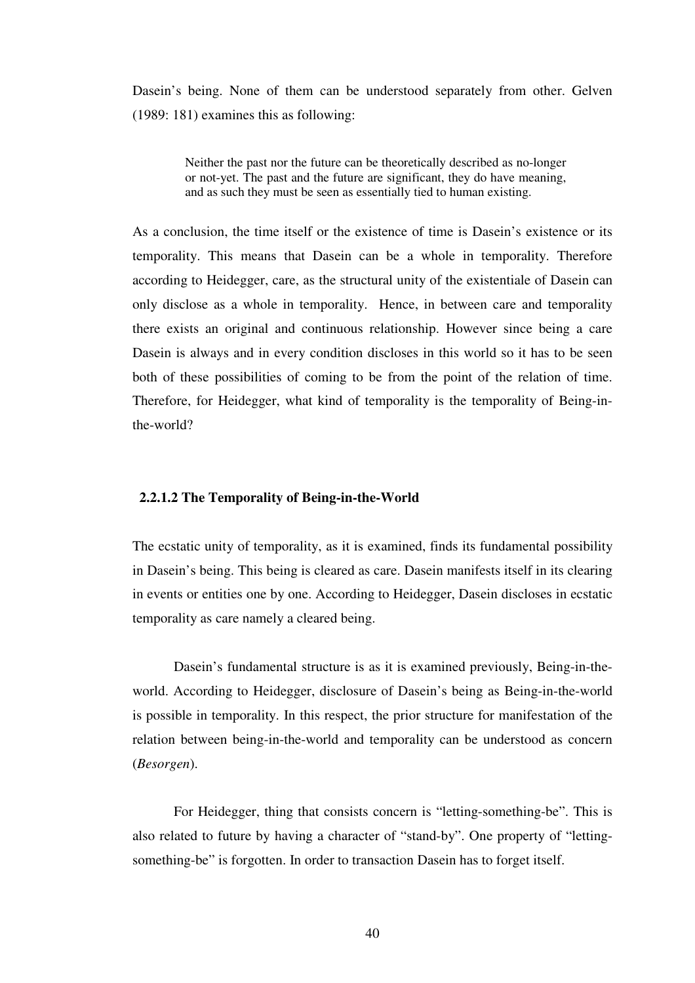Dasein's being. None of them can be understood separately from other. Gelven (1989: 181) examines this as following:

> Neither the past nor the future can be theoretically described as no-longer or not-yet. The past and the future are significant, they do have meaning, and as such they must be seen as essentially tied to human existing.

As a conclusion, the time itself or the existence of time is Dasein's existence or its temporality. This means that Dasein can be a whole in temporality. Therefore according to Heidegger, care, as the structural unity of the existentiale of Dasein can only disclose as a whole in temporality. Hence, in between care and temporality there exists an original and continuous relationship. However since being a care Dasein is always and in every condition discloses in this world so it has to be seen both of these possibilities of coming to be from the point of the relation of time. Therefore, for Heidegger, what kind of temporality is the temporality of Being-inthe-world?

## **2.2.1.2 The Temporality of Being-in-the-World**

The ecstatic unity of temporality, as it is examined, finds its fundamental possibility in Dasein's being. This being is cleared as care. Dasein manifests itself in its clearing in events or entities one by one. According to Heidegger, Dasein discloses in ecstatic temporality as care namely a cleared being.

 Dasein's fundamental structure is as it is examined previously, Being-in-theworld. According to Heidegger, disclosure of Dasein's being as Being-in-the-world is possible in temporality. In this respect, the prior structure for manifestation of the relation between being-in-the-world and temporality can be understood as concern (*Besorgen*).

 For Heidegger, thing that consists concern is "letting-something-be". This is also related to future by having a character of "stand-by". One property of "lettingsomething-be" is forgotten. In order to transaction Dasein has to forget itself.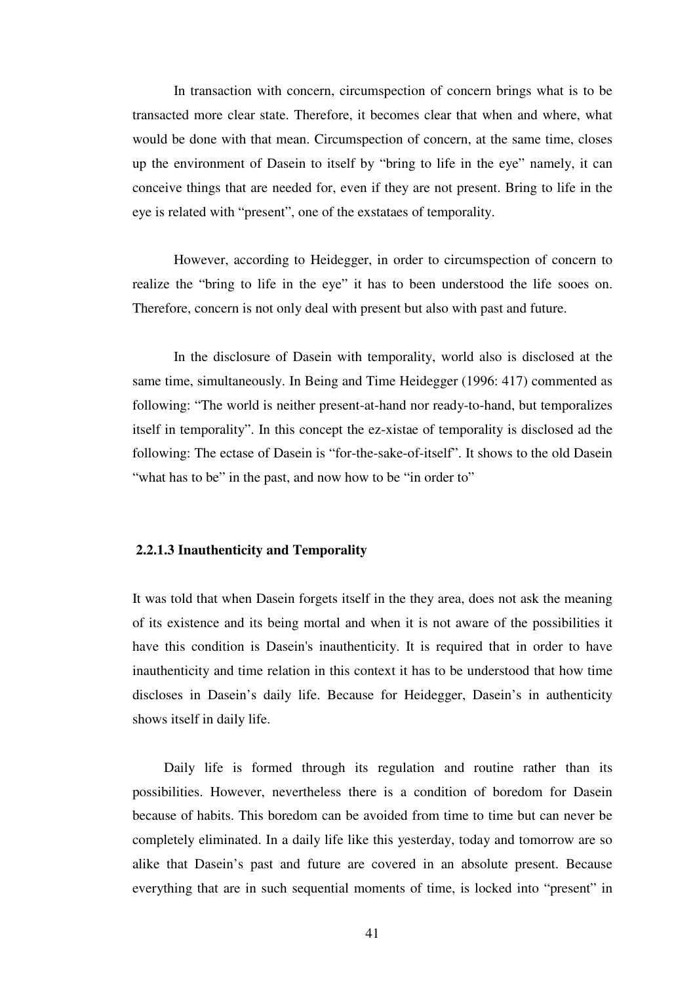In transaction with concern, circumspection of concern brings what is to be transacted more clear state. Therefore, it becomes clear that when and where, what would be done with that mean. Circumspection of concern, at the same time, closes up the environment of Dasein to itself by "bring to life in the eye" namely, it can conceive things that are needed for, even if they are not present. Bring to life in the eye is related with "present", one of the exstataes of temporality.

However, according to Heidegger, in order to circumspection of concern to realize the "bring to life in the eye" it has to been understood the life sooes on. Therefore, concern is not only deal with present but also with past and future.

In the disclosure of Dasein with temporality, world also is disclosed at the same time, simultaneously. In Being and Time Heidegger (1996: 417) commented as following: "The world is neither present-at-hand nor ready-to-hand, but temporalizes itself in temporality". In this concept the ez-xistae of temporality is disclosed ad the following: The ectase of Dasein is "for-the-sake-of-itself". It shows to the old Dasein "what has to be" in the past, and now how to be "in order to"

#### **2.2.1.3 Inauthenticity and Temporality**

It was told that when Dasein forgets itself in the they area, does not ask the meaning of its existence and its being mortal and when it is not aware of the possibilities it have this condition is Dasein's inauthenticity. It is required that in order to have inauthenticity and time relation in this context it has to be understood that how time discloses in Dasein's daily life. Because for Heidegger, Dasein's in authenticity shows itself in daily life.

Daily life is formed through its regulation and routine rather than its possibilities. However, nevertheless there is a condition of boredom for Dasein because of habits. This boredom can be avoided from time to time but can never be completely eliminated. In a daily life like this yesterday, today and tomorrow are so alike that Dasein's past and future are covered in an absolute present. Because everything that are in such sequential moments of time, is locked into "present" in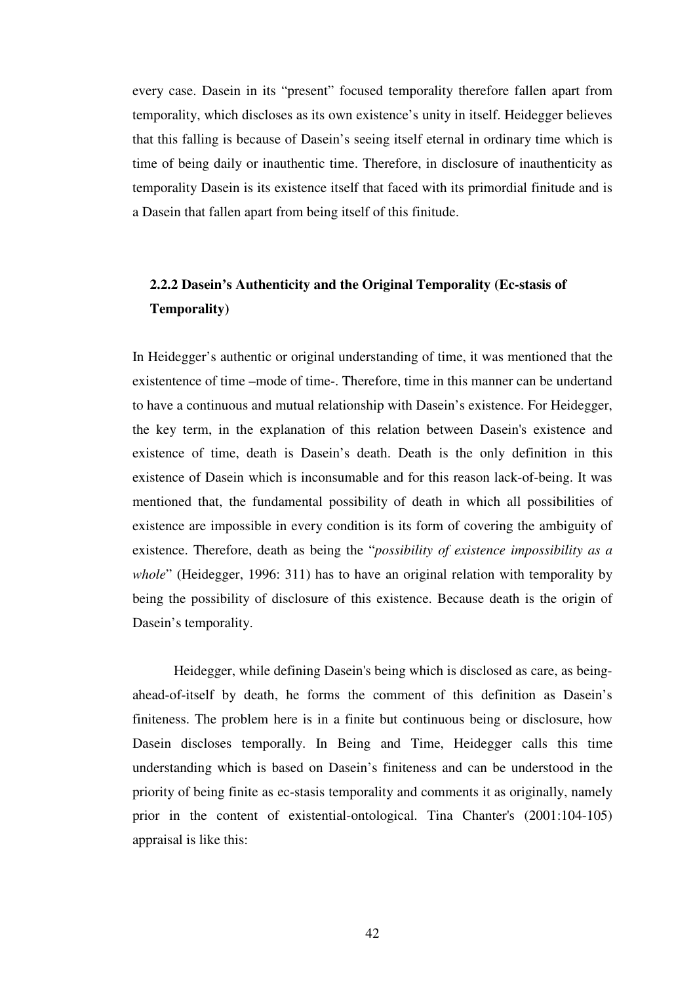every case. Dasein in its "present" focused temporality therefore fallen apart from temporality, which discloses as its own existence's unity in itself. Heidegger believes that this falling is because of Dasein's seeing itself eternal in ordinary time which is time of being daily or inauthentic time. Therefore, in disclosure of inauthenticity as temporality Dasein is its existence itself that faced with its primordial finitude and is a Dasein that fallen apart from being itself of this finitude.

## **2.2.2 Dasein's Authenticity and the Original Temporality (Ec-stasis of Temporality)**

In Heidegger's authentic or original understanding of time, it was mentioned that the existentence of time –mode of time-. Therefore, time in this manner can be undertand to have a continuous and mutual relationship with Dasein's existence. For Heidegger, the key term, in the explanation of this relation between Dasein's existence and existence of time, death is Dasein's death. Death is the only definition in this existence of Dasein which is inconsumable and for this reason lack-of-being. It was mentioned that, the fundamental possibility of death in which all possibilities of existence are impossible in every condition is its form of covering the ambiguity of existence. Therefore, death as being the "*possibility of existence impossibility as a whole*" (Heidegger, 1996: 311) has to have an original relation with temporality by being the possibility of disclosure of this existence. Because death is the origin of Dasein's temporality.

 Heidegger, while defining Dasein's being which is disclosed as care, as beingahead-of-itself by death, he forms the comment of this definition as Dasein's finiteness. The problem here is in a finite but continuous being or disclosure, how Dasein discloses temporally. In Being and Time, Heidegger calls this time understanding which is based on Dasein's finiteness and can be understood in the priority of being finite as ec-stasis temporality and comments it as originally, namely prior in the content of existential-ontological. Tina Chanter's (2001:104-105) appraisal is like this: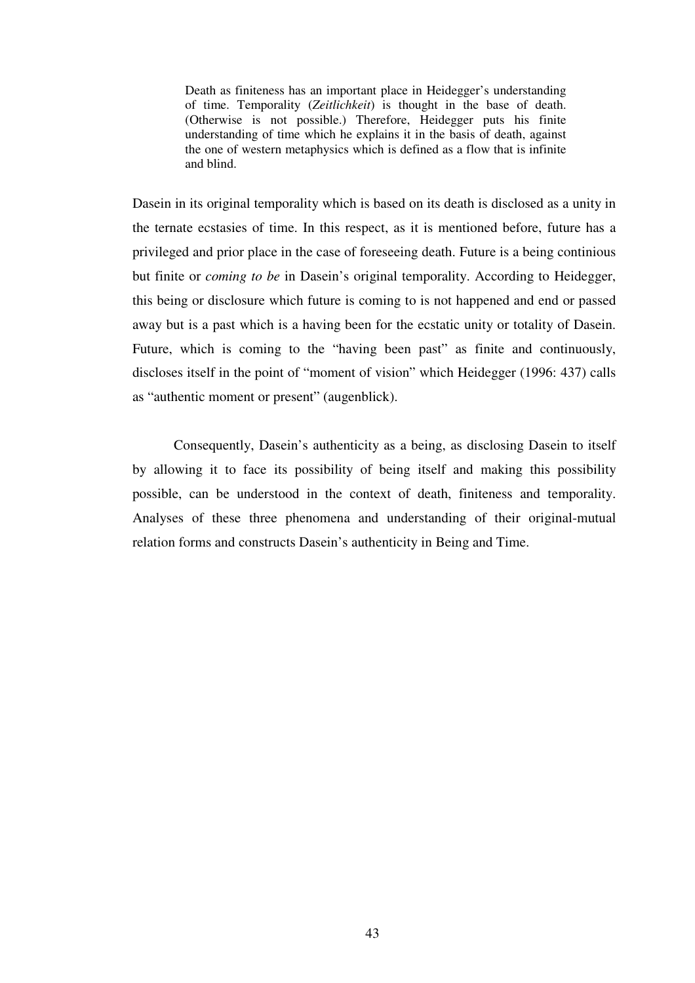Death as finiteness has an important place in Heidegger's understanding of time. Temporality (*Zeitlichkeit*) is thought in the base of death. (Otherwise is not possible.) Therefore, Heidegger puts his finite understanding of time which he explains it in the basis of death, against the one of western metaphysics which is defined as a flow that is infinite and blind.

Dasein in its original temporality which is based on its death is disclosed as a unity in the ternate ecstasies of time. In this respect, as it is mentioned before, future has a privileged and prior place in the case of foreseeing death. Future is a being continious but finite or *coming to be* in Dasein's original temporality. According to Heidegger, this being or disclosure which future is coming to is not happened and end or passed away but is a past which is a having been for the ecstatic unity or totality of Dasein. Future, which is coming to the "having been past" as finite and continuously, discloses itself in the point of "moment of vision" which Heidegger (1996: 437) calls as "authentic moment or present" (augenblick).

 Consequently, Dasein's authenticity as a being, as disclosing Dasein to itself by allowing it to face its possibility of being itself and making this possibility possible, can be understood in the context of death, finiteness and temporality. Analyses of these three phenomena and understanding of their original-mutual relation forms and constructs Dasein's authenticity in Being and Time.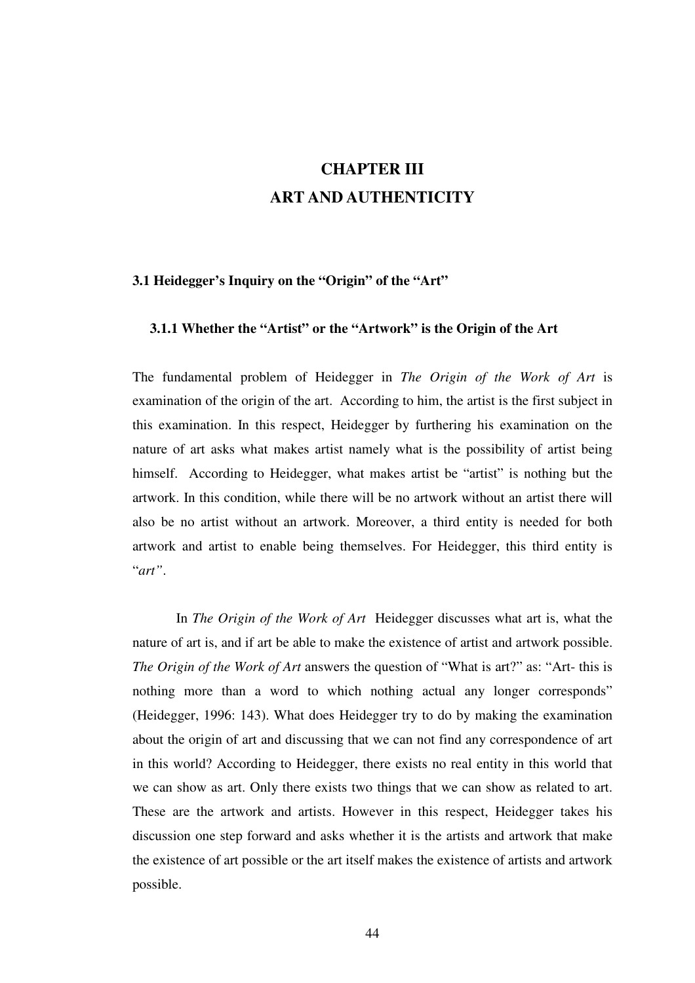# **CHAPTER III ART AND AUTHENTICITY**

## **3.1 Heidegger's Inquiry on the "Origin" of the "Art"**

## **3.1.1 Whether the "Artist" or the "Artwork" is the Origin of the Art**

The fundamental problem of Heidegger in *The Origin of the Work of Art* is examination of the origin of the art. According to him, the artist is the first subject in this examination. In this respect, Heidegger by furthering his examination on the nature of art asks what makes artist namely what is the possibility of artist being himself. According to Heidegger, what makes artist be "artist" is nothing but the artwork. In this condition, while there will be no artwork without an artist there will also be no artist without an artwork. Moreover, a third entity is needed for both artwork and artist to enable being themselves. For Heidegger, this third entity is "*art"*.

In *The Origin of the Work of Art* Heidegger discusses what art is, what the nature of art is, and if art be able to make the existence of artist and artwork possible. *The Origin of the Work of Art* answers the question of "What is art?" as: "Art- this is nothing more than a word to which nothing actual any longer corresponds" (Heidegger, 1996: 143). What does Heidegger try to do by making the examination about the origin of art and discussing that we can not find any correspondence of art in this world? According to Heidegger, there exists no real entity in this world that we can show as art. Only there exists two things that we can show as related to art. These are the artwork and artists. However in this respect, Heidegger takes his discussion one step forward and asks whether it is the artists and artwork that make the existence of art possible or the art itself makes the existence of artists and artwork possible.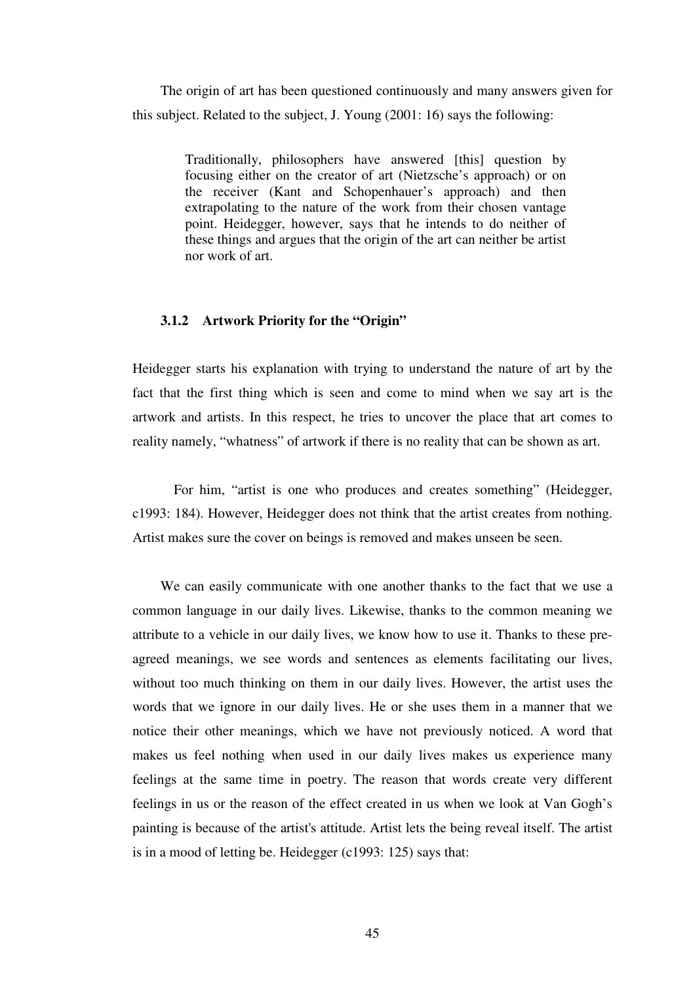The origin of art has been questioned continuously and many answers given for this subject. Related to the subject, J. Young (2001: 16) says the following:

> Traditionally, philosophers have answered [this] question by focusing either on the creator of art (Nietzsche's approach) or on the receiver (Kant and Schopenhauer's approach) and then extrapolating to the nature of the work from their chosen vantage point. Heidegger, however, says that he intends to do neither of these things and argues that the origin of the art can neither be artist nor work of art.

#### **3.1.2 Artwork Priority for the "Origin"**

Heidegger starts his explanation with trying to understand the nature of art by the fact that the first thing which is seen and come to mind when we say art is the artwork and artists. In this respect, he tries to uncover the place that art comes to reality namely, "whatness" of artwork if there is no reality that can be shown as art.

For him, "artist is one who produces and creates something" (Heidegger, c1993: 184). However, Heidegger does not think that the artist creates from nothing. Artist makes sure the cover on beings is removed and makes unseen be seen.

 We can easily communicate with one another thanks to the fact that we use a common language in our daily lives. Likewise, thanks to the common meaning we attribute to a vehicle in our daily lives, we know how to use it. Thanks to these preagreed meanings, we see words and sentences as elements facilitating our lives, without too much thinking on them in our daily lives. However, the artist uses the words that we ignore in our daily lives. He or she uses them in a manner that we notice their other meanings, which we have not previously noticed. A word that makes us feel nothing when used in our daily lives makes us experience many feelings at the same time in poetry. The reason that words create very different feelings in us or the reason of the effect created in us when we look at Van Gogh's painting is because of the artist's attitude. Artist lets the being reveal itself. The artist is in a mood of letting be. Heidegger (c1993: 125) says that: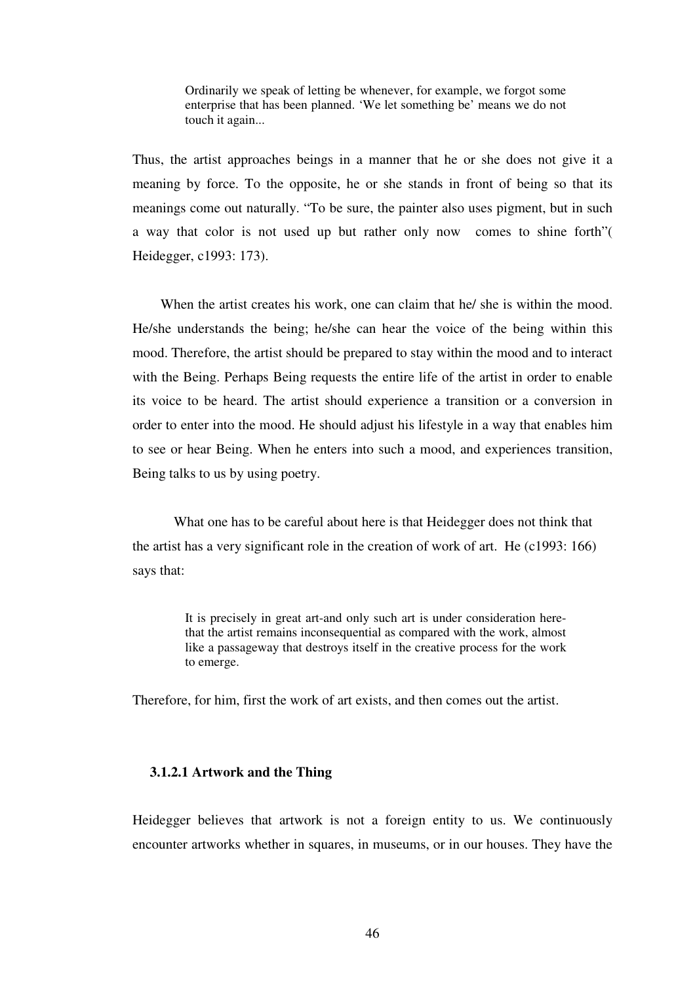Ordinarily we speak of letting be whenever, for example, we forgot some enterprise that has been planned. 'We let something be' means we do not touch it again...

Thus, the artist approaches beings in a manner that he or she does not give it a meaning by force. To the opposite, he or she stands in front of being so that its meanings come out naturally. "To be sure, the painter also uses pigment, but in such a way that color is not used up but rather only now comes to shine forth"( Heidegger, c1993: 173).

When the artist creates his work, one can claim that he/ she is within the mood. He/she understands the being; he/she can hear the voice of the being within this mood. Therefore, the artist should be prepared to stay within the mood and to interact with the Being. Perhaps Being requests the entire life of the artist in order to enable its voice to be heard. The artist should experience a transition or a conversion in order to enter into the mood. He should adjust his lifestyle in a way that enables him to see or hear Being. When he enters into such a mood, and experiences transition, Being talks to us by using poetry.

What one has to be careful about here is that Heidegger does not think that the artist has a very significant role in the creation of work of art. He (c1993: 166) says that:

> It is precisely in great art-and only such art is under consideration herethat the artist remains inconsequential as compared with the work, almost like a passageway that destroys itself in the creative process for the work to emerge.

Therefore, for him, first the work of art exists, and then comes out the artist.

## **3.1.2.1 Artwork and the Thing**

Heidegger believes that artwork is not a foreign entity to us. We continuously encounter artworks whether in squares, in museums, or in our houses. They have the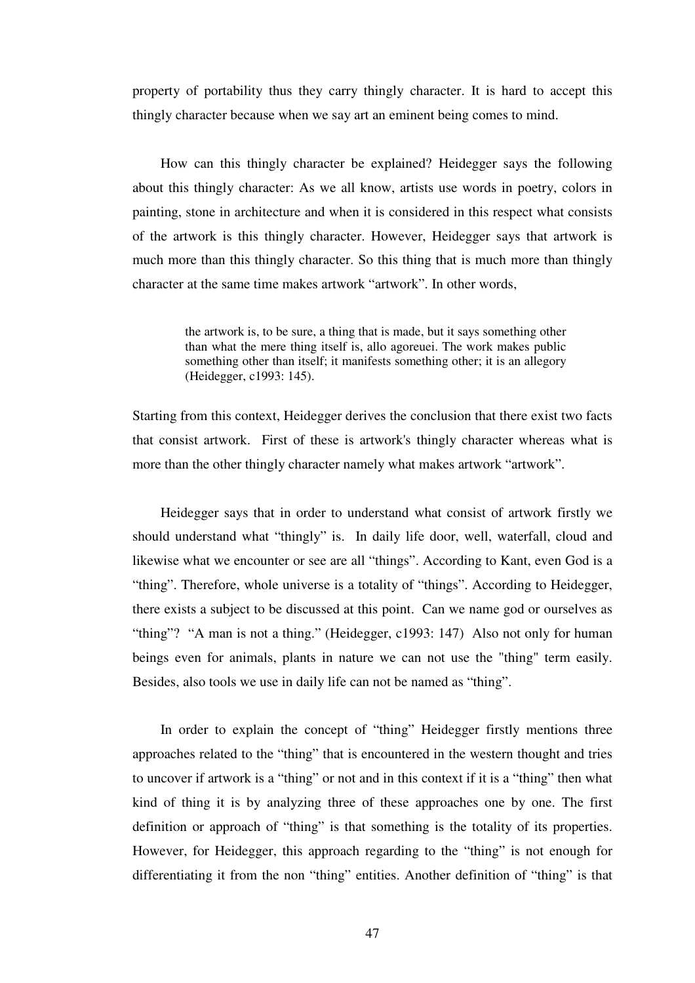property of portability thus they carry thingly character. It is hard to accept this thingly character because when we say art an eminent being comes to mind.

 How can this thingly character be explained? Heidegger says the following about this thingly character: As we all know, artists use words in poetry, colors in painting, stone in architecture and when it is considered in this respect what consists of the artwork is this thingly character. However, Heidegger says that artwork is much more than this thingly character. So this thing that is much more than thingly character at the same time makes artwork "artwork". In other words,

> the artwork is, to be sure, a thing that is made, but it says something other than what the mere thing itself is, allo agoreuei. The work makes public something other than itself; it manifests something other; it is an allegory (Heidegger, c1993: 145).

Starting from this context, Heidegger derives the conclusion that there exist two facts that consist artwork. First of these is artwork's thingly character whereas what is more than the other thingly character namely what makes artwork "artwork".

 Heidegger says that in order to understand what consist of artwork firstly we should understand what "thingly" is. In daily life door, well, waterfall, cloud and likewise what we encounter or see are all "things". According to Kant, even God is a "thing". Therefore, whole universe is a totality of "things". According to Heidegger, there exists a subject to be discussed at this point. Can we name god or ourselves as "thing"? "A man is not a thing." (Heidegger, c1993: 147) Also not only for human beings even for animals, plants in nature we can not use the "thing" term easily. Besides, also tools we use in daily life can not be named as "thing".

 In order to explain the concept of "thing" Heidegger firstly mentions three approaches related to the "thing" that is encountered in the western thought and tries to uncover if artwork is a "thing" or not and in this context if it is a "thing" then what kind of thing it is by analyzing three of these approaches one by one. The first definition or approach of "thing" is that something is the totality of its properties. However, for Heidegger, this approach regarding to the "thing" is not enough for differentiating it from the non "thing" entities. Another definition of "thing" is that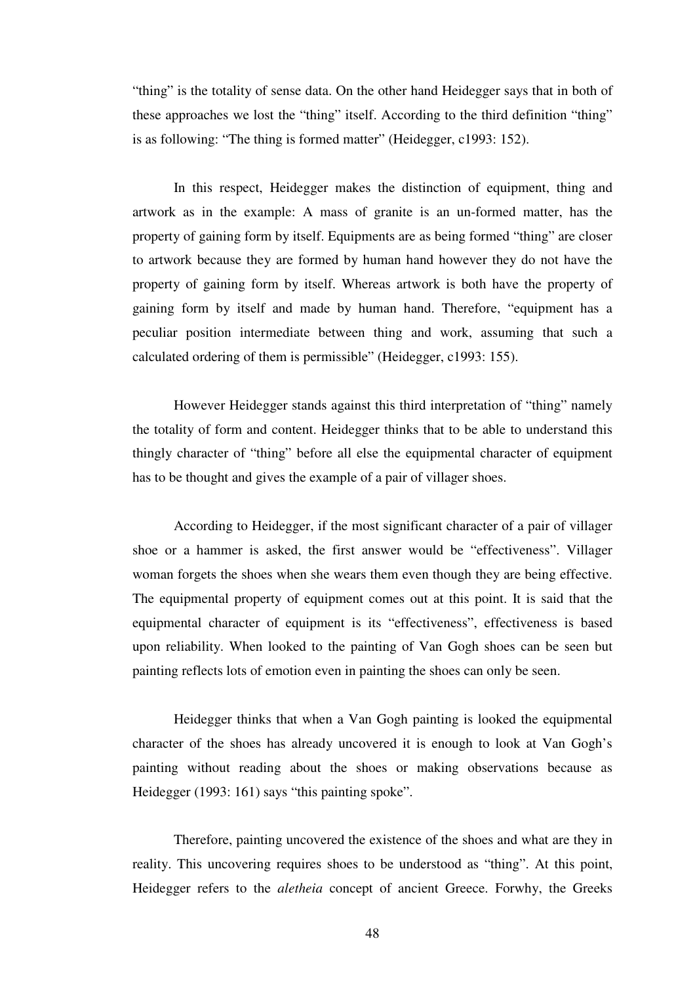"thing" is the totality of sense data. On the other hand Heidegger says that in both of these approaches we lost the "thing" itself. According to the third definition "thing" is as following: "The thing is formed matter" (Heidegger, c1993: 152).

In this respect, Heidegger makes the distinction of equipment, thing and artwork as in the example: A mass of granite is an un-formed matter, has the property of gaining form by itself. Equipments are as being formed "thing" are closer to artwork because they are formed by human hand however they do not have the property of gaining form by itself. Whereas artwork is both have the property of gaining form by itself and made by human hand. Therefore, "equipment has a peculiar position intermediate between thing and work, assuming that such a calculated ordering of them is permissible" (Heidegger, c1993: 155).

However Heidegger stands against this third interpretation of "thing" namely the totality of form and content. Heidegger thinks that to be able to understand this thingly character of "thing" before all else the equipmental character of equipment has to be thought and gives the example of a pair of villager shoes.

 According to Heidegger, if the most significant character of a pair of villager shoe or a hammer is asked, the first answer would be "effectiveness". Villager woman forgets the shoes when she wears them even though they are being effective. The equipmental property of equipment comes out at this point. It is said that the equipmental character of equipment is its "effectiveness", effectiveness is based upon reliability. When looked to the painting of Van Gogh shoes can be seen but painting reflects lots of emotion even in painting the shoes can only be seen.

 Heidegger thinks that when a Van Gogh painting is looked the equipmental character of the shoes has already uncovered it is enough to look at Van Gogh's painting without reading about the shoes or making observations because as Heidegger (1993: 161) says "this painting spoke".

 Therefore, painting uncovered the existence of the shoes and what are they in reality. This uncovering requires shoes to be understood as "thing". At this point, Heidegger refers to the *aletheia* concept of ancient Greece. Forwhy, the Greeks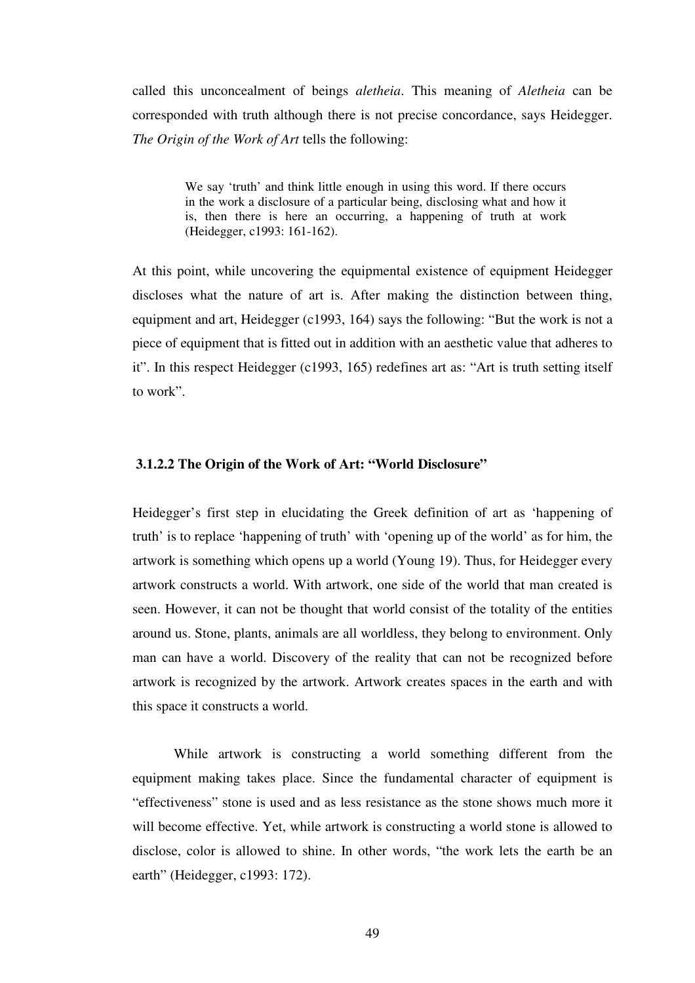called this unconcealment of beings *aletheia*. This meaning of *Aletheia* can be corresponded with truth although there is not precise concordance, says Heidegger. *The Origin of the Work of Art* tells the following:

> We say 'truth' and think little enough in using this word. If there occurs in the work a disclosure of a particular being, disclosing what and how it is, then there is here an occurring, a happening of truth at work (Heidegger, c1993: 161-162).

At this point, while uncovering the equipmental existence of equipment Heidegger discloses what the nature of art is. After making the distinction between thing, equipment and art, Heidegger (c1993, 164) says the following: "But the work is not a piece of equipment that is fitted out in addition with an aesthetic value that adheres to it". In this respect Heidegger (c1993, 165) redefines art as: "Art is truth setting itself to work".

#### **3.1.2.2 The Origin of the Work of Art: "World Disclosure"**

Heidegger's first step in elucidating the Greek definition of art as 'happening of truth' is to replace 'happening of truth' with 'opening up of the world' as for him, the artwork is something which opens up a world (Young 19). Thus, for Heidegger every artwork constructs a world. With artwork, one side of the world that man created is seen. However, it can not be thought that world consist of the totality of the entities around us. Stone, plants, animals are all worldless, they belong to environment. Only man can have a world. Discovery of the reality that can not be recognized before artwork is recognized by the artwork. Artwork creates spaces in the earth and with this space it constructs a world.

While artwork is constructing a world something different from the equipment making takes place. Since the fundamental character of equipment is "effectiveness" stone is used and as less resistance as the stone shows much more it will become effective. Yet, while artwork is constructing a world stone is allowed to disclose, color is allowed to shine. In other words, "the work lets the earth be an earth" (Heidegger, c1993: 172).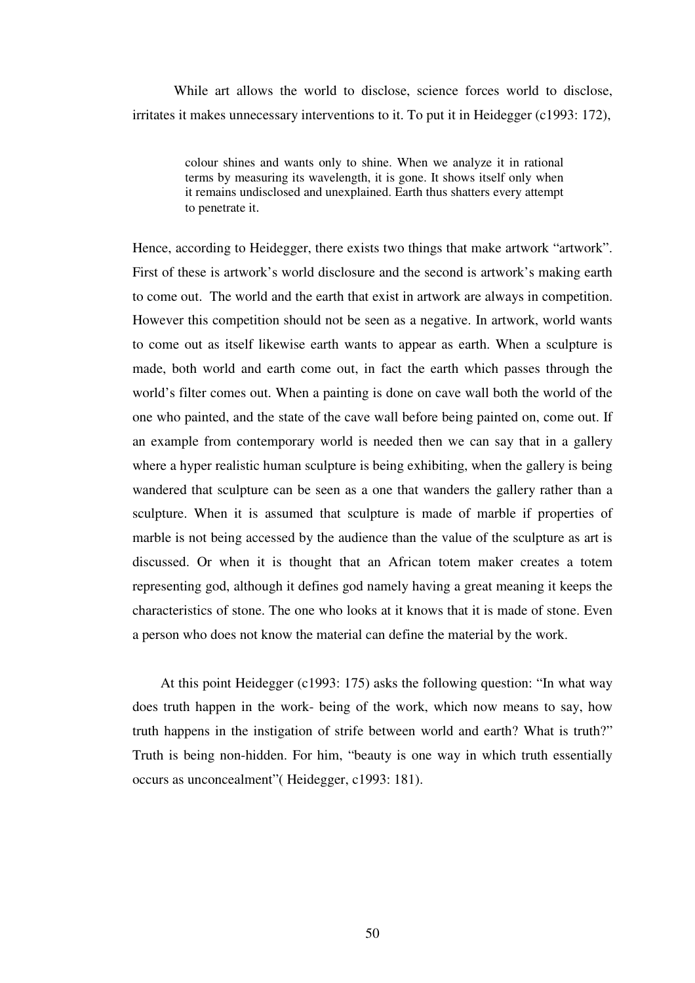While art allows the world to disclose, science forces world to disclose, irritates it makes unnecessary interventions to it. To put it in Heidegger (c1993: 172),

> colour shines and wants only to shine. When we analyze it in rational terms by measuring its wavelength, it is gone. It shows itself only when it remains undisclosed and unexplained. Earth thus shatters every attempt to penetrate it.

Hence, according to Heidegger, there exists two things that make artwork "artwork". First of these is artwork's world disclosure and the second is artwork's making earth to come out. The world and the earth that exist in artwork are always in competition. However this competition should not be seen as a negative. In artwork, world wants to come out as itself likewise earth wants to appear as earth. When a sculpture is made, both world and earth come out, in fact the earth which passes through the world's filter comes out. When a painting is done on cave wall both the world of the one who painted, and the state of the cave wall before being painted on, come out. If an example from contemporary world is needed then we can say that in a gallery where a hyper realistic human sculpture is being exhibiting, when the gallery is being wandered that sculpture can be seen as a one that wanders the gallery rather than a sculpture. When it is assumed that sculpture is made of marble if properties of marble is not being accessed by the audience than the value of the sculpture as art is discussed. Or when it is thought that an African totem maker creates a totem representing god, although it defines god namely having a great meaning it keeps the characteristics of stone. The one who looks at it knows that it is made of stone. Even a person who does not know the material can define the material by the work.

 At this point Heidegger (c1993: 175) asks the following question: "In what way does truth happen in the work- being of the work, which now means to say, how truth happens in the instigation of strife between world and earth? What is truth?" Truth is being non-hidden. For him, "beauty is one way in which truth essentially occurs as unconcealment"( Heidegger, c1993: 181).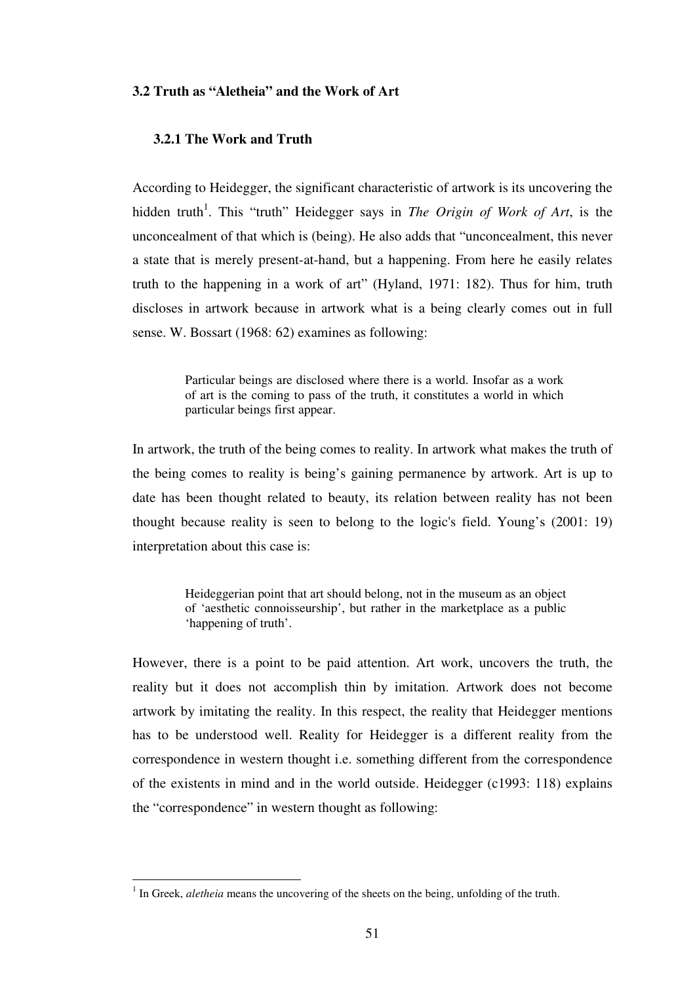## **3.2 Truth as "Aletheia" and the Work of Art**

## **3.2.1 The Work and Truth**

According to Heidegger, the significant characteristic of artwork is its uncovering the hidden truth<sup>1</sup>. This "truth" Heidegger says in *The Origin of Work of Art*, is the unconcealment of that which is (being). He also adds that "unconcealment, this never a state that is merely present-at-hand, but a happening. From here he easily relates truth to the happening in a work of art" (Hyland, 1971: 182). Thus for him, truth discloses in artwork because in artwork what is a being clearly comes out in full sense. W. Bossart (1968: 62) examines as following:

> Particular beings are disclosed where there is a world. Insofar as a work of art is the coming to pass of the truth, it constitutes a world in which particular beings first appear.

In artwork, the truth of the being comes to reality. In artwork what makes the truth of the being comes to reality is being's gaining permanence by artwork. Art is up to date has been thought related to beauty, its relation between reality has not been thought because reality is seen to belong to the logic's field. Young's (2001: 19) interpretation about this case is:

> Heideggerian point that art should belong, not in the museum as an object of 'aesthetic connoisseurship', but rather in the marketplace as a public 'happening of truth'.

However, there is a point to be paid attention. Art work, uncovers the truth, the reality but it does not accomplish thin by imitation. Artwork does not become artwork by imitating the reality. In this respect, the reality that Heidegger mentions has to be understood well. Reality for Heidegger is a different reality from the correspondence in western thought i.e. something different from the correspondence of the existents in mind and in the world outside. Heidegger (c1993: 118) explains the "correspondence" in western thought as following:

 $\overline{a}$ 

<sup>&</sup>lt;sup>1</sup> In Greek, *aletheia* means the uncovering of the sheets on the being, unfolding of the truth.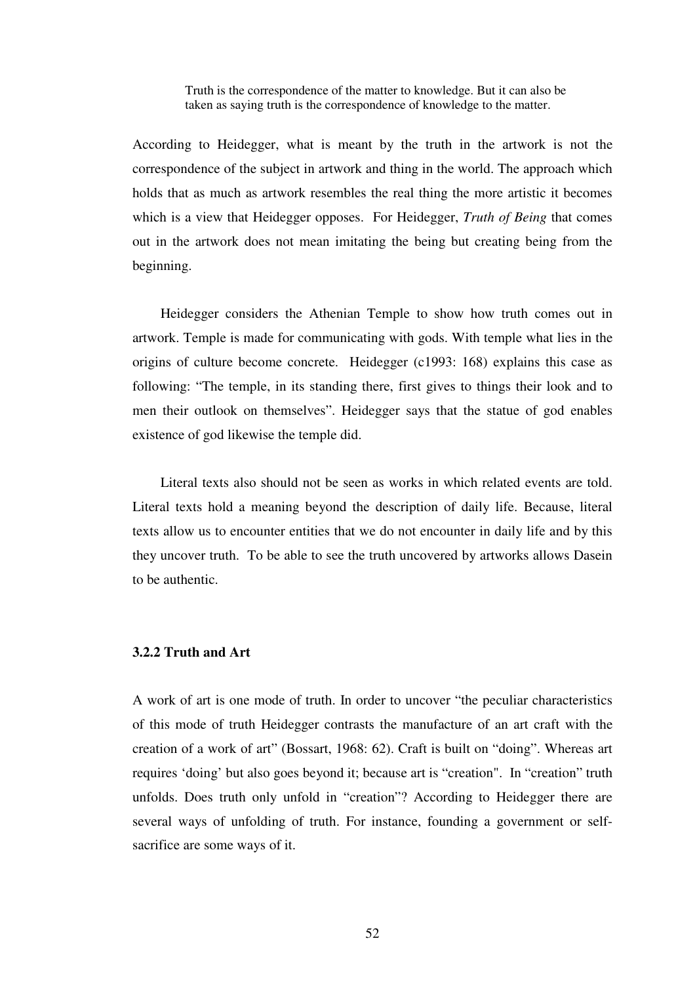Truth is the correspondence of the matter to knowledge. But it can also be taken as saying truth is the correspondence of knowledge to the matter.

According to Heidegger, what is meant by the truth in the artwork is not the correspondence of the subject in artwork and thing in the world. The approach which holds that as much as artwork resembles the real thing the more artistic it becomes which is a view that Heidegger opposes. For Heidegger, *Truth of Being* that comes out in the artwork does not mean imitating the being but creating being from the beginning.

 Heidegger considers the Athenian Temple to show how truth comes out in artwork. Temple is made for communicating with gods. With temple what lies in the origins of culture become concrete. Heidegger (c1993: 168) explains this case as following: "The temple, in its standing there, first gives to things their look and to men their outlook on themselves". Heidegger says that the statue of god enables existence of god likewise the temple did.

 Literal texts also should not be seen as works in which related events are told. Literal texts hold a meaning beyond the description of daily life. Because, literal texts allow us to encounter entities that we do not encounter in daily life and by this they uncover truth. To be able to see the truth uncovered by artworks allows Dasein to be authentic.

## **3.2.2 Truth and Art**

A work of art is one mode of truth. In order to uncover "the peculiar characteristics of this mode of truth Heidegger contrasts the manufacture of an art craft with the creation of a work of art" (Bossart, 1968: 62). Craft is built on "doing". Whereas art requires 'doing' but also goes beyond it; because art is "creation". In "creation" truth unfolds. Does truth only unfold in "creation"? According to Heidegger there are several ways of unfolding of truth. For instance, founding a government or selfsacrifice are some ways of it.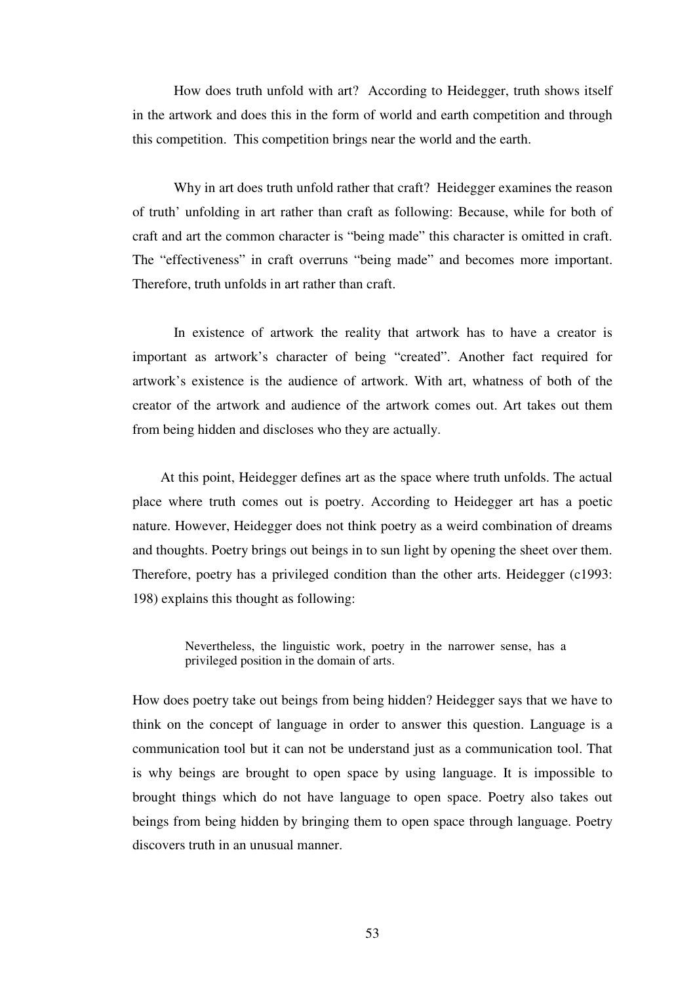How does truth unfold with art? According to Heidegger, truth shows itself in the artwork and does this in the form of world and earth competition and through this competition. This competition brings near the world and the earth.

Why in art does truth unfold rather that craft? Heidegger examines the reason of truth' unfolding in art rather than craft as following: Because, while for both of craft and art the common character is "being made" this character is omitted in craft. The "effectiveness" in craft overruns "being made" and becomes more important. Therefore, truth unfolds in art rather than craft.

In existence of artwork the reality that artwork has to have a creator is important as artwork's character of being "created". Another fact required for artwork's existence is the audience of artwork. With art, whatness of both of the creator of the artwork and audience of the artwork comes out. Art takes out them from being hidden and discloses who they are actually.

 At this point, Heidegger defines art as the space where truth unfolds. The actual place where truth comes out is poetry. According to Heidegger art has a poetic nature. However, Heidegger does not think poetry as a weird combination of dreams and thoughts. Poetry brings out beings in to sun light by opening the sheet over them. Therefore, poetry has a privileged condition than the other arts. Heidegger (c1993: 198) explains this thought as following:

> Nevertheless, the linguistic work, poetry in the narrower sense, has a privileged position in the domain of arts.

How does poetry take out beings from being hidden? Heidegger says that we have to think on the concept of language in order to answer this question. Language is a communication tool but it can not be understand just as a communication tool. That is why beings are brought to open space by using language. It is impossible to brought things which do not have language to open space. Poetry also takes out beings from being hidden by bringing them to open space through language. Poetry discovers truth in an unusual manner.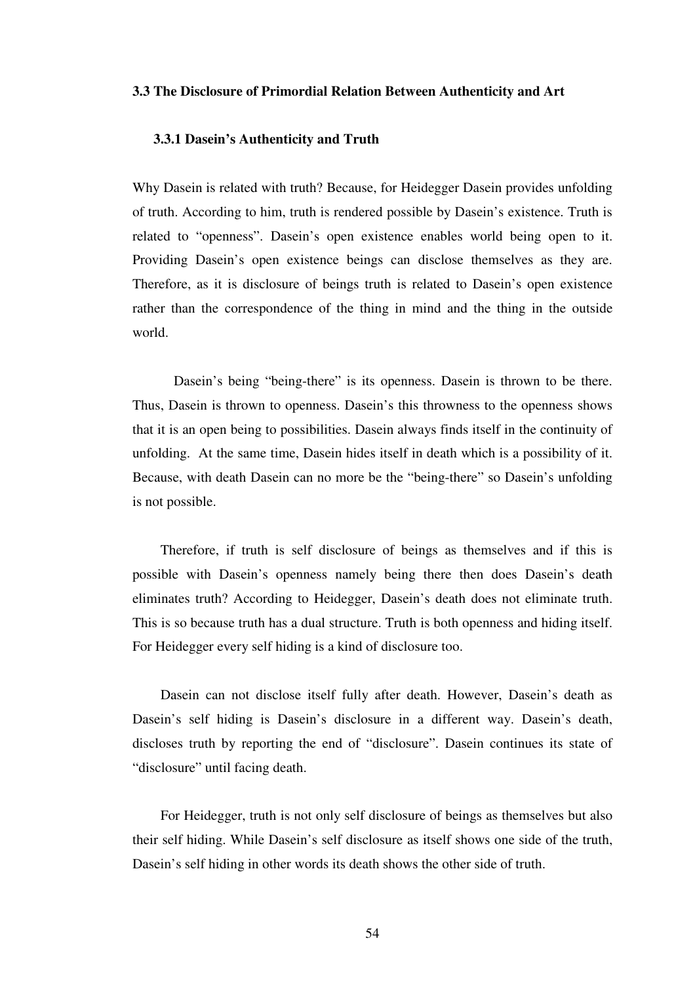#### **3.3 The Disclosure of Primordial Relation Between Authenticity and Art**

#### **3.3.1 Dasein's Authenticity and Truth**

Why Dasein is related with truth? Because, for Heidegger Dasein provides unfolding of truth. According to him, truth is rendered possible by Dasein's existence. Truth is related to "openness". Dasein's open existence enables world being open to it. Providing Dasein's open existence beings can disclose themselves as they are. Therefore, as it is disclosure of beings truth is related to Dasein's open existence rather than the correspondence of the thing in mind and the thing in the outside world.

Dasein's being "being-there" is its openness. Dasein is thrown to be there. Thus, Dasein is thrown to openness. Dasein's this throwness to the openness shows that it is an open being to possibilities. Dasein always finds itself in the continuity of unfolding. At the same time, Dasein hides itself in death which is a possibility of it. Because, with death Dasein can no more be the "being-there" so Dasein's unfolding is not possible.

 Therefore, if truth is self disclosure of beings as themselves and if this is possible with Dasein's openness namely being there then does Dasein's death eliminates truth? According to Heidegger, Dasein's death does not eliminate truth. This is so because truth has a dual structure. Truth is both openness and hiding itself. For Heidegger every self hiding is a kind of disclosure too.

 Dasein can not disclose itself fully after death. However, Dasein's death as Dasein's self hiding is Dasein's disclosure in a different way. Dasein's death, discloses truth by reporting the end of "disclosure". Dasein continues its state of "disclosure" until facing death.

 For Heidegger, truth is not only self disclosure of beings as themselves but also their self hiding. While Dasein's self disclosure as itself shows one side of the truth, Dasein's self hiding in other words its death shows the other side of truth.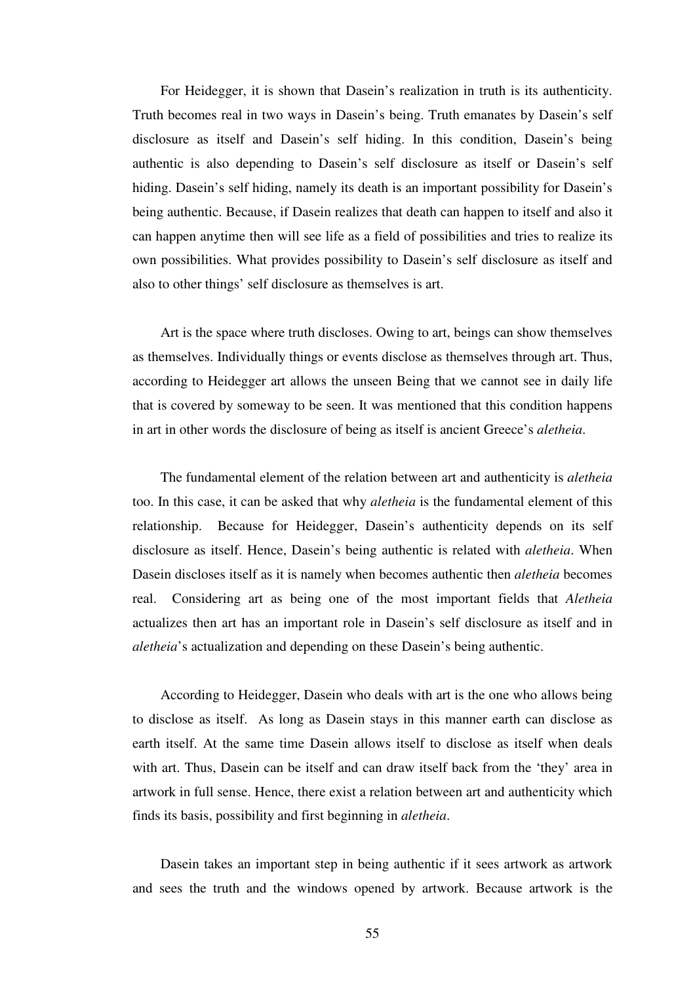For Heidegger, it is shown that Dasein's realization in truth is its authenticity. Truth becomes real in two ways in Dasein's being. Truth emanates by Dasein's self disclosure as itself and Dasein's self hiding. In this condition, Dasein's being authentic is also depending to Dasein's self disclosure as itself or Dasein's self hiding. Dasein's self hiding, namely its death is an important possibility for Dasein's being authentic. Because, if Dasein realizes that death can happen to itself and also it can happen anytime then will see life as a field of possibilities and tries to realize its own possibilities. What provides possibility to Dasein's self disclosure as itself and also to other things' self disclosure as themselves is art.

 Art is the space where truth discloses. Owing to art, beings can show themselves as themselves. Individually things or events disclose as themselves through art. Thus, according to Heidegger art allows the unseen Being that we cannot see in daily life that is covered by someway to be seen. It was mentioned that this condition happens in art in other words the disclosure of being as itself is ancient Greece's *aletheia*.

 The fundamental element of the relation between art and authenticity is *aletheia* too. In this case, it can be asked that why *aletheia* is the fundamental element of this relationship. Because for Heidegger, Dasein's authenticity depends on its self disclosure as itself. Hence, Dasein's being authentic is related with *aletheia*. When Dasein discloses itself as it is namely when becomes authentic then *aletheia* becomes real. Considering art as being one of the most important fields that *Aletheia* actualizes then art has an important role in Dasein's self disclosure as itself and in *aletheia*'s actualization and depending on these Dasein's being authentic.

 According to Heidegger, Dasein who deals with art is the one who allows being to disclose as itself. As long as Dasein stays in this manner earth can disclose as earth itself. At the same time Dasein allows itself to disclose as itself when deals with art. Thus, Dasein can be itself and can draw itself back from the 'they' area in artwork in full sense. Hence, there exist a relation between art and authenticity which finds its basis, possibility and first beginning in *aletheia*.

 Dasein takes an important step in being authentic if it sees artwork as artwork and sees the truth and the windows opened by artwork. Because artwork is the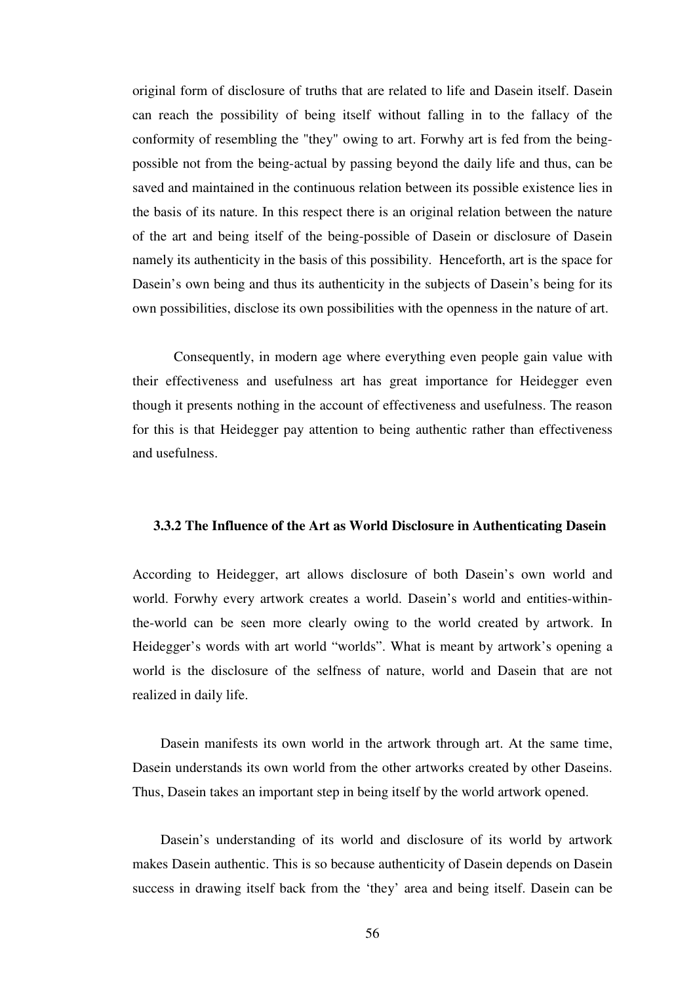original form of disclosure of truths that are related to life and Dasein itself. Dasein can reach the possibility of being itself without falling in to the fallacy of the conformity of resembling the "they" owing to art. Forwhy art is fed from the beingpossible not from the being-actual by passing beyond the daily life and thus, can be saved and maintained in the continuous relation between its possible existence lies in the basis of its nature. In this respect there is an original relation between the nature of the art and being itself of the being-possible of Dasein or disclosure of Dasein namely its authenticity in the basis of this possibility. Henceforth, art is the space for Dasein's own being and thus its authenticity in the subjects of Dasein's being for its own possibilities, disclose its own possibilities with the openness in the nature of art.

Consequently, in modern age where everything even people gain value with their effectiveness and usefulness art has great importance for Heidegger even though it presents nothing in the account of effectiveness and usefulness. The reason for this is that Heidegger pay attention to being authentic rather than effectiveness and usefulness.

#### **3.3.2 The Influence of the Art as World Disclosure in Authenticating Dasein**

According to Heidegger, art allows disclosure of both Dasein's own world and world. Forwhy every artwork creates a world. Dasein's world and entities-withinthe-world can be seen more clearly owing to the world created by artwork. In Heidegger's words with art world "worlds". What is meant by artwork's opening a world is the disclosure of the selfness of nature, world and Dasein that are not realized in daily life.

 Dasein manifests its own world in the artwork through art. At the same time, Dasein understands its own world from the other artworks created by other Daseins. Thus, Dasein takes an important step in being itself by the world artwork opened.

 Dasein's understanding of its world and disclosure of its world by artwork makes Dasein authentic. This is so because authenticity of Dasein depends on Dasein success in drawing itself back from the 'they' area and being itself. Dasein can be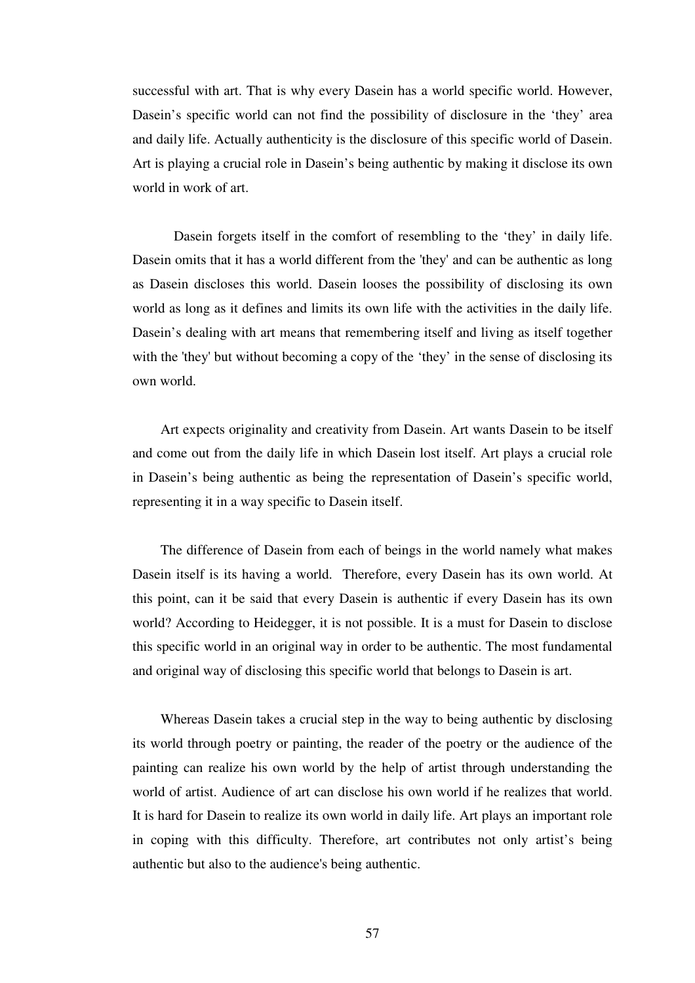successful with art. That is why every Dasein has a world specific world. However, Dasein's specific world can not find the possibility of disclosure in the 'they' area and daily life. Actually authenticity is the disclosure of this specific world of Dasein. Art is playing a crucial role in Dasein's being authentic by making it disclose its own world in work of art.

Dasein forgets itself in the comfort of resembling to the 'they' in daily life. Dasein omits that it has a world different from the 'they' and can be authentic as long as Dasein discloses this world. Dasein looses the possibility of disclosing its own world as long as it defines and limits its own life with the activities in the daily life. Dasein's dealing with art means that remembering itself and living as itself together with the 'they' but without becoming a copy of the 'they' in the sense of disclosing its own world.

 Art expects originality and creativity from Dasein. Art wants Dasein to be itself and come out from the daily life in which Dasein lost itself. Art plays a crucial role in Dasein's being authentic as being the representation of Dasein's specific world, representing it in a way specific to Dasein itself.

 The difference of Dasein from each of beings in the world namely what makes Dasein itself is its having a world. Therefore, every Dasein has its own world. At this point, can it be said that every Dasein is authentic if every Dasein has its own world? According to Heidegger, it is not possible. It is a must for Dasein to disclose this specific world in an original way in order to be authentic. The most fundamental and original way of disclosing this specific world that belongs to Dasein is art.

 Whereas Dasein takes a crucial step in the way to being authentic by disclosing its world through poetry or painting, the reader of the poetry or the audience of the painting can realize his own world by the help of artist through understanding the world of artist. Audience of art can disclose his own world if he realizes that world. It is hard for Dasein to realize its own world in daily life. Art plays an important role in coping with this difficulty. Therefore, art contributes not only artist's being authentic but also to the audience's being authentic.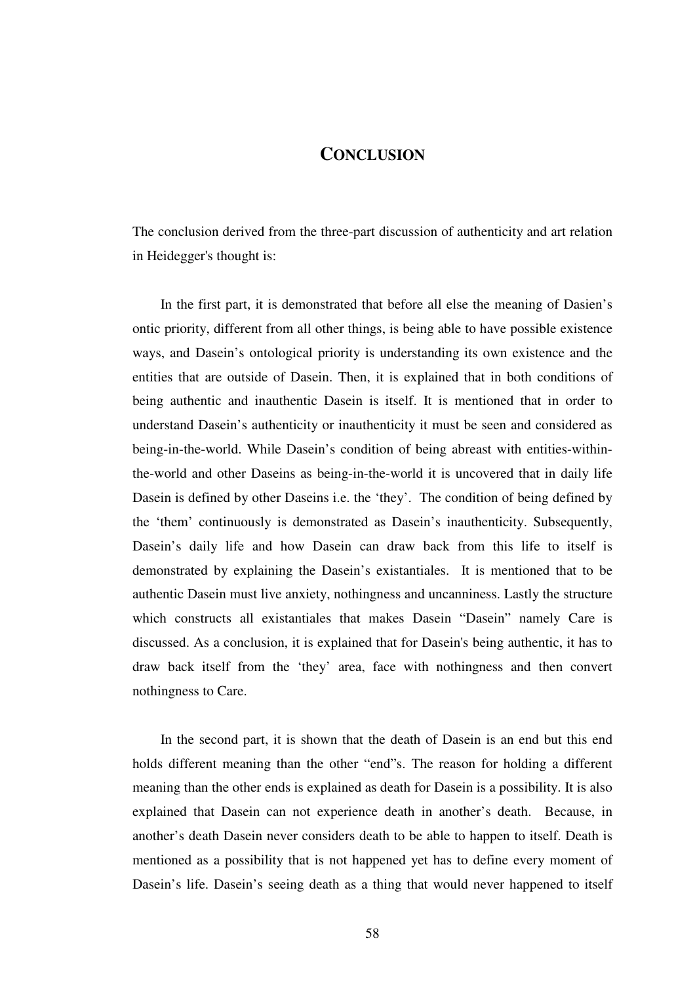## **CONCLUSION**

The conclusion derived from the three-part discussion of authenticity and art relation in Heidegger's thought is:

 In the first part, it is demonstrated that before all else the meaning of Dasien's ontic priority, different from all other things, is being able to have possible existence ways, and Dasein's ontological priority is understanding its own existence and the entities that are outside of Dasein. Then, it is explained that in both conditions of being authentic and inauthentic Dasein is itself. It is mentioned that in order to understand Dasein's authenticity or inauthenticity it must be seen and considered as being-in-the-world. While Dasein's condition of being abreast with entities-withinthe-world and other Daseins as being-in-the-world it is uncovered that in daily life Dasein is defined by other Daseins i.e. the 'they'. The condition of being defined by the 'them' continuously is demonstrated as Dasein's inauthenticity. Subsequently, Dasein's daily life and how Dasein can draw back from this life to itself is demonstrated by explaining the Dasein's existantiales. It is mentioned that to be authentic Dasein must live anxiety, nothingness and uncanniness. Lastly the structure which constructs all existantiales that makes Dasein "Dasein" namely Care is discussed. As a conclusion, it is explained that for Dasein's being authentic, it has to draw back itself from the 'they' area, face with nothingness and then convert nothingness to Care.

 In the second part, it is shown that the death of Dasein is an end but this end holds different meaning than the other "end"s. The reason for holding a different meaning than the other ends is explained as death for Dasein is a possibility. It is also explained that Dasein can not experience death in another's death. Because, in another's death Dasein never considers death to be able to happen to itself. Death is mentioned as a possibility that is not happened yet has to define every moment of Dasein's life. Dasein's seeing death as a thing that would never happened to itself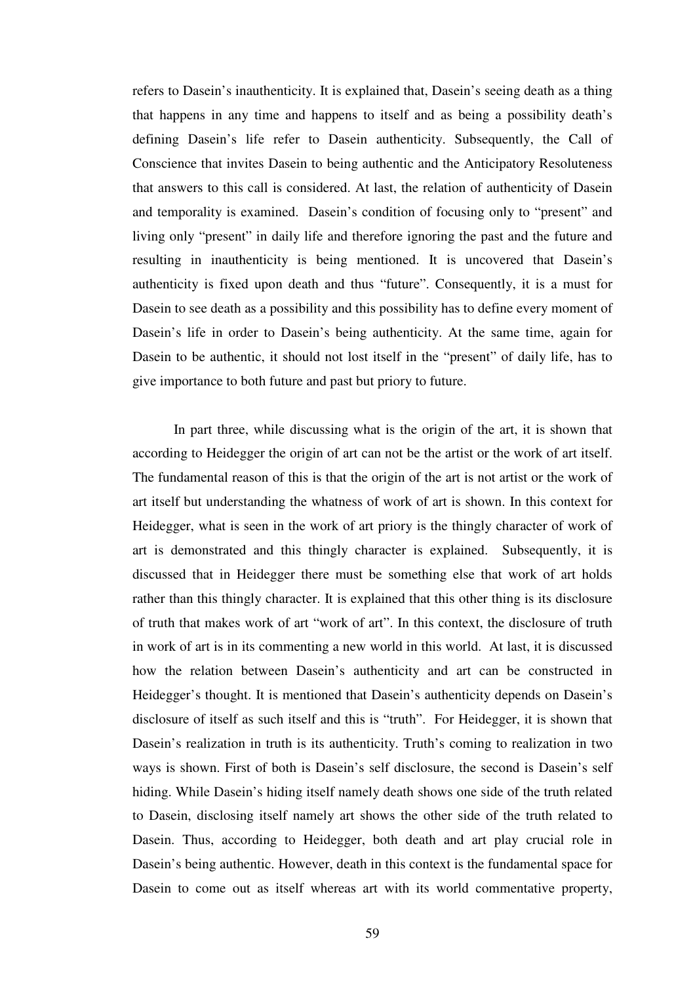refers to Dasein's inauthenticity. It is explained that, Dasein's seeing death as a thing that happens in any time and happens to itself and as being a possibility death's defining Dasein's life refer to Dasein authenticity. Subsequently, the Call of Conscience that invites Dasein to being authentic and the Anticipatory Resoluteness that answers to this call is considered. At last, the relation of authenticity of Dasein and temporality is examined. Dasein's condition of focusing only to "present" and living only "present" in daily life and therefore ignoring the past and the future and resulting in inauthenticity is being mentioned. It is uncovered that Dasein's authenticity is fixed upon death and thus "future". Consequently, it is a must for Dasein to see death as a possibility and this possibility has to define every moment of Dasein's life in order to Dasein's being authenticity. At the same time, again for Dasein to be authentic, it should not lost itself in the "present" of daily life, has to give importance to both future and past but priory to future.

In part three, while discussing what is the origin of the art, it is shown that according to Heidegger the origin of art can not be the artist or the work of art itself. The fundamental reason of this is that the origin of the art is not artist or the work of art itself but understanding the whatness of work of art is shown. In this context for Heidegger, what is seen in the work of art priory is the thingly character of work of art is demonstrated and this thingly character is explained. Subsequently, it is discussed that in Heidegger there must be something else that work of art holds rather than this thingly character. It is explained that this other thing is its disclosure of truth that makes work of art "work of art". In this context, the disclosure of truth in work of art is in its commenting a new world in this world. At last, it is discussed how the relation between Dasein's authenticity and art can be constructed in Heidegger's thought. It is mentioned that Dasein's authenticity depends on Dasein's disclosure of itself as such itself and this is "truth". For Heidegger, it is shown that Dasein's realization in truth is its authenticity. Truth's coming to realization in two ways is shown. First of both is Dasein's self disclosure, the second is Dasein's self hiding. While Dasein's hiding itself namely death shows one side of the truth related to Dasein, disclosing itself namely art shows the other side of the truth related to Dasein. Thus, according to Heidegger, both death and art play crucial role in Dasein's being authentic. However, death in this context is the fundamental space for Dasein to come out as itself whereas art with its world commentative property,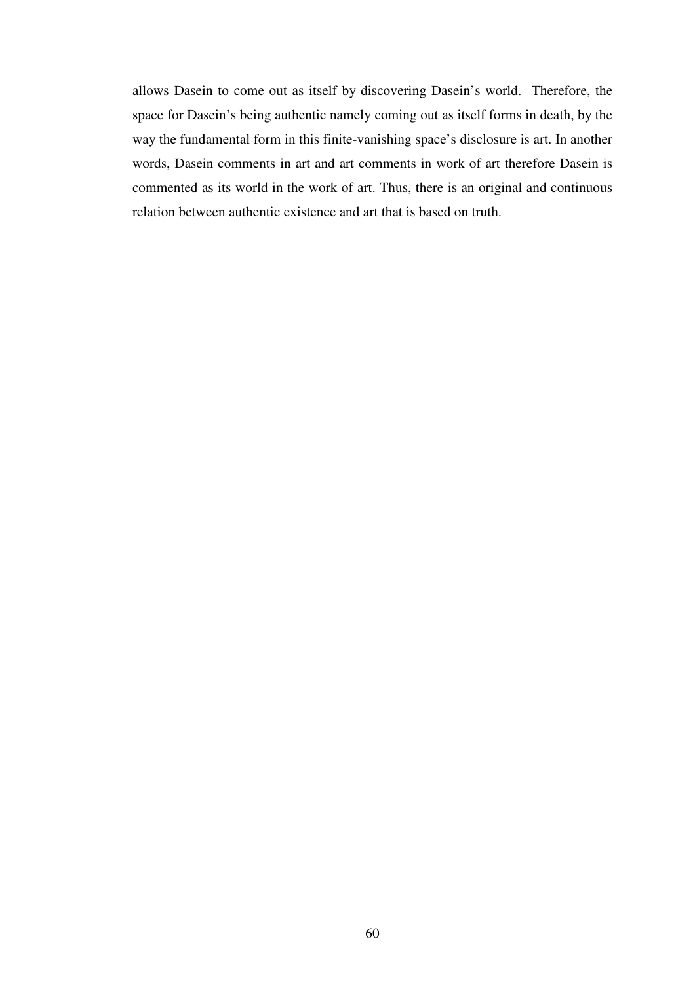allows Dasein to come out as itself by discovering Dasein's world. Therefore, the space for Dasein's being authentic namely coming out as itself forms in death, by the way the fundamental form in this finite-vanishing space's disclosure is art. In another words, Dasein comments in art and art comments in work of art therefore Dasein is commented as its world in the work of art. Thus, there is an original and continuous relation between authentic existence and art that is based on truth.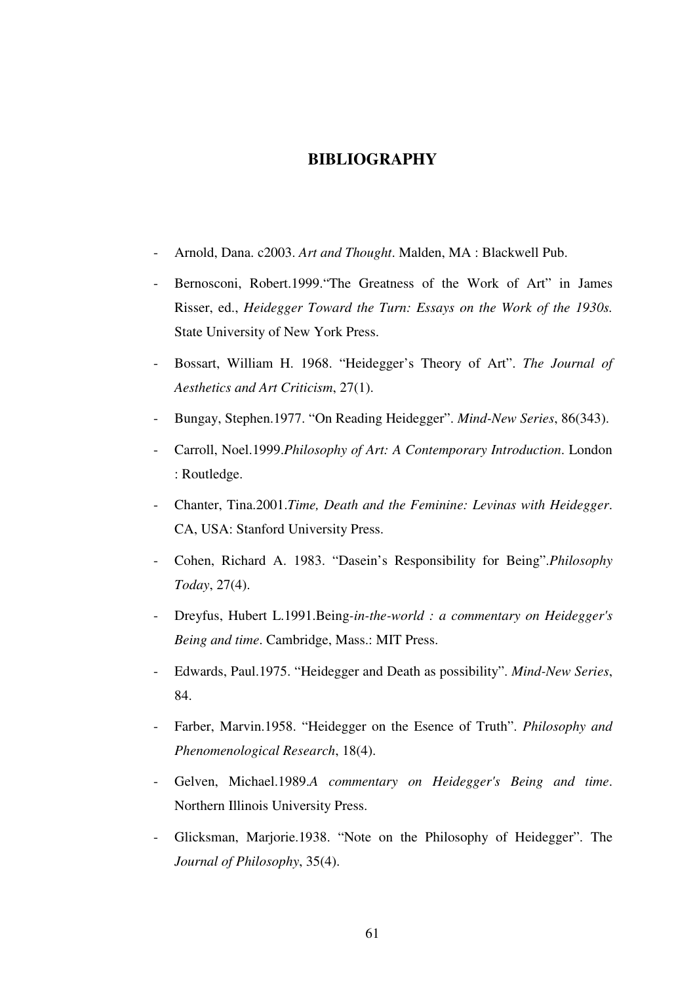## **BIBLIOGRAPHY**

- Arnold, Dana. c2003. *Art and Thought*. Malden, MA : Blackwell Pub.
- Bernosconi, Robert.1999. The Greatness of the Work of Art" in James Risser, ed., *Heidegger Toward the Turn: Essays on the Work of the 1930s.*  State University of New York Press.
- Bossart, William H. 1968. "Heidegger's Theory of Art". *The Journal of Aesthetics and Art Criticism*, 27(1).
- Bungay, Stephen.1977. "On Reading Heidegger". *Mind-New Series*, 86(343).
- Carroll, Noel.1999.*Philosophy of Art: A Contemporary Introduction*. London : Routledge.
- Chanter, Tina.2001.*Time, Death and the Feminine: Levinas with Heidegger*. CA, USA: Stanford University Press.
- Cohen, Richard A. 1983. "Dasein's Responsibility for Being".*Philosophy Today*, 27(4).
- Dreyfus, Hubert L.1991.Being*-in-the-world : a commentary on Heidegger's Being and time*. Cambridge, Mass.: MIT Press.
- Edwards, Paul.1975. "Heidegger and Death as possibility". *Mind-New Series*, 84.
- Farber, Marvin.1958. "Heidegger on the Esence of Truth". *Philosophy and Phenomenological Research*, 18(4).
- Gelven, Michael.1989.*A commentary on Heidegger's Being and time*. Northern Illinois University Press.
- Glicksman, Marjorie.1938. "Note on the Philosophy of Heidegger". The *Journal of Philosophy*, 35(4).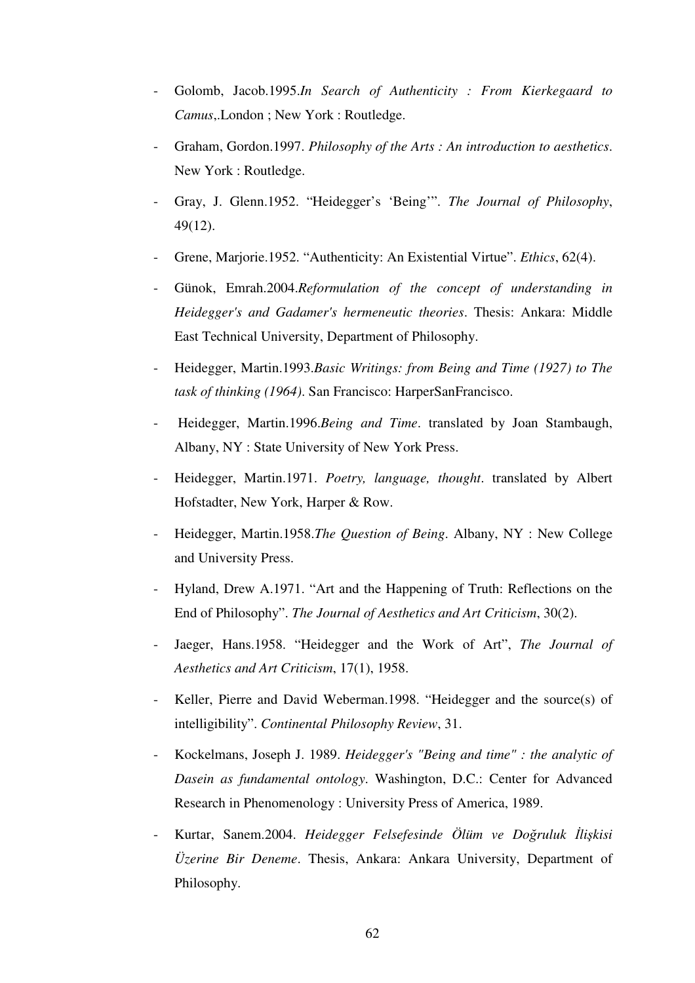- Golomb, Jacob.1995.*In Search of Authenticity : From Kierkegaard to Camus*,.London ; New York : Routledge.
- Graham, Gordon.1997. *Philosophy of the Arts : An introduction to aesthetics*. New York : Routledge.
- Gray, J. Glenn.1952. "Heidegger's 'Being'". *The Journal of Philosophy*, 49(12).
- Grene, Marjorie.1952. "Authenticity: An Existential Virtue". *Ethics*, 62(4).
- Günok, Emrah.2004.*Reformulation of the concept of understanding in Heidegger's and Gadamer's hermeneutic theories*. Thesis: Ankara: Middle East Technical University, Department of Philosophy.
- Heidegger, Martin.1993.*Basic Writings: from Being and Time (1927) to The task of thinking (1964)*. San Francisco: HarperSanFrancisco.
- Heidegger, Martin.1996.*Being and Time*. translated by Joan Stambaugh, Albany, NY : State University of New York Press.
- Heidegger, Martin.1971. *Poetry, language, thought*. translated by Albert Hofstadter, New York, Harper & Row.
- Heidegger, Martin.1958.*The Question of Being*. Albany, NY : New College and University Press.
- Hyland, Drew A.1971. "Art and the Happening of Truth: Reflections on the End of Philosophy". *The Journal of Aesthetics and Art Criticism*, 30(2).
- Jaeger, Hans.1958. "Heidegger and the Work of Art", *The Journal of Aesthetics and Art Criticism*, 17(1), 1958.
- Keller, Pierre and David Weberman.1998. "Heidegger and the source(s) of intelligibility". *Continental Philosophy Review*, 31.
- Kockelmans, Joseph J. 1989. *Heidegger's "Being and time" : the analytic of Dasein as fundamental ontology*. Washington, D.C.: Center for Advanced Research in Phenomenology : University Press of America, 1989.
- Kurtar, Sanem.2004. *Heidegger Felsefesinde Ölüm ve Do*ğ*ruluk* İ*li*ş*kisi Üzerine Bir Deneme*. Thesis, Ankara: Ankara University, Department of Philosophy.